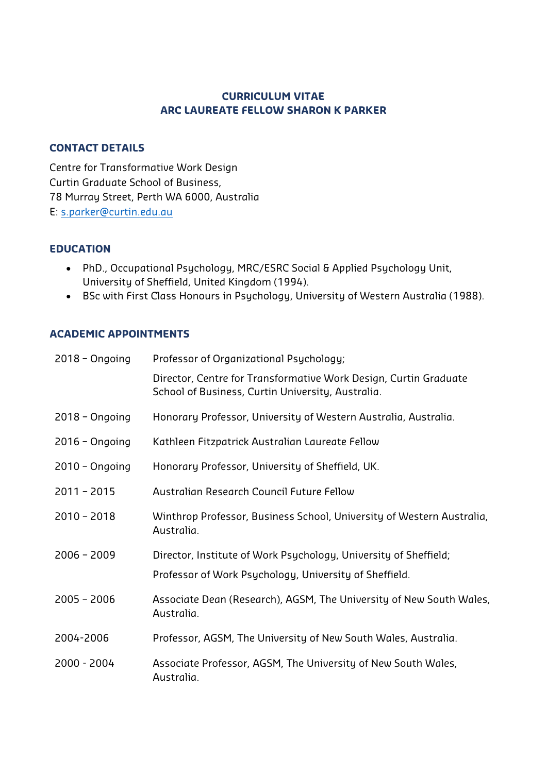## **CURRICULUM VITAE ARC LAUREATE FELLOW SHARON K PARKER**

## **CONTACT DETAILS**

Centre for Transformative Work Design Curtin Graduate School of Business, 78 Murray Street, Perth WA 6000, Australia E: s.parker@curtin.edu.au

## **EDUCATION**

- PhD., Occupational Psychology, MRC/ESRC Social & Applied Psychology Unit, University of Sheffield, United Kingdom (1994).
- BSc with First Class Honours in Psychology, University of Western Australia (1988).

## **ACADEMIC APPOINTMENTS**

| $2018 - Ongoing$  | Professor of Organizational Psychology;                                                                                    |  |  |
|-------------------|----------------------------------------------------------------------------------------------------------------------------|--|--|
|                   | Director, Centre for Transformative Work Design, Curtin Graduate<br>School of Business, Curtin University, Australia.      |  |  |
| $2018 - Ongoing$  | Honorary Professor, University of Western Australia, Australia.                                                            |  |  |
| $2016 - O$ ngoing | Kathleen Fitzpatrick Australian Laureate Fellow                                                                            |  |  |
| $2010 - O$ ngoing | Honorary Professor, University of Sheffield, UK.                                                                           |  |  |
| $2011 - 2015$     | Australian Research Council Future Fellow                                                                                  |  |  |
| $2010 - 2018$     | Winthrop Professor, Business School, University of Western Australia,<br>Australia.                                        |  |  |
| $2006 - 2009$     | Director, Institute of Work Psychology, University of Sheffield;<br>Professor of Work Psychology, University of Sheffield. |  |  |
| $2005 - 2006$     | Associate Dean (Research), AGSM, The University of New South Wales,<br>Australia.                                          |  |  |
| 2004-2006         | Professor, AGSM, The University of New South Wales, Australia.                                                             |  |  |
| 2000 - 2004       | Associate Professor, AGSM, The University of New South Wales,<br>Australia.                                                |  |  |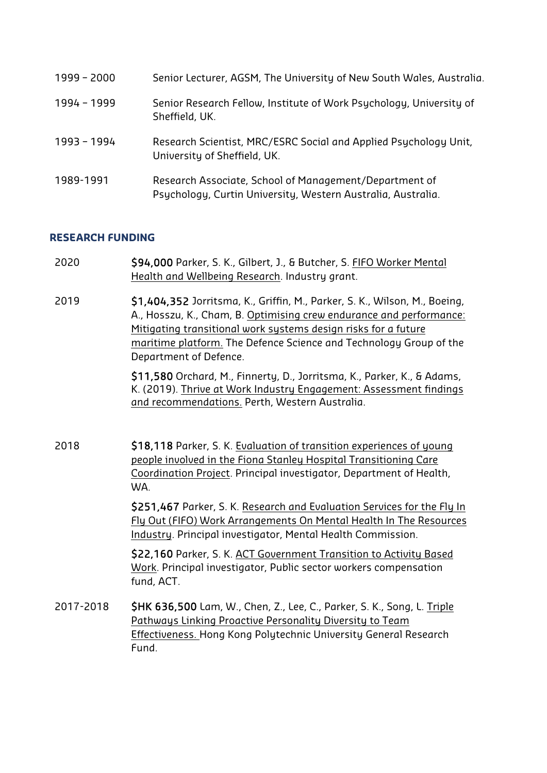| 1999 - 2000 | Senior Lecturer, AGSM, The University of New South Wales, Australia.                                                   |
|-------------|------------------------------------------------------------------------------------------------------------------------|
| 1994 - 1999 | Senior Research Fellow, Institute of Work Psychology, University of<br>Sheffield, UK.                                  |
| 1993 - 1994 | Research Scientist, MRC/ESRC Social and Applied Psychology Unit,<br>University of Sheffield, UK.                       |
| 1989-1991   | Research Associate, School of Management/Department of<br>Psychology, Curtin University, Western Australia, Australia. |

#### **RESEARCH FUNDING**

- 2020 \$94,000 Parker, S. K., Gilbert, J., & Butcher, S. FIFO Worker Mental Health and Wellbeing Research. Industry grant.
- 2019 \$1,404,352 Jorritsma, K., Griffin, M., Parker, S. K., Wilson, M., Boeing, A., Hosszu, K., Cham, B. Optimising crew endurance and performance: Mitigating transitional work systems design risks for a future maritime platform. The Defence Science and Technology Group of the Department of Defence.

\$11,580 Orchard, M., Finnerty, D., Jorritsma, K., Parker, K., & Adams, K. (2019). Thrive at Work Industry Engagement: Assessment findings and recommendations. Perth, Western Australia.

2018 \$18,118 Parker, S. K. Evaluation of transition experiences of young people involved in the Fiona Stanley Hospital Transitioning Care Coordination Project. Principal investigator, Department of Health, WA.

> \$251,467 Parker, S. K. Research and Evaluation Services for the Fly In Fly Out (FIFO) Work Arrangements On Mental Health In The Resources Industry. Principal investigator, Mental Health Commission.

\$22,160 Parker, S. K. ACT Government Transition to Activity Based Work. Principal investigator, Public sector workers compensation fund, ACT.

2017-2018 **\$HK 636,500** Lam, W., Chen, Z., Lee, C., Parker, S. K., Song, L. Triple Pathways Linking Proactive Personality Diversity to Team Effectiveness. Hong Kong Polytechnic University General Research Fund.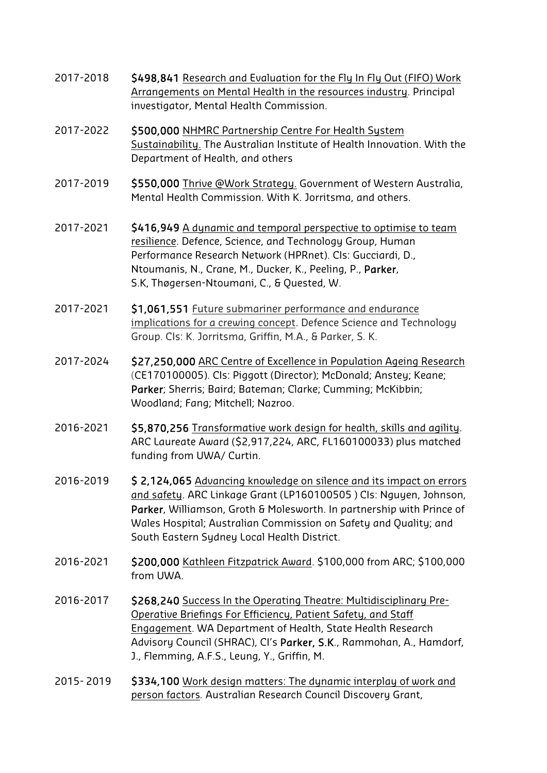- 2017-2018 \$498,841 Research and Evaluation for the Fly In Fly Out (FIFO) Work Arrangements on Mental Health in the resources industry. Principal investigator, Mental Health Commission.
- 2017-2022 \$500,000 NHMRC Partnership Centre For Health System Sustainability. The Australian Institute of Health Innovation. With the Department of Health, and others
- 2017-2019 \$550,000 Thrive @Work Strategy. Government of Western Australia, Mental Health Commission. With K. Jorritsma, and others.
- 2017-2021 \$416,949 A dynamic and temporal perspective to optimise to team resilience. Defence, Science, and Technology Group, Human Performance Research Network (HPRnet). CIs: Gucciardi, D., Ntoumanis, N., Crane, M., Ducker, K., Peeling, P., Parker, S.K, Thøgersen-Ntoumani, C., & Quested, W.
- 2017-2021 \$1,061,551 Future submariner performance and endurance implications for a crewing concept. Defence Science and Technology Group. CIs: K. Jorritsma, Griffin, M.A., & Parker, S. K.
- 2017-2024 \$27,250,000 ARC Centre of Excellence in Population Ageing Research (CE170100005). CIs: Piggott (Director); McDonald; Anstey; Keane; Parker; Sherris; Baird; Bateman; Clarke; Cumming; McKibbin; Woodland; Fang; Mitchell; Nazroo.
- 2016-2021 \$5,870,256 Transformative work design for health, skills and agility. ARC Laureate Award (\$2,917,224, ARC, FL160100033) plus matched funding from UWA/ Curtin.
- 2016-2019 \$ 2,124,065 Advancing knowledge on silence and its impact on errors and safety. ARC Linkage Grant (LP160100505 ) CIs: Nguyen, Johnson, Parker, Williamson, Groth & Molesworth. In partnership with Prince of Wales Hospital; Australian Commission on Safety and Quality; and South Eastern Sydney Local Health District.
- 2016-2021 \$200,000 Kathleen Fitzpatrick Award. \$100,000 from ARC; \$100,000 from UWA.
- 2016-2017 \$268,240 Success In the Operating Theatre: Multidisciplinary Pre-Operative Briefings For Efficiency, Patient Safety, and Staff Engagement. WA Department of Health, State Health Research Advisory Council (SHRAC), Cl's Parker, S.K., Rammohan, A., Hamdorf, J., Flemming, A.F.S., Leung, Y., Griffin, M.
- 2015- 2019 **\$334,100** Work design matters: The dynamic interplay of work and person factors*.* Australian Research Council Discovery Grant,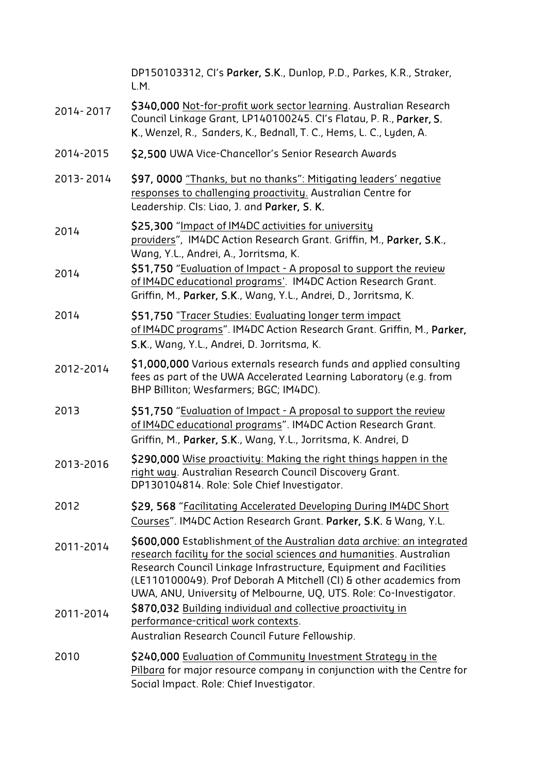|           | DP150103312, CI's Parker, S.K., Dunlop, P.D., Parkes, K.R., Straker,<br>L.M.                                                                                                                                                                                                                                                                                   |
|-----------|----------------------------------------------------------------------------------------------------------------------------------------------------------------------------------------------------------------------------------------------------------------------------------------------------------------------------------------------------------------|
| 2014-2017 | \$340,000 Not-for-profit work sector learning. Australian Research<br>Council Linkage Grant, LP140100245. Cl's Flatau, P. R., Parker, S.<br>K., Wenzel, R., Sanders, K., Bednall, T. C., Hems, L. C., Lyden, A.                                                                                                                                                |
| 2014-2015 | \$2,500 UWA Vice-Chancellor's Senior Research Awards                                                                                                                                                                                                                                                                                                           |
| 2013-2014 | \$97, 0000 "Thanks, but no thanks": Mitigating leaders' negative<br>responses to challenging proactivity. Australian Centre for<br>Leadership. Cls: Liao, J. and Parker, S. K.                                                                                                                                                                                 |
| 2014      | \$25,300 "Impact of IM4DC activities for university<br>providers", IM4DC Action Research Grant. Griffin, M., Parker, S.K.,<br>Wang, Y.L., Andrei, A., Jorritsma, K.                                                                                                                                                                                            |
| 2014      | \$51,750 "Evaluation of Impact - A proposal to support the review<br>of IM4DC educational programs'. IM4DC Action Research Grant.<br>Griffin, M., Parker, S.K., Wang, Y.L., Andrei, D., Jorritsma, K.                                                                                                                                                          |
| 2014      | \$51,750 "Tracer Studies: Evaluating longer term impact<br>of IM4DC programs". IM4DC Action Research Grant. Griffin, M., Parker,<br>S.K., Wang, Y.L., Andrei, D. Jorritsma, K.                                                                                                                                                                                 |
| 2012-2014 | \$1,000,000 Various externals research funds and applied consulting<br>fees as part of the UWA Accelerated Learning Laboratory (e.g. from<br>BHP Billiton; Wesfarmers; BGC; IM4DC).                                                                                                                                                                            |
| 2013      | \$51,750 "Evaluation of Impact - A proposal to support the review<br>of IM4DC educational programs". IM4DC Action Research Grant.<br>Griffin, M., Parker, S.K., Wang, Y.L., Jorritsma, K. Andrei, D                                                                                                                                                            |
| 2013-2016 | \$290,000 Wise proactivity: Making the right things happen in the<br>right way. Australian Research Council Discovery Grant.<br>DP130104814. Role: Sole Chief Investigator.                                                                                                                                                                                    |
| 2012      | \$29, 568 "Facilitating Accelerated Developing During IM4DC Short<br>Courses". IM4DC Action Research Grant. Parker, S.K. & Wang, Y.L.                                                                                                                                                                                                                          |
| 2011-2014 | \$600,000 Establishment of the Australian data archive: an integrated<br>research facility for the social sciences and humanities. Australian<br>Research Council Linkage Infrastructure, Equipment and Facilities<br>(LE110100049). Prof Deborah A Mitchell (CI) & other academics from<br>UWA, ANU, University of Melbourne, UQ, UTS. Role: Co-Investigator. |
| 2011-2014 | \$870,032 Building individual and collective proactivity in<br>performance-critical work contexts.<br>Australian Research Council Future Fellowship.                                                                                                                                                                                                           |
| 2010      | \$240,000 Evaluation of Community Investment Strategy in the<br>Pilbara for major resource company in conjunction with the Centre for<br>Social Impact. Role: Chief Investigator.                                                                                                                                                                              |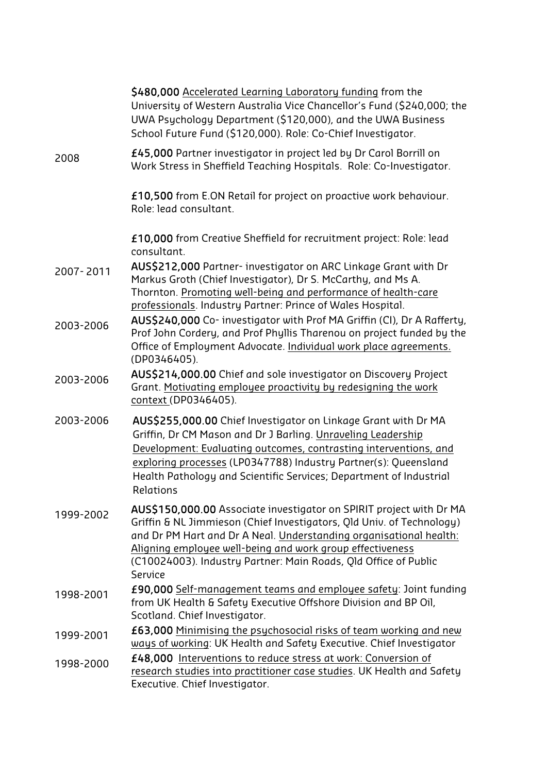|           | \$480,000 Accelerated Learning Laboratory funding from the<br>University of Western Australia Vice Chancellor's Fund (\$240,000; the<br>UWA Psychology Department (\$120,000), and the UWA Business<br>School Future Fund (\$120,000). Role: Co-Chief Investigator.                                                                                           |
|-----------|---------------------------------------------------------------------------------------------------------------------------------------------------------------------------------------------------------------------------------------------------------------------------------------------------------------------------------------------------------------|
| 2008      | £45,000 Partner investigator in project led by Dr Carol Borrill on<br>Work Stress in Sheffield Teaching Hospitals. Role: Co-Investigator.                                                                                                                                                                                                                     |
|           | £10,500 from E.ON Retail for project on proactive work behaviour.<br>Role: lead consultant.                                                                                                                                                                                                                                                                   |
|           | £10,000 from Creative Sheffield for recruitment project: Role: lead<br>consultant.                                                                                                                                                                                                                                                                            |
| 2007-2011 | AUS\$212,000 Partner- investigator on ARC Linkage Grant with Dr<br>Markus Groth (Chief Investigator), Dr S. McCarthy, and Ms A.<br>Thornton. Promoting well-being and performance of health-care<br>professionals. Industry Partner: Prince of Wales Hospital.                                                                                                |
| 2003-2006 | AUS\$240,000 Co- investigator with Prof MA Griffin (CI), Dr A Rafferty,<br>Prof John Cordery, and Prof Phyllis Tharenou on project funded by the<br>Office of Employment Advocate. Individual work place agreements.<br>(DP0346405).                                                                                                                          |
| 2003-2006 | AUS\$214,000.00 Chief and sole investigator on Discovery Project<br>Grant. Motivating employee proactivity by redesigning the work<br>context (DP0346405).                                                                                                                                                                                                    |
| 2003-2006 | AUS\$255,000.00 Chief Investigator on Linkage Grant with Dr MA<br>Griffin, Dr CM Mason and Dr J Barling. Unraveling Leadership<br>Development: Evaluating outcomes, contrasting interventions, and<br>exploring processes (LP0347788) Industry Partner(s): Queensland<br>Health Pathology and Scientific Services; Department of Industrial<br>Relations      |
| 1999-2002 | AUS\$150,000.00 Associate investigator on SPIRIT project with Dr MA<br>Griffin & NL Jimmieson (Chief Investigators, Old Univ. of Technology)<br>and Dr PM Hart and Dr A Neal. Understanding organisational health:<br>Aligning employee well-being and work group effectiveness<br>(C10024003). Industry Partner: Main Roads, Qld Office of Public<br>Service |
| 1998-2001 | £90,000 Self-management teams and employee safety: Joint funding<br>from UK Health & Safety Executive Offshore Division and BP Oil,<br>Scotland. Chief Investigator.                                                                                                                                                                                          |
| 1999-2001 | £63,000 Minimising the psychosocial risks of team working and new<br>ways of working: UK Health and Safety Executive. Chief Investigator                                                                                                                                                                                                                      |
| 1998-2000 | £48,000 Interventions to reduce stress at work: Conversion of<br>research studies into practitioner case studies. UK Health and Safety<br>Executive. Chief Investigator.                                                                                                                                                                                      |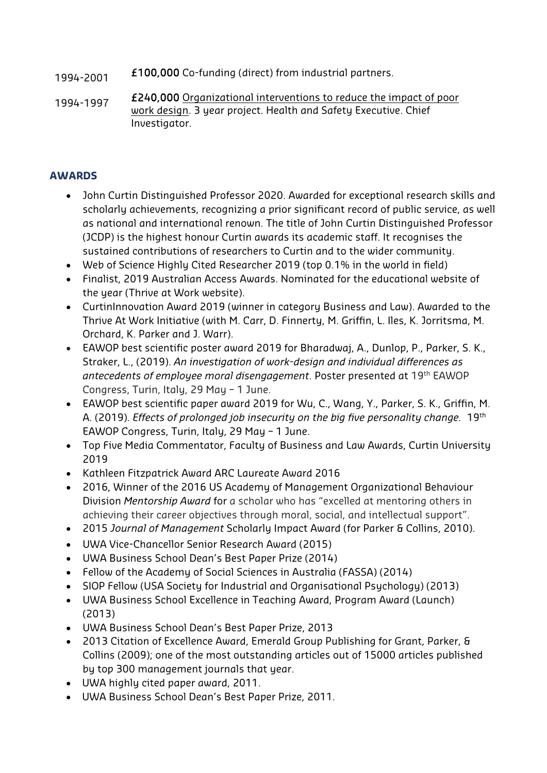- 1994-2001 £100,000 Co-funding (direct) from industrial partners.
- 1994-1997 £240,000 Organizational interventions to reduce the impact of poor work design. 3 year project. Health and Safety Executive. Chief Investigator.

## **AWARDS**

- John Curtin Distinguished Professor 2020. Awarded for exceptional research skills and scholarly achievements, recognizing a prior significant record of public service, as well as national and international renown. The title of John Curtin Distinguished Professor (JCDP) is the highest honour Curtin awards its academic staff. It recognises the sustained contributions of researchers to Curtin and to the wider community.
- Web of Science Highly Cited Researcher 2019 (top 0.1% in the world in field)
- Finalist, 2019 Australian Access Awards. Nominated for the educational website of the year (Thrive at Work website).
- CurtinInnovation Award 2019 (winner in category Business and Law). Awarded to the Thrive At Work Initiative (with M. Carr, D. Finnerty, M. Griffin, L. Iles, K. Jorritsma, M. Orchard, K. Parker and J. Warr).
- EAWOP best scientific poster award 2019 for Bharadwaj, A., Dunlop, P., Parker, S. K., Straker, L., (2019). *An investigation of work-design and individual differences as antecedents of employee moral disengagement*. Poster presented at 19th EAWOP Congress, Turin, Italy, 29 May – 1 June.
- EAWOP best scientific paper award 2019 for Wu, C., Wang, Y., Parker, S. K., Griffin, M. A. (2019). *Effects of prolonged job insecurity on the big five personality change.* 19th EAWOP Congress, Turin, Italy, 29 May – 1 June.
- Top Five Media Commentator, Faculty of Business and Law Awards, Curtin University 2019
- Kathleen Fitzpatrick Award ARC Laureate Award 2016
- 2016, Winner of the 2016 US Academy of Management Organizational Behaviour Division *Mentorship Award* for a scholar who has "excelled at mentoring others in achieving their career objectives through moral, social, and intellectual support".
- 2015 *Journal of Management* Scholarly Impact Award (for Parker & Collins, 2010).
- UWA Vice-Chancellor Senior Research Award (2015)
- UWA Business School Dean's Best Paper Prize (2014)
- Fellow of the Academy of Social Sciences in Australia (FASSA) (2014)
- SIOP Fellow (USA Society for Industrial and Organisational Psychology) (2013)
- UWA Business School Excellence in Teaching Award, Program Award (Launch) (2013)
- UWA Business School Dean's Best Paper Prize, 2013
- 2013 Citation of Excellence Award, Emerald Group Publishing for Grant, Parker, & Collins (2009); one of the most outstanding articles out of 15000 articles published by top 300 management journals that year.
- UWA highly cited paper award, 2011.
- UWA Business School Dean's Best Paper Prize, 2011.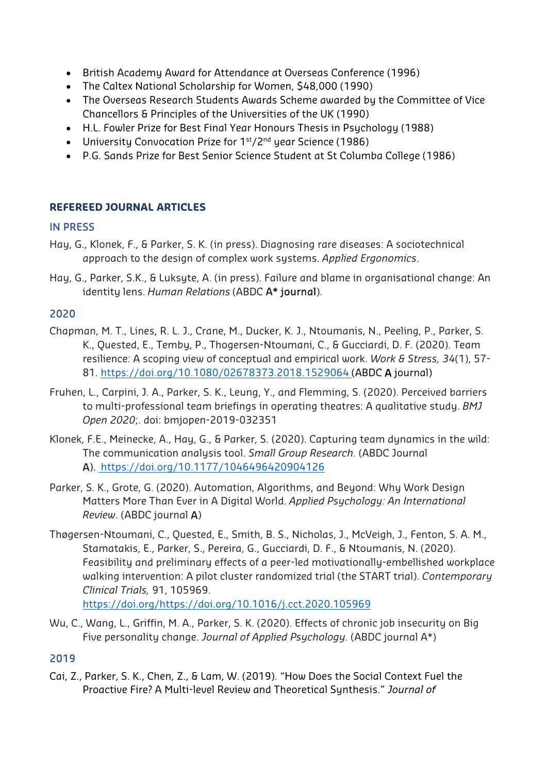- British Academy Award for Attendance at Overseas Conference (1996)
- The Caltex National Scholarship for Women, \$48,000 (1990)
- The Overseas Research Students Awards Scheme awarded by the Committee of Vice Chancellors & Principles of the Universities of the UK (1990)
- H.L. Fowler Prize for Best Final Year Honours Thesis in Psychology (1988)
- University Convocation Prize for 1<sup>st</sup>/2<sup>nd</sup> year Science (1986)
- P.G. Sands Prize for Best Senior Science Student at St Columba College (1986)

# **REFEREED JOURNAL ARTICLES**

# IN PRESS

- Hay, G., Klonek, F., & Parker, S. K. (in press). Diagnosing rare diseases: A sociotechnical approach to the design of complex work systems. *Applied Ergonomics*.
- Hay, G., Parker, S.K., & Luksyte, A. (in press). Failure and blame in organisational change: An identity lens. *Human Relations* (ABDC A\* journal).

## 2020

- Chapman, M. T., Lines, R. L. J., Crane, M., Ducker, K. J., Ntoumanis, N., Peeling, P., Parker, S. K., Quested, E., Temby, P., Thogersen-Ntoumani, C., & Gucciardi, D. F. (2020). Team resilience: A scoping view of conceptual and empirical work. *Work & Stress, 34*(1), 57- 81. https://doi.org/10.1080/02678373.2018.1529064 (ABDC A journal)
- Fruhen, L., Carpini, J. A., Parker, S. K., Leung, Y., and Flemming, S. (2020). Perceived barriers to multi-professional team briefings in operating theatres: A qualitative study. *BMJ Open 2020*;. doi: bmjopen-2019-032351
- Klonek, F.E., Meinecke, A., Hay, G., & Parker, S. (2020). Capturing team dynamics in the wild: The communication analysis tool. *Small Group Research.* (ABDC Journal A). https://doi.org/10.1177/1046496420904126
- Parker, S. K., Grote, G. (2020). Automation, Algorithms, and Beyond: Why Work Design Matters More Than Ever in A Digital World. *Applied Psychology: An International Review*. (ABDC journal A)
- Thøgersen-Ntoumani, C., Quested, E., Smith, B. S., Nicholas, J., McVeigh, J., Fenton, S. A. M., Stamatakis, E., Parker, S., Pereira, G., Gucciardi, D. F., & Ntoumanis, N. (2020). Feasibility and preliminary effects of a peer-led motivationally-embellished workplace walking intervention: A pilot cluster randomized trial (the START trial). *Contemporary Clinical Trials,* 91, 105969.

https://doi.org/https://doi.org/10.1016/j.cct.2020.105969

Wu, C., Wang, L., Griffin, M. A., Parker, S. K. (2020). Effects of chronic job insecurity on Big Five personality change. *Journal of Applied Psychology.* (ABDC journal A\*)

# 2019

Cai, Z., Parker, S. K., Chen, Z., & Lam, W. (2019). "How Does the Social Context Fuel the Proactive Fire? A Multi-level Review and Theoretical Synthesis." *Journal of*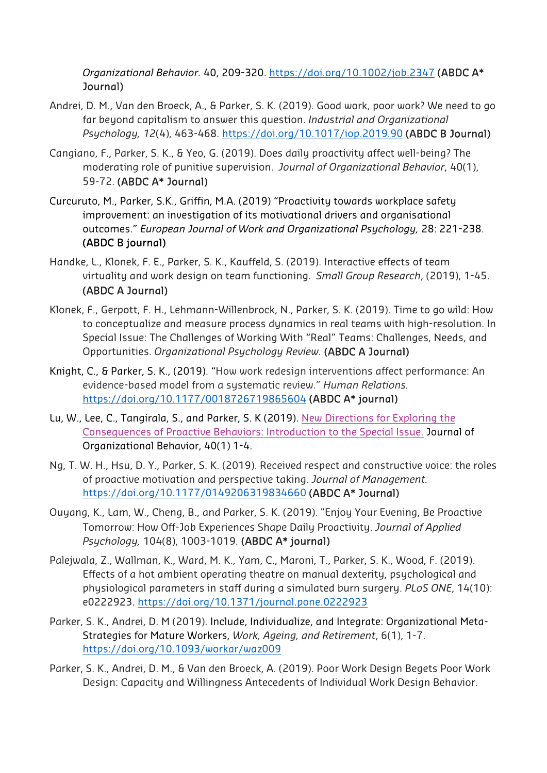*Organizational Behavior.* 40, 209-320. https://doi.org/10.1002/job.2347 (ABDC A\* Journal)

- Andrei, D. M., Van den Broeck, A., & Parker, S. K. (2019). Good work, poor work? We need to go far beyond capitalism to answer this question. *Industrial and Organizational Psychology, 12*(4), 463-468. https://doi.org/10.1017/iop.2019.90 (ABDC B Journal)
- Cangiano, F., Parker, S. K., & Yeo, G. (2019). Does daily proactivity affect well-being? The moderating role of punitive supervision. *Journal of Organizational Behavior*, 40(1), 59-72. (ABDC A\* Journal)
- Curcuruto, M., Parker, S.K., Griffin, M.A. (2019) "Proactivity towards workplace safety improvement: an investigation of its motivational drivers and organisational outcomes." *European Journal of Work and Organizational Psychology,* 28: 221-238. (ABDC B journal)
- Handke, L., Klonek, F. E., Parker, S. K., Kauffeld, S. (2019). Interactive effects of team virtuality and work design on team functioning. *Small Group Research*, (2019), 1-45. (ABDC A Journal)
- Klonek, F., Gerpott, F. H., Lehmann-Willenbrock, N., Parker, S. K. (2019). Time to go wild: How to conceptualize and measure process dynamics in real teams with high-resolution. In Special Issue: The Challenges of Working With "Real" Teams: Challenges, Needs, and Opportunities. *Organizational Psychology Review.* (ABDC A Journal)
- Knight, C., & Parker, S. K., (2019). "How work redesign interventions affect performance: An evidence-based model from a systematic review." *Human Relations.*  https://doi.org/10.1177/0018726719865604 (ABDC A\* journal)
- Lu, W., Lee, C., Tangirala, S., and Parker, S. K (2019). New Directions for Exploring the Consequences of Proactive Behaviors: Introduction to the Special Issue. Journal of Organizational Behavior, 40(1) 1-4.
- Ng, T. W. H., Hsu, D. Y., Parker, S. K. (2019). Received respect and constructive voice: the roles of proactive motivation and perspective taking. *Journal of Management.*  https://doi.org/10.1177/0149206319834660 (ABDC A\* Journal)
- Ouyang, K., Lam, W., Cheng, B., and Parker, S. K. (2019). "Enjoy Your Evening, Be Proactive Tomorrow: How Off-Job Experiences Shape Daily Proactivity. *Journal of Applied Psychology,* 104(8), 1003-1019. (ABDC A\* journal)
- Palejwala, Z., Wallman, K., Ward, M. K., Yam, C., Maroni, T., Parker, S. K., Wood, F. (2019). Effects of a hot ambient operating theatre on manual dexterity, psychological and physiological parameters in staff during a simulated burn surgery. *PLoS ONE*, 14(10): e0222923. https://doi.org/10.1371/journal.pone.0222923
- Parker, S. K., Andrei, D. M (2019). Include, Individualize, and Integrate: Organizational Meta-Strategies for Mature Workers, *Work, Ageing, and Retirement*, 6(1), 1-7. https://doi.org/10.1093/workar/waz009
- Parker, S. K., Andrei, D. M., & Van den Broeck, A. (2019). Poor Work Design Begets Poor Work Design: Capacity and Willingness Antecedents of Individual Work Design Behavior.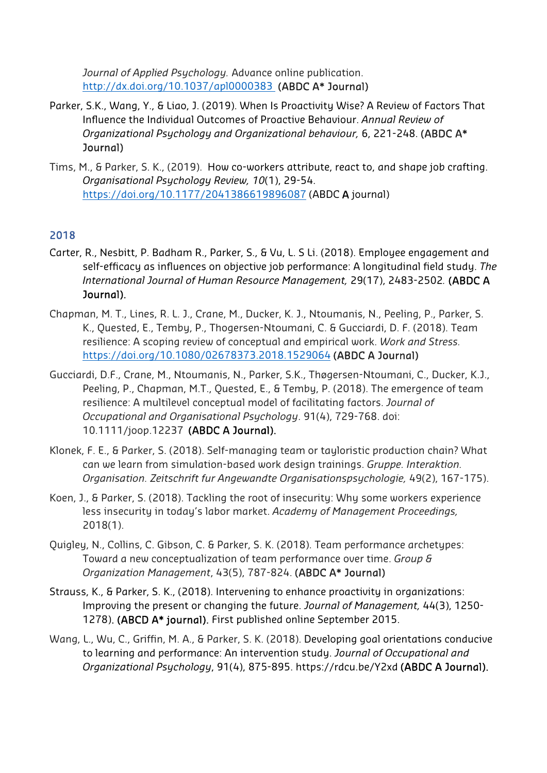*Journal of Applied Psychology.* Advance online publication. http://dx.doi.org/10.1037/apl0000383 (ABDC A\* Journal)

- Parker, S.K., Wang, Y., & Liao, J. (2019). When Is Proactivity Wise? A Review of Factors That Influence the Individual Outcomes of Proactive Behaviour. *Annual Review of Organizational Psychology and Organizational behaviour,* 6, 221-248. (ABDC A\* Journal)
- Tims, M., & Parker, S. K., (2019). How co-workers attribute, react to, and shape job crafting. *Organisational Psychology Review, 10*(1), 29-54. https://doi.org/10.1177/2041386619896087 (ABDC A journal)

# 2018

- Carter, R., Nesbitt, P. Badham R., Parker, S., & Vu, L. S Li. (2018). Employee engagement and self-efficacy as influences on objective job performance: A longitudinal field study. *The International Journal of Human Resource Management,* 29(17), 2483-2502*.* (ABDC A Journal).
- Chapman, M. T., Lines, R. L. J., Crane, M., Ducker, K. J., Ntoumanis, N., Peeling, P., Parker, S. K., Quested, E., Temby, P., Thogersen-Ntoumani, C. & Gucciardi, D. F. (2018). Team resilience: A scoping review of conceptual and empirical work. *Work and Stress.*  https://doi.org/10.1080/02678373.2018.1529064 (ABDC A Journal)
- Gucciardi, D.F., Crane, M., Ntoumanis, N., Parker, S.K., Thøgersen-Ntoumani, C., Ducker, K.J., Peeling, P., Chapman, M.T., Quested, E., & Temby, P. (2018). The emergence of team resilience: A multilevel conceptual model of facilitating factors. *Journal of Occupational and Organisational Psychology*. 91(4), 729-768. doi: 10.1111/joop.12237 (ABDC A Journal).
- Klonek, F. E., & Parker, S. (2018). Self-managing team or tayloristic production chain? What can we learn from simulation-based work design trainings. *Gruppe. Interaktion. Organisation. Zeitschrift fur Angewandte Organisationspsychologie,* 49(2), 167-175).
- Koen, J., & Parker, S. (2018). Tackling the root of insecurity: Why some workers experience less insecurity in today's labor market. *Academy of Management Proceedings,*  2018(1).
- Quigley, N., Collins, C. Gibson, C. & Parker, S. K. (2018). Team performance archetypes: Toward a new conceptualization of team performance over time. *Group & Organization Management*, 43(5), 787-824. (ABDC A\* Journal)
- Strauss, K., & Parker, S. K., (2018). Intervening to enhance proactivity in organizations: Improving the present or changing the future. *Journal of Management,* 44(3), 1250- 1278). (ABCD A\* journal). First published online September 2015.
- Wang, L., Wu, C., Griffin, M. A., & Parker, S. K. (2018). Developing goal orientations conducive to learning and performance: An intervention study. *Journal of Occupational and Organizational Psychology*, 91(4), 875-895. https://rdcu.be/Y2xd (ABDC A Journal).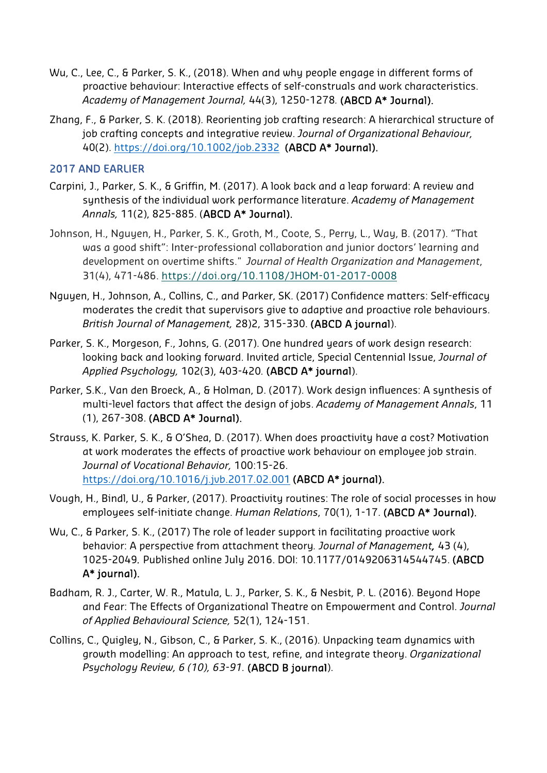- Wu, C., Lee, C., & Parker, S. K., (2018). When and why people engage in different forms of proactive behaviour: Interactive effects of self-construals and work characteristics. *Academy of Management Journal,* 44(3), 1250-1278*.* (ABCD A\* Journal).
- Zhang, F., & Parker, S. K. (2018). Reorienting job crafting research: A hierarchical structure of job crafting concepts and integrative review. *Journal of Organizational Behaviour,*  40(2). https://doi.org/10.1002/job.2332 (ABCD A\* Journal).

## 2017 AND EARLIER

- Carpini, J., Parker, S. K., & Griffin, M. (2017). A look back and a leap forward: A review and synthesis of the individual work performance literature. *Academy of Management Annals,* 11(2), 825-885. (ABCD A\* Journal).
- Johnson, H., Nguyen, H., Parker, S. K., Groth, M., Coote, S., Perry, L., Way, B. (2017). "That was a good shift": Inter-professional collaboration and junior doctors' learning and development on overtime shifts." *Journal of Health Organization and Management*, 31(4), 471-486. https://doi.org/10.1108/JHOM-01-2017-0008
- Nguyen, H., Johnson, A., Collins, C., and Parker, SK. (2017) Confidence matters: Self-efficacy moderates the credit that supervisors give to adaptive and proactive role behaviours. *British Journal of Management,* 28)2, 315-330. (ABCD A journal).
- Parker, S. K., Morgeson, F., Johns, G. (2017). One hundred years of work design research: looking back and looking forward. Invited article, Special Centennial Issue, *Journal of Applied Psychology,* 102(3), 403-420*.* (ABCD A\* journal).
- Parker, S.K., Van den Broeck, A., & Holman, D. (2017). Work design influences: A synthesis of multi-level factors that affect the design of jobs. *Academy of Management Annals*, 11 (1), 267-308. (ABCD A\* Journal).
- Strauss, K. Parker, S. K., & O'Shea, D. (2017). When does proactivity have a cost? Motivation at work moderates the effects of proactive work behaviour on employee job strain. *Journal of Vocational Behavior,* 100:15-26. https://doi.org/10.1016/j.jvb.2017.02.001 (ABCD A\* journal).
- Vough, H., Bindl, U., & Parker, (2017). Proactivity routines: The role of social processes in how employees self-initiate change. *Human Relations*, 70(1), 1-17. (ABCD A\* Journal).
- Wu, C., & Parker, S. K., (2017) The role of leader support in facilitating proactive work behavior: A perspective from attachment theory*. Journal of Management,* 43 (4), 1025-2049*.* Published online July 2016. DOI: 10.1177/0149206314544745. (ABCD A\* journal).
- Badham, R. J., Carter, W. R., Matula, L. J., Parker, S. K., & Nesbit, P. L. (2016). Beyond Hope and Fear: The Effects of Organizational Theatre on Empowerment and Control. *Journal of Applied Behavioural Science,* 52(1), 124-151.
- Collins, C., Quigley, N., Gibson, C., & Parker, S. K., (2016). Unpacking team dynamics with growth modelling: An approach to test, refine, and integrate theory. *Organizational Psychology Review, 6 (10), 63-91.* (ABCD B journal).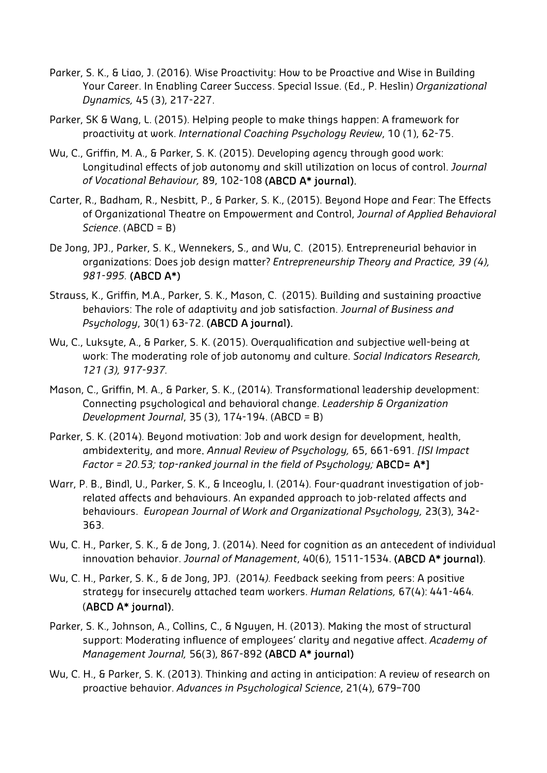- Parker, S. K., & Liao, J. (2016). Wise Proactivity: How to be Proactive and Wise in Building Your Career. In Enabling Career Success. Special Issue. (Ed., P. Heslin) *Organizational Dynamics,* 45 (3), 217-227.
- Parker, SK & Wang, L. (2015). Helping people to make things happen: A framework for proactivity at work. *International Coaching Psychology Review*, 10 (1), 62-75.
- Wu, C., Griffin, M. A., & Parker, S. K. (2015). Developing agency through good work: Longitudinal effects of job autonomy and skill utilization on locus of control. *Journal of Vocational Behaviour,* 89, 102-108 (ABCD A\* journal).
- Carter, R., Badham, R., Nesbitt, P., & Parker, S. K., (2015). Beyond Hope and Fear: The Effects of Organizational Theatre on Empowerment and Control, *Journal of Applied Behavioral Science*. (ABCD = B)
- De Jong, JPJ., Parker, S. K., Wennekers, S., and Wu, C. (2015). Entrepreneurial behavior in organizations: Does job design matter? *Entrepreneurship Theory and Practice, 39 (4), 981-995.* (ABCD A\*)
- Strauss, K., Griffin, M.A., Parker, S. K., Mason, C. (2015). Building and sustaining proactive behaviors: The role of adaptivity and job satisfaction. *Journal of Business and Psychology*, 30(1) 63-72. (ABCD A journal).
- Wu, C., Luksyte, A., & Parker, S. K. (2015). Overqualification and subjective well-being at work: The moderating role of job autonomy and culture. *Social Indicators Research, 121 (3), 917-937.*
- Mason, C., Griffin, M. A., & Parker, S. K., (2014). Transformational leadership development: Connecting psychological and behavioral change. *Leadership & Organization Development Journal*, 35 (3), 174-194. (ABCD = B)
- Parker, S. K. (2014). Beyond motivation: Job and work design for development, health, ambidexterity, and more. *Annual Review of Psychology,* 65, 661-691*. [ISI Impact Factor = 20.53; top-ranked journal in the field of Psychology;* ABCD= A\*]
- Warr, P. B., Bindl, U., Parker, S. K., & Inceoglu, I. (2014). Four-quadrant investigation of jobrelated affects and behaviours. An expanded approach to job-related affects and behaviours. *European Journal of Work and Organizational Psychology,* 23(3), 342- 363.
- Wu, C. H., Parker, S. K., & de Jong, J. (2014). Need for cognition as an antecedent of individual innovation behavior. *Journal of Management*, 40(6), 1511-1534. (ABCD A\* journal).
- Wu, C. H., Parker, S. K., & de Jong, JPJ. (2014*).* Feedback seeking from peers: A positive strategy for insecurely attached team workers. *Human Relations,* 67(4): 441-464*.* (ABCD A\* journal).
- Parker, S. K., Johnson, A., Collins, C., & Nguyen, H. (2013). Making the most of structural support: Moderating influence of employees' clarity and negative affect. *Academy of Management Journal,* 56(3), 867-892 (ABCD A\* journal)
- Wu, C. H., & Parker, S. K. (2013). Thinking and acting in anticipation: A review of research on proactive behavior. *Advances in Psychological Science*, 21(4), 679–700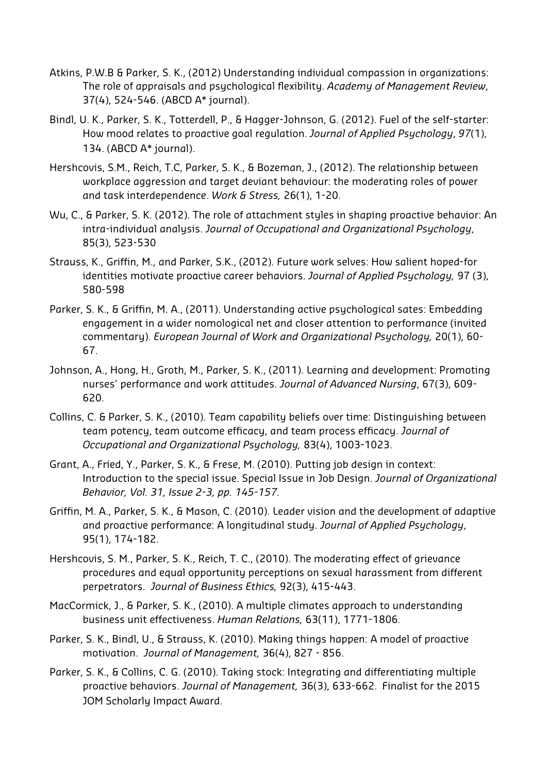- Atkins, P.W.B & Parker, S. K., (2012) Understanding individual compassion in organizations: The role of appraisals and psychological flexibility. *Academy of Management Review*, 37(4), 524-546. (ABCD A\* journal).
- Bindl, U. K., Parker, S. K., Totterdell, P., & Hagger-Johnson, G. (2012). Fuel of the self-starter: How mood relates to proactive goal regulation. *Journal of Applied Psychology*, *97*(1), 134. (ABCD A\* journal).
- Hershcovis, S.M., Reich, T.C, Parker, S. K., & Bozeman, J., (2012). The relationship between workplace aggression and target deviant behaviour: the moderating roles of power and task interdependence. *Work & Stress,* 26(1), 1-20.
- Wu, C., & Parker, S. K. (2012). The role of attachment styles in shaping proactive behavior: An intra-individual analysis. *Journal of Occupational and Organizational Psychology*, 85(3), 523-530
- Strauss, K., Griffin, M., and Parker, S.K., (2012). Future work selves: How salient hoped-for identities motivate proactive career behaviors. *Journal of Applied Psychology,* 97 (3), 580-598
- Parker, S. K., & Griffin, M. A., (2011). Understanding active psychological sates: Embedding engagement in a wider nomological net and closer attention to performance (invited commentary). *European Journal of Work and Organizational Psychology,* 20(1), 60- 67.
- Johnson, A., Hong, H., Groth, M., Parker, S. K., (2011). Learning and development: Promoting nurses' performance and work attitudes. *Journal of Advanced Nursing*, 67(3), 609- 620.
- Collins, C. & Parker, S. K., (2010). Team capability beliefs over time: Distinguishing between team potency, team outcome efficacy, and team process efficacy. *Journal of Occupational and Organizational Psychology,* 83(4), 1003-1023.
- Grant, A., Fried, Y., Parker, S. K., & Frese, M. (2010). Putting job design in context: Introduction to the special issue. Special Issue in Job Design. *Journal of Organizational Behavior, Vol. 31, Issue 2-3, pp. 145-157.*
- Griffin, M. A., Parker, S. K., & Mason, C. (2010). Leader vision and the development of adaptive and proactive performance: A longitudinal study. *Journal of Applied Psychology*, 95(1), 174-182.
- Hershcovis, S. M., Parker, S. K., Reich, T. C., (2010). The moderating effect of grievance procedures and equal opportunity perceptions on sexual harassment from different perpetrators. *Journal of Business Ethics,* 92(3), 415-443.
- MacCormick, J., & Parker, S. K., (2010). A multiple climates approach to understanding business unit effectiveness. *Human Relations,* 63(11), 1771-1806*.*
- Parker, S. K., Bindl, U., & Strauss, K. (2010). Making things happen: A model of proactive motivation. *Journal of Management,* 36(4), 827 - 856.
- Parker, S. K., & Collins, C. G. (2010). Taking stock: Integrating and differentiating multiple proactive behaviors. *Journal of Management,* 36(3), 633-662. Finalist for the 2015 JOM Scholarly Impact Award.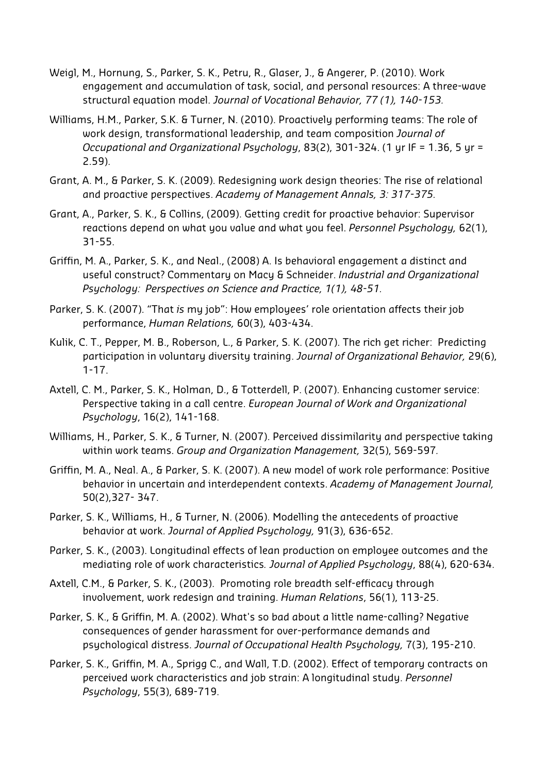- Weigl, M., Hornung, S., Parker, S. K., Petru, R., Glaser, J., & Angerer, P. (2010). Work engagement and accumulation of task, social, and personal resources: A three-wave structural equation model. *Journal of Vocational Behavior, 77 (1), 140-153.*
- Williams, H.M., Parker, S.K. & Turner, N. (2010). Proactively performing teams: The role of work design, transformational leadership, and team composition *Journal of Occupational and Organizational Psychology*, 83(2), 301-324. (1 yr IF = 1.36, 5 yr = 2.59).
- Grant, A. M., & Parker, S. K. (2009). Redesigning work design theories: The rise of relational and proactive perspectives. *Academy of Management Annals, 3: 317-375.*
- Grant, A., Parker, S. K., & Collins, (2009). Getting credit for proactive behavior: Supervisor reactions depend on what you value and what you feel. *Personnel Psychology,* 62(1), 31-55.
- Griffin, M. A., Parker, S. K., and Neal., (2008) A. Is behavioral engagement a distinct and useful construct? Commentary on Macy & Schneider. *Industrial and Organizational Psychology: Perspectives on Science and Practice, 1(1), 48-51.*
- Parker, S. K. (2007). "That *is* my job": How employees' role orientation affects their job performance, *Human Relations,* 60(3), 403-434.
- Kulik, C. T., Pepper, M. B., Roberson, L., & Parker, S. K. (2007). The rich get richer: Predicting participation in voluntary diversity training. *Journal of Organizational Behavior,* 29(6), 1-17.
- Axtell, C. M., Parker, S. K., Holman, D., & Totterdell, P. (2007). Enhancing customer service: Perspective taking in a call centre. *European Journal of Work and Organizational Psychology*, 16(2), 141-168.
- Williams, H., Parker, S. K., & Turner, N. (2007). Perceived dissimilarity and perspective taking within work teams. *Group and Organization Management,* 32(5), 569-597*.*
- Griffin, M. A., Neal. A., & Parker, S. K. (2007). A new model of work role performance: Positive behavior in uncertain and interdependent contexts. *Academy of Management Journal,*  50(2),327- 347.
- Parker, S. K., Williams, H., & Turner, N. (2006). Modelling the antecedents of proactive behavior at work. *Journal of Applied Psychology,* 91(3), 636-652.
- Parker, S. K., (2003). Longitudinal effects of lean production on employee outcomes and the mediating role of work characteristics*. Journal of Applied Psychology*, 88(4), 620-634.
- Axtell, C.M., & Parker, S. K., (2003). Promoting role breadth self-efficacy through involvement, work redesign and training. *Human Relations*, 56(1), 113-25.
- Parker, S. K., & Griffin, M. A. (2002). What's so bad about a little name-calling? Negative consequences of gender harassment for over-performance demands and psychological distress. *Journal of Occupational Health Psychology,* 7(3), 195-210.
- Parker, S. K., Griffin, M. A., Sprigg C., and Wall, T.D. (2002). Effect of temporary contracts on perceived work characteristics and job strain: A longitudinal study. *Personnel Psychology*, 55(3), 689-719.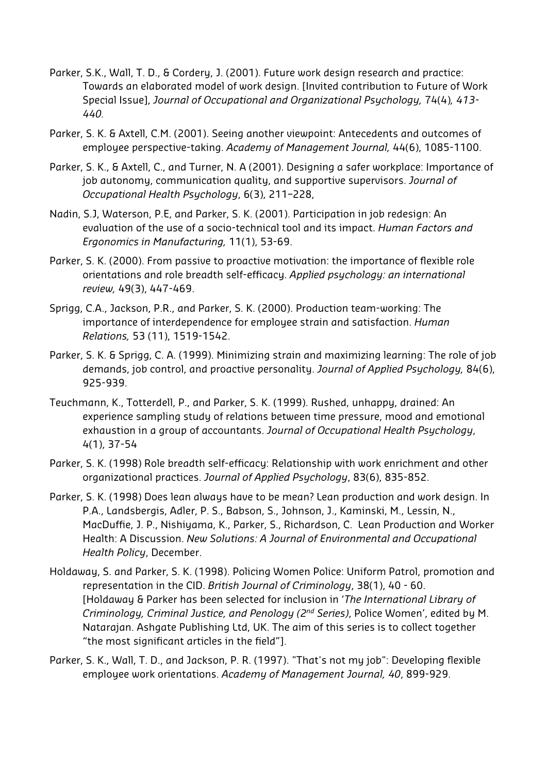- Parker, S.K., Wall, T. D., & Cordery, J. (2001). Future work design research and practice: Towards an elaborated model of work design. [Invited contribution to Future of Work Special Issue], *Journal of Occupational and Organizational Psychology,* 74(4)*, 413- 440.*
- Parker, S. K. & Axtell, C.M. (2001). Seeing another viewpoint: Antecedents and outcomes of employee perspective-taking. *Academy of Management Journal,* 44(6), 1085-1100.
- Parker, S. K., & Axtell, C., and Turner, N. A (2001). Designing a safer workplace: Importance of job autonomy, communication quality, and supportive supervisors. *Journal of Occupational Health Psychology*, 6(3), 211–228,
- Nadin, S.J, Waterson, P.E, and Parker, S. K. (2001). Participation in job redesign: An evaluation of the use of a socio-technical tool and its impact. *Human Factors and Ergonomics in Manufacturing,* 11(1), 53-69.
- Parker, S. K. (2000). From passive to proactive motivation: the importance of flexible role orientations and role breadth self-efficacy. *Applied psychology: an international review,* 49(3), 447-469.
- Sprigg, C.A., Jackson, P.R., and Parker, S. K. (2000). Production team-working: The importance of interdependence for employee strain and satisfaction. *Human Relations,* 53 (11), 1519-1542.
- Parker, S. K. & Sprigg, C. A. (1999). Minimizing strain and maximizing learning: The role of job demands, job control, and proactive personality. *Journal of Applied Psychology,* 84(6), 925-939.
- Teuchmann, K., Totterdell, P., and Parker, S. K. (1999). Rushed, unhappy, drained: An experience sampling study of relations between time pressure, mood and emotional exhaustion in a group of accountants. *Journal of Occupational Health Psychology*, 4(1), 37-54
- Parker, S. K. (1998) Role breadth self-efficacy: Relationship with work enrichment and other organizational practices. *Journal of Applied Psychology*, 83(6), 835-852.
- Parker, S. K. (1998) Does lean always have to be mean? Lean production and work design. In P.A., Landsbergis, Adler, P. S., Babson, S., Johnson, J., Kaminski, M., Lessin, N., MacDuffie, J. P., Nishiyama, K., Parker, S., Richardson, C. Lean Production and Worker Health: A Discussion. *New Solutions: A Journal of Environmental and Occupational Health Policy*, December.
- Holdaway, S. and Parker, S. K. (1998). Policing Women Police: Uniform Patrol, promotion and representation in the CID. *British Journal of Criminology*, 38(1), 40 - 60. [Holdaway & Parker has been selected for inclusion in '*The International Library of Criminology, Criminal Justice, and Penology (2nd Series)*, Police Women', edited by M. Natarajan. Ashgate Publishing Ltd, UK. The aim of this series is to collect together "the most significant articles in the field"].
- Parker, S. K., Wall, T. D., and Jackson, P. R. (1997). "That's not my job": Developing flexible employee work orientations. *Academy of Management Journal, 40*, 899-929.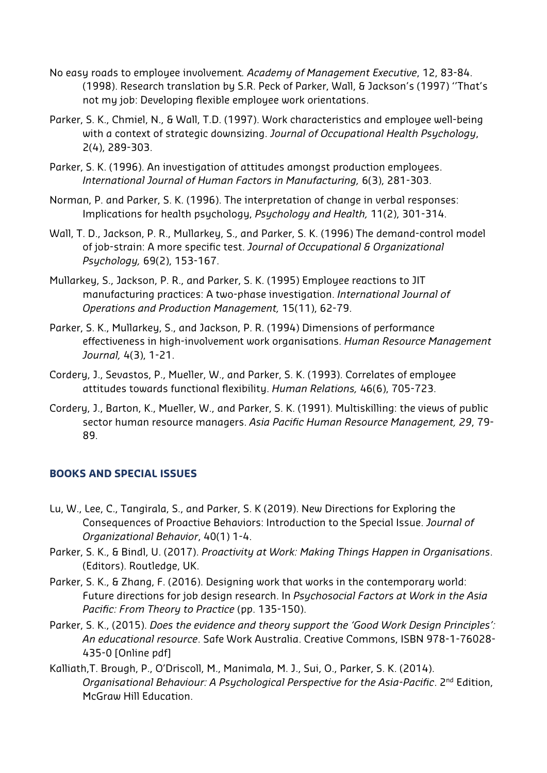- No easy roads to employee involvement*. Academy of Management Executive*, 12, 83-84. (1998). Research translation by S.R. Peck of Parker, Wall, & Jackson's (1997) ''That's not my job: Developing flexible employee work orientations.
- Parker, S. K., Chmiel, N., & Wall, T.D. (1997). Work characteristics and employee well-being with a context of strategic downsizing. *Journal of Occupational Health Psychology*, 2(4), 289-303.
- Parker, S. K. (1996). An investigation of attitudes amongst production employees. *International Journal of Human Factors in Manufacturing,* 6(3), 281-303.
- Norman, P. and Parker, S. K. (1996). The interpretation of change in verbal responses: Implications for health psychology, *Psychology and Health,* 11(2), 301-314.
- Wall, T. D., Jackson, P. R., Mullarkey, S., and Parker, S. K. (1996) The demand-control model of job-strain: A more specific test. *Journal of Occupational & Organizational Psychology,* 69(2), 153-167.
- Mullarkey, S., Jackson, P. R., and Parker, S. K. (1995) Employee reactions to JIT manufacturing practices: A two-phase investigation. *International Journal of Operations and Production Management,* 15(11), 62-79.
- Parker, S. K., Mullarkey, S., and Jackson, P. R. (1994) Dimensions of performance effectiveness in high-involvement work organisations. *Human Resource Management Journal,* 4(3), 1-21.
- Cordery, J., Sevastos, P., Mueller, W., and Parker, S. K. (1993). Correlates of employee attitudes towards functional flexibility. *Human Relations,* 46(6), 705-723.
- Cordery, J., Barton, K., Mueller, W., and Parker, S. K. (1991). Multiskilling: the views of public sector human resource managers. *Asia Pacific Human Resource Management, 29*, 79- 89.

## **BOOKS AND SPECIAL ISSUES**

- Lu, W., Lee, C., Tangirala, S., and Parker, S. K (2019). New Directions for Exploring the Consequences of Proactive Behaviors: Introduction to the Special Issue. *Journal of Organizational Behavior*, 40(1) 1-4.
- Parker, S. K., & Bindl, U. (2017). *Proactivity at Work: Making Things Happen in Organisations*. (Editors). Routledge, UK.
- Parker, S. K., & Zhang, F. (2016). Designing work that works in the contemporary world: Future directions for job design research. In *Psychosocial Factors at Work in the Asia Pacific: From Theory to Practice* (pp. 135-150).
- Parker, S. K., (2015). *Does the evidence and theory support the 'Good Work Design Principles': An educational resource*. Safe Work Australia. Creative Commons, ISBN 978-1-76028- 435-0 [Online pdf]
- Kalliath,T. Brough, P., O'Driscoll, M., Manimala, M. J., Sui, O., Parker, S. K. (2014). *Organisational Behaviour: A Psychological Perspective for the Asia-Pacific*. 2nd Edition, McGraw Hill Education.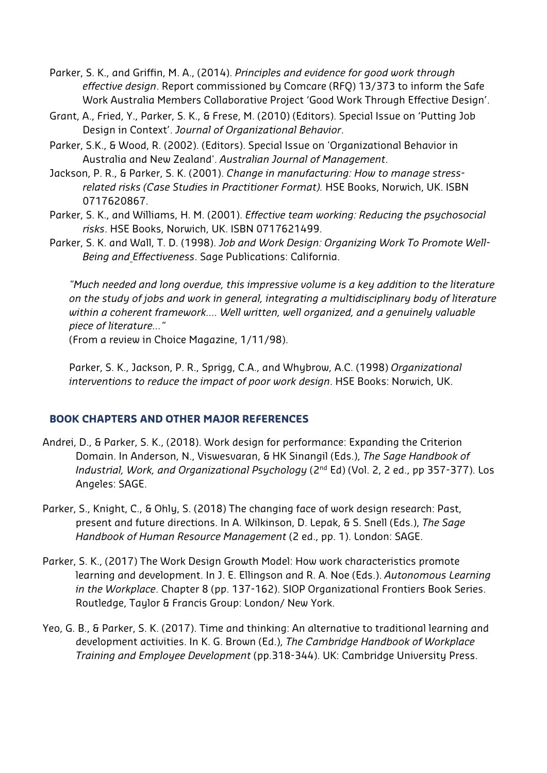- Parker, S. K., and Griffin, M. A., (2014). *Principles and evidence for good work through effective design*. Report commissioned by Comcare (RFQ) 13/373 to inform the Safe Work Australia Members Collaborative Project 'Good Work Through Effective Design'.
- Grant, A., Fried, Y., Parker, S. K., & Frese, M. (2010) (Editors). Special Issue on 'Putting Job Design in Context'. *Journal of Organizational Behavior*.
- Parker, S.K., & Wood, R. (2002). (Editors). Special Issue on 'Organizational Behavior in Australia and New Zealand'. *Australian Journal of Management*.
- Jackson, P. R., & Parker, S. K. (2001). *Change in manufacturing: How to manage stressrelated risks (Case Studies in Practitioner Format).* HSE Books, Norwich, UK. ISBN 0717620867.
- Parker, S. K., and Williams, H. M. (2001). *Effective team working: Reducing the psychosocial risks*. HSE Books, Norwich, UK. ISBN 0717621499.
- Parker, S. K. and Wall, T. D. (1998). *Job and Work Design: Organizing Work To Promote Well-Being and Effectiveness*. Sage Publications: California.

*"Much needed and long overdue, this impressive volume is a key addition to the literature on the study of jobs and work in general, integrating a multidisciplinary body of literature within a coherent framework…. Well written, well organized, and a genuinely valuable piece of literature…"* 

(From a review in Choice Magazine, 1/11/98).

Parker, S. K., Jackson, P. R., Sprigg, C.A., and Whybrow, A.C. (1998) *Organizational interventions to reduce the impact of poor work design*. HSE Books: Norwich, UK.

#### **BOOK CHAPTERS AND OTHER MAJOR REFERENCES**

- Andrei, D., & Parker, S. K., (2018). Work design for performance: Expanding the Criterion Domain. In Anderson, N., Viswesvaran, & HK Sinangil (Eds.), *The Sage Handbook of Industrial, Work, and Organizational Psychology* (2<sup>nd</sup> Ed) (Vol. 2, 2 ed., pp 357-377). Los Angeles: SAGE.
- Parker, S., Knight, C., & Ohly, S. (2018) The changing face of work design research: Past, present and future directions. In A. Wilkinson, D. Lepak, & S. Snell (Eds.), *The Sage Handbook of Human Resource Management* (2 ed., pp. 1). London: SAGE.
- Parker, S. K., (2017) The Work Design Growth Model: How work characteristics promote learning and development. In J. E. Ellingson and R. A. Noe (Eds.). *Autonomous Learning in the Workplace*. Chapter 8 (pp. 137-162). SIOP Organizational Frontiers Book Series. Routledge, Taylor & Francis Group: London/ New York.
- Yeo, G. B., & Parker, S. K. (2017). Time and thinking: An alternative to traditional learning and development activities. In K. G. Brown (Ed.), *The Cambridge Handbook of Workplace Training and Employee Development* (pp.318-344). UK: Cambridge University Press.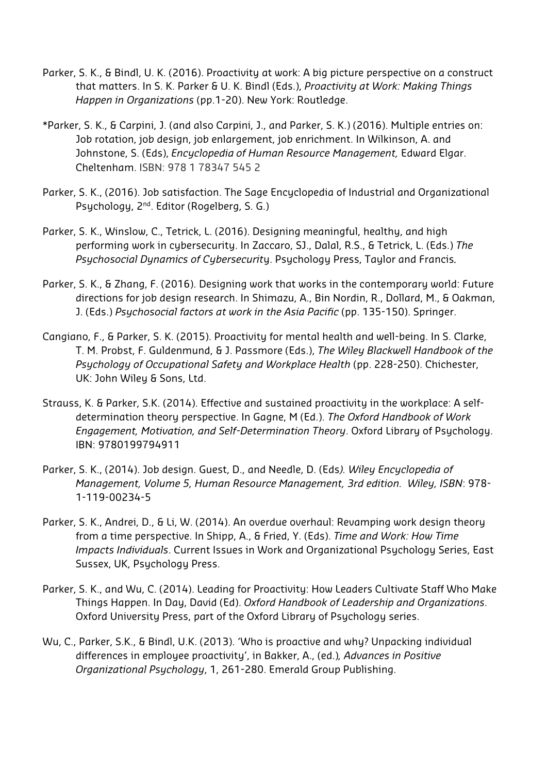- Parker, S. K., & Bindl, U. K. (2016). Proactivity at work: A big picture perspective on a construct that matters. In S. K. Parker & U. K. Bindl (Eds.), *Proactivity at Work: Making Things Happen in Organizations* (pp.1-20). New York: Routledge.
- \*Parker, S. K., & Carpini, J. (and also Carpini, J., and Parker, S. K.) (2016). Multiple entries on: Job rotation, job design, job enlargement, job enrichment. In Wilkinson, A. and Johnstone, S. (Eds), *Encyclopedia of Human Resource Management,* Edward Elgar. Cheltenham. ISBN: 978 1 78347 545 2
- Parker, S. K., (2016). Job satisfaction. The Sage Encyclopedia of Industrial and Organizational Psychology, 2<sup>nd</sup>. Editor (Rogelberg, S. G.)
- Parker, S. K., Winslow, C., Tetrick, L. (2016). Designing meaningful, healthy, and high performing work in cybersecurity. In Zaccaro, SJ., Dalal, R.S., & Tetrick, L. (Eds.) *The Psychosocial Dynamics of Cybersecurit*y. Psychology Press, Taylor and Francis*.*
- Parker, S. K., & Zhang, F. (2016). Designing work that works in the contemporary world: Future directions for job design research. In Shimazu, A., Bin Nordin, R., Dollard, M., & Oakman, J. (Eds.) *Psychosocial factors at work in the Asia Pacific* (pp. 135-150). Springer.
- Cangiano, F., & Parker, S. K. (2015). Proactivity for mental health and well-being. In S. Clarke, T. M. Probst, F. Guldenmund, & J. Passmore (Eds.), *The Wiley Blackwell Handbook of the Psychology of Occupational Safety and Workplace Health* (pp. 228-250). Chichester, UK: John Wiley & Sons, Ltd.
- Strauss, K. & Parker, S.K. (2014). Effective and sustained proactivity in the workplace: A selfdetermination theory perspective. In Gagne, M (Ed.). *The Oxford Handbook of Work Engagement, Motivation, and Self-Determination Theory*. Oxford Library of Psychology. IBN: 9780199794911
- Parker, S. K., (2014). Job design. Guest, D., and Needle, D. (Eds*). Wiley Encyclopedia of Management, Volume 5, Human Resource Management, 3rd edition. Wiley, ISBN*: 978- 1-119-00234-5
- Parker, S. K., Andrei, D., & Li, W. (2014). An overdue overhaul: Revamping work design theory from a time perspective. In Shipp, A., & Fried, Y. (Eds). *Time and Work: How Time Impacts Individuals*. Current Issues in Work and Organizational Psychology Series, East Sussex, UK, Psychology Press.
- Parker, S. K., and Wu, C. (2014). Leading for Proactivity: How Leaders Cultivate Staff Who Make Things Happen. In Day, David (Ed). *Oxford Handbook of Leadership and Organizations*. Oxford University Press, part of the Oxford Library of Psychology series.
- Wu, C., Parker, S.K., & Bindl, U.K. (2013). 'Who is proactive and why? Unpacking individual differences in employee proactivity', in Bakker, A., (ed.)*, Advances in Positive Organizational Psychology*, 1, 261-280. Emerald Group Publishing.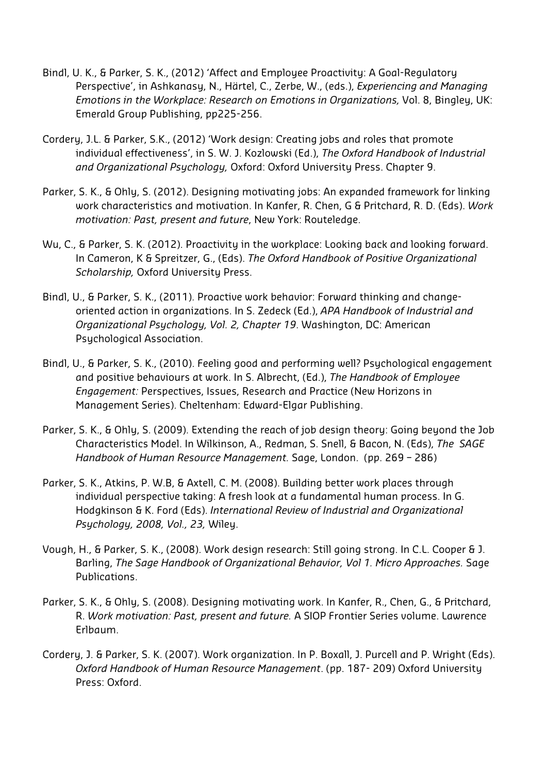- Bindl, U. K., & Parker, S. K., (2012) 'Affect and Employee Proactivity: A Goal-Regulatory Perspective', in Ashkanasy, N., Härtel, C., Zerbe, W., (eds.), *Experiencing and Managing Emotions in the Workplace: Research on Emotions in Organizations,* Vol. 8, Bingley, UK: Emerald Group Publishing, pp225-256.
- Cordery, J.L. & Parker, S.K., (2012) 'Work design: Creating jobs and roles that promote individual effectiveness', in S. W. J. Kozlowski (Ed.), *The Oxford Handbook of Industrial and Organizational Psychology,* Oxford: Oxford University Press. Chapter 9.
- Parker, S. K., & Ohly, S. (2012). Designing motivating jobs: An expanded framework for linking work characteristics and motivation. In Kanfer, R. Chen, G & Pritchard, R. D. (Eds). *Work motivation: Past, present and future*, New York: Routeledge.
- Wu, C., & Parker, S. K. (2012). Proactivity in the workplace: Looking back and looking forward. In Cameron, K & Spreitzer, G., (Eds). *The Oxford Handbook of Positive Organizational Scholarship,* Oxford University Press.
- Bindl, U., & Parker, S. K., (2011). Proactive work behavior: Forward thinking and changeoriented action in organizations. In S. Zedeck (Ed.), *APA Handbook of Industrial and Organizational Psychology, Vol. 2, Chapter 19*. Washington, DC: American Psychological Association.
- Bindl, U., & Parker, S. K., (2010). Feeling good and performing well? Psychological engagement and positive behaviours at work. In S. Albrecht, (Ed.), *The Handbook of Employee Engagement:* Perspectives, Issues, Research and Practice (New Horizons in Management Series). Cheltenham: Edward-Elgar Publishing.
- Parker, S. K., & Ohly, S. (2009). Extending the reach of job design theory: Going beyond the Job Characteristics Model. In Wilkinson, A., Redman, S. Snell, & Bacon, N. (Eds), *The SAGE Handbook of Human Resource Management.* Sage, London. (pp. 269 – 286)
- Parker, S. K., Atkins, P. W.B, & Axtell, C. M. (2008). Building better work places through individual perspective taking: A fresh look at a fundamental human process. In G. Hodgkinson & K. Ford (Eds). *International Review of Industrial and Organizational Psychology, 2008, Vol., 23,* Wiley.
- Vough, H., & Parker, S. K., (2008). Work design research: Still going strong. In C.L. Cooper & J. Barling, *The Sage Handbook of Organizational Behavior, Vol 1. Micro Approaches.* Sage Publications.
- Parker, S. K., & Ohly, S. (2008). Designing motivating work. In Kanfer, R., Chen, G., & Pritchard, R. *Work motivation: Past, present and future.* A SIOP Frontier Series volume. Lawrence Erlbaum.
- Cordery, J. & Parker, S. K. (2007). Work organization. In P. Boxall, J. Purcell and P. Wright (Eds). *Oxford Handbook of Human Resource Management*. (pp. 187- 209) Oxford University Press: Oxford.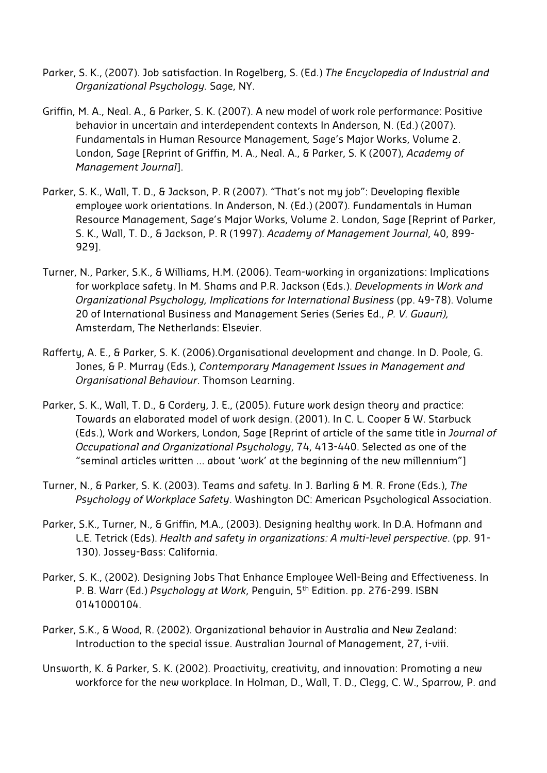- Parker, S. K., (2007). Job satisfaction. In Rogelberg, S. (Ed.) *The Encyclopedia of Industrial and Organizational Psychology.* Sage, NY.
- Griffin, M. A., Neal. A., & Parker, S. K. (2007). A new model of work role performance: Positive behavior in uncertain and interdependent contexts In Anderson, N. (Ed.) (2007). Fundamentals in Human Resource Management, Sage's Major Works, Volume 2. London, Sage [Reprint of Griffin, M. A., Neal. A., & Parker, S. K (2007), *Academy of Management Journal*].
- Parker, S. K., Wall, T. D., & Jackson, P. R (2007). "That's not my job": Developing flexible employee work orientations. In Anderson, N. (Ed.) (2007). Fundamentals in Human Resource Management, Sage's Major Works, Volume 2. London, Sage [Reprint of Parker, S. K., Wall, T. D., & Jackson, P. R (1997). *Academy of Management Journal*, 40, 899- 929].
- Turner, N., Parker, S.K., & Williams, H.M. (2006). Team-working in organizations: Implications for workplace safety. In M. Shams and P.R. Jackson (Eds.). *Developments in Work and Organizational Psychology, Implications for International Business* (pp. 49-78). Volume 20 of International Business and Management Series (Series Ed., *P. V. Guauri),*  Amsterdam, The Netherlands: Elsevier.
- Rafferty, A. E., & Parker, S. K. (2006).Organisational development and change. In D. Poole, G. Jones, & P. Murray (Eds.), *Contemporary Management Issues in Management and Organisational Behaviour*. Thomson Learning.
- Parker, S. K., Wall, T. D., & Cordery, J. E., (2005). Future work design theory and practice: Towards an elaborated model of work design. (2001). In C. L. Cooper & W. Starbuck (Eds.), Work and Workers, London, Sage [Reprint of article of the same title in *Journal of Occupational and Organizational Psychology*, 74, 413-440. Selected as one of the "seminal articles written … about 'work' at the beginning of the new millennium"]
- Turner, N., & Parker, S. K. (2003). Teams and safety. In J. Barling & M. R. Frone (Eds.), *The Psychology of Workplace Safety*. Washington DC: American Psychological Association.
- Parker, S.K., Turner, N., & Griffin, M.A., (2003). Designing healthy work. In D.A. Hofmann and L.E. Tetrick (Eds). *Health and safety in organizations: A multi-level perspective*. (pp. 91- 130). Jossey-Bass: California.
- Parker, S. K., (2002). Designing Jobs That Enhance Employee Well-Being and Effectiveness. In P. B. Warr (Ed.) *Psychology at Work*, Penguin, 5th Edition. pp. 276-299. ISBN 0141000104.
- Parker, S.K., & Wood, R. (2002). Organizational behavior in Australia and New Zealand: Introduction to the special issue. Australian Journal of Management, 27, i-viii.
- Unsworth, K. & Parker, S. K. (2002). Proactivity, creativity, and innovation: Promoting a new workforce for the new workplace. In Holman, D., Wall, T. D., Clegg, C. W., Sparrow, P. and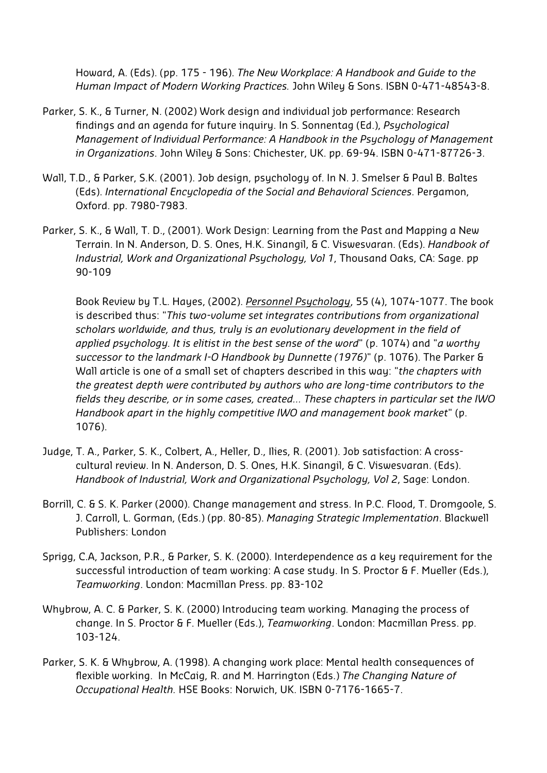Howard, A. (Eds). (pp. 175 - 196). *The New Workplace: A Handbook and Guide to the Human Impact of Modern Working Practices.* John Wiley & Sons. ISBN 0-471-48543-8.

- Parker, S. K., & Turner, N. (2002) Work design and individual job performance: Research findings and an agenda for future inquiry. In S. Sonnentag (Ed.), *Psychological Management of Individual Performance: A Handbook in the Psychology of Management in Organizations*. John Wiley & Sons: Chichester, UK. pp. 69-94. ISBN 0-471-87726-3.
- Wall, T.D., & Parker, S.K. (2001). Job design, psychology of. In N. J. Smelser & Paul B. Baltes (Eds). *International Encyclopedia of the Social and Behavioral Sciences*. Pergamon, Oxford. pp. 7980-7983.
- Parker, S. K., & Wall, T. D., (2001). Work Design: Learning from the Past and Mapping a New Terrain. In N. Anderson, D. S. Ones, H.K. Sinangil, & C. Viswesvaran. (Eds). *Handbook of Industrial, Work and Organizational Psychology, Vol 1*, Thousand Oaks, CA: Sage. pp 90-109

Book Review by T.L. Hayes, (2002). *Personnel Psychology*, 55 (4), 1074-1077. The book is described thus: "*This two-volume set integrates contributions from organizational scholars worldwide, and thus, truly is an evolutionary development in the field of applied psychology. It is elitist in the best sense of the word*" (p. 1074) and "*a worthy successor to the landmark I-O Handbook by Dunnette (1976)*" (p. 1076). The Parker & Wall article is one of a small set of chapters described in this way: "*the chapters with the greatest depth were contributed by authors who are long-time contributors to the fields they describe, or in some cases, created… These chapters in particular set the IWO Handbook apart in the highly competitive IWO and management book market*" (p. 1076).

- Judge, T. A., Parker, S. K., Colbert, A., Heller, D., Ilies, R. (2001). Job satisfaction: A crosscultural review. In N. Anderson, D. S. Ones, H.K. Sinangil, & C. Viswesvaran. (Eds). *Handbook of Industrial, Work and Organizational Psychology, Vol 2*, Sage: London.
- Borrill, C. & S. K. Parker (2000). Change management and stress. In P.C. Flood, T. Dromgoole, S. J. Carroll, L. Gorman, (Eds.) (pp. 80-85). *Managing Strategic Implementation*. Blackwell Publishers: London
- Sprigg, C.A, Jackson, P.R., & Parker, S. K. (2000). Interdependence as a key requirement for the successful introduction of team working: A case study. In S. Proctor & F. Mueller (Eds.), *Teamworking*. London: Macmillan Press. pp. 83-102
- Whybrow, A. C. & Parker, S. K. (2000) Introducing team working*.* Managing the process of change. In S. Proctor & F. Mueller (Eds.), *Teamworking*. London: Macmillan Press. pp. 103-124.
- Parker, S. K. & Whybrow, A. (1998). A changing work place: Mental health consequences of flexible working. In McCaig, R. and M. Harrington (Eds.) *The Changing Nature of Occupational Health.* HSE Books: Norwich, UK. ISBN 0-7176-1665-7.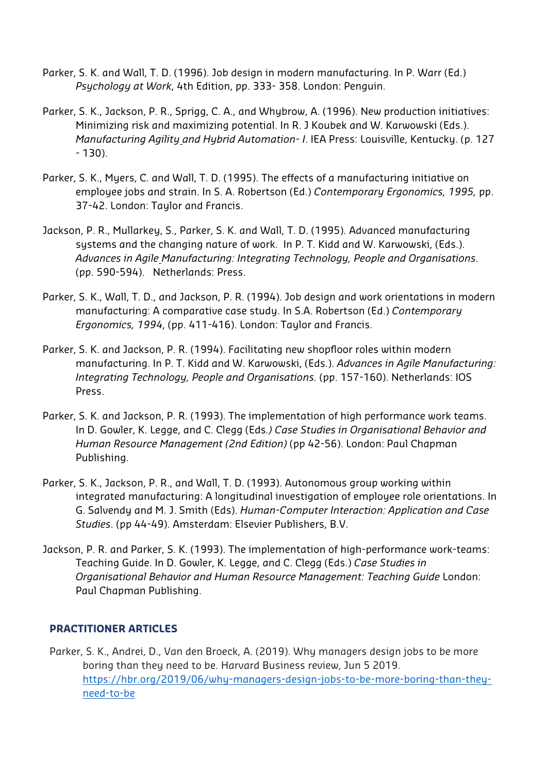- Parker, S. K. and Wall, T. D. (1996). Job design in modern manufacturing. In P. Warr (Ed.) *Psychology at Work*, 4th Edition, pp. 333- 358. London: Penguin.
- Parker, S. K., Jackson, P. R., Sprigg, C. A., and Whybrow, A. (1996). New production initiatives: Minimizing risk and maximizing potential. In R. J Koubek and W. Karwowski (Eds.). *Manufacturing Agility and Hybrid Automation- I*. IEA Press: Louisville, Kentucky. (p. 127 - 130).
- Parker, S. K., Myers, C. and Wall, T. D. (1995). The effects of a manufacturing initiative on employee jobs and strain. In S. A. Robertson (Ed.) *Contemporary Ergonomics, 1995,* pp. 37-42. London: Taylor and Francis.
- Jackson, P. R., Mullarkey, S., Parker, S. K. and Wall, T. D. (1995). Advanced manufacturing systems and the changing nature of work. In P. T. Kidd and W. Karwowski, (Eds.). *Advances in Agile Manufacturing: Integrating Technology, People and Organisations*. (pp. 590-594). Netherlands: Press.
- Parker, S. K., Wall, T. D., and Jackson, P. R. (1994). Job design and work orientations in modern manufacturing: A comparative case study. In S.A. Robertson (Ed.) *Contemporary Ergonomics, 1994*, (pp. 411-416). London: Taylor and Francis.
- Parker, S. K. and Jackson, P. R. (1994). Facilitating new shopfloor roles within modern manufacturing. In P. T. Kidd and W. Karwowski, (Eds.). *Advances in Agile Manufacturing: Integrating Technology, People and Organisations.* (pp. 157-160). Netherlands: IOS Press.
- Parker, S. K. and Jackson, P. R. (1993). The implementation of high performance work teams. In D. Gowler, K. Legge, and C. Clegg (Eds*.) Case Studies in Organisational Behavior and Human Resource Management (2nd Edition)* (pp 42-56). London: Paul Chapman Publishing.
- Parker, S. K., Jackson, P. R., and Wall, T. D. (1993). Autonomous group working within integrated manufacturing: A longitudinal investigation of employee role orientations. In G. Salvendy and M. J. Smith (Eds). *Human-Computer Interaction: Application and Case Studies*. (pp 44-49). Amsterdam: Elsevier Publishers, B.V.
- Jackson, P. R. and Parker, S. K. (1993). The implementation of high-performance work-teams: Teaching Guide. In D. Gowler, K. Legge, and C. Clegg (Eds.) *Case Studies in Organisational Behavior and Human Resource Management: Teaching Guide* London: Paul Chapman Publishing.

#### **PRACTITIONER ARTICLES**

Parker, S. K., Andrei, D., Van den Broeck, A. (2019). Why managers design jobs to be more boring than they need to be. Harvard Business review, Jun 5 2019. https://hbr.org/2019/06/why-managers-design-jobs-to-be-more-boring-than-theyneed-to-be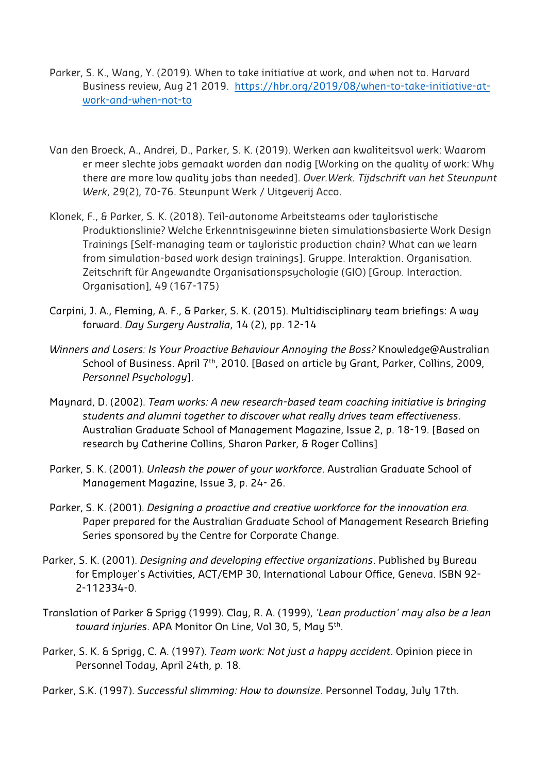- Parker, S. K., Wang, Y. (2019). When to take initiative at work, and when not to. Harvard Business review, Aug 21 2019. https://hbr.org/2019/08/when-to-take-initiative-atwork-and-when-not-to
- Van den Broeck, A., Andrei, D., Parker, S. K. (2019). Werken aan kwaliteitsvol werk: Waarom er meer slechte jobs gemaakt worden dan nodig [Working on the quality of work: Why there are more low quality jobs than needed]. *Over.Werk. Tijdschrift van het Steunpunt Werk*, 29(2), 70-76. Steunpunt Werk / Uitgeverij Acco.
- Klonek, F., & Parker, S. K. (2018). Teil-autonome Arbeitsteams oder tayloristische Produktionslinie? Welche Erkenntnisgewinne bieten simulationsbasierte Work Design Trainings [Self-managing team or tayloristic production chain? What can we learn from simulation-based work design trainings]. Gruppe. Interaktion. Organisation. Zeitschrift für Angewandte Organisationspsychologie (GIO) [Group. Interaction. Organisation], 49 (167-175)
- Carpini, J. A., Fleming, A. F., & Parker, S. K. (2015). Multidisciplinary team briefings: A way forward. *Day Surgery Australia*, 14 (2), pp. 12-14
- *Winners and Losers: Is Your Proactive Behaviour Annoying the Boss?* Knowledge@Australian School of Business. April 7<sup>th</sup>, 2010. [Based on article by Grant, Parker, Collins, 2009, *Personnel Psychology*].
- Maynard, D. (2002). *Team works: A new research-based team coaching initiative is bringing students and alumni together to discover what really drives team effectiveness*. Australian Graduate School of Management Magazine, Issue 2, p. 18-19. [Based on research by Catherine Collins, Sharon Parker, & Roger Collins]
- Parker, S. K. (2001). *Unleash the power of your workforce*. Australian Graduate School of Management Magazine, Issue 3, p. 24- 26.
- Parker, S. K. (2001). *Designing a proactive and creative workforce for the innovation era.* Paper prepared for the Australian Graduate School of Management Research Briefing Series sponsored by the Centre for Corporate Change.
- Parker, S. K. (2001). *Designing and developing effective organizations*. Published by Bureau for Employer's Activities, ACT/EMP 30, International Labour Office, Geneva. ISBN 92- 2-112334-0.
- Translation of Parker & Sprigg (1999). Clay, R. A. (1999), *'Lean production' may also be a lean toward injuries*. APA Monitor On Line, Vol 30, 5, May 5th.
- Parker, S. K. & Sprigg, C. A. (1997). *Team work: Not just a happy accident*. Opinion piece in Personnel Today, April 24th, p. 18.
- Parker, S.K. (1997). *Successful slimming: How to downsize*. Personnel Today, July 17th.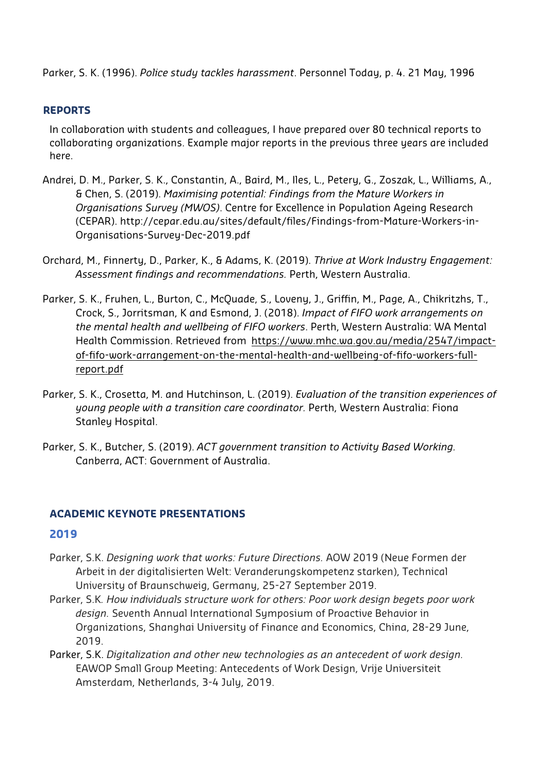Parker, S. K. (1996). *Police study tackles harassment*. Personnel Today, p. 4. 21 May, 1996

## **REPORTS**

In collaboration with students and colleagues, I have prepared over 80 technical reports to collaborating organizations. Example major reports in the previous three years are included here.

- Andrei, D. M., Parker, S. K., Constantin, A., Baird, M., Iles, L., Petery, G., Zoszak, L., Williams, A., & Chen, S. (2019). *Maximising potential: Findings from the Mature Workers in Organisations Survey (MWOS)*. Centre for Excellence in Population Ageing Research (CEPAR). http://cepar.edu.au/sites/default/files/Findings-from-Mature-Workers-in-Organisations-Survey-Dec-2019.pdf
- Orchard, M., Finnerty, D., Parker, K., & Adams, K. (2019). *Thrive at Work Industry Engagement: Assessment findings and recommendations.* Perth, Western Australia.
- Parker, S. K., Fruhen, L., Burton, C., McQuade, S., Loveny, J., Griffin, M., Page, A., Chikritzhs, T., Crock, S., Jorritsman, K and Esmond, J. (2018). *Impact of FIFO work arrangements on the mental health and wellbeing of FIFO workers*. Perth, Western Australia: WA Mental Health Commission. Retrieved from https://www.mhc.wa.gov.au/media/2547/impactof-fifo-work-arrangement-on-the-mental-health-and-wellbeing-of-fifo-workers-fullreport.pdf
- Parker, S. K., Crosetta, M. and Hutchinson, L. (2019). *Evaluation of the transition experiences of young people with a transition care coordinator.* Perth, Western Australia: Fiona Stanley Hospital.
- Parker, S. K., Butcher, S. (2019). *ACT government transition to Activity Based Working.* Canberra, ACT: Government of Australia.

## **ACADEMIC KEYNOTE PRESENTATIONS**

## **2019**

- Parker, S.K. *Designing work that works: Future Directions.* AOW 2019 (Neue Formen der Arbeit in der digitalisierten Welt: Veranderungskompetenz starken), Technical University of Braunschweig, Germany, 25-27 September 2019.
- Parker, S.K*. How individuals structure work for others: Poor work design begets poor work design.* Seventh Annual International Symposium of Proactive Behavior in Organizations, Shanghai University of Finance and Economics, China, 28-29 June, 2019.
- Parker, S.K. *Digitalization and other new technologies as an antecedent of work design.* EAWOP Small Group Meeting: Antecedents of Work Design, Vrije Universiteit Amsterdam, Netherlands, 3-4 July, 2019.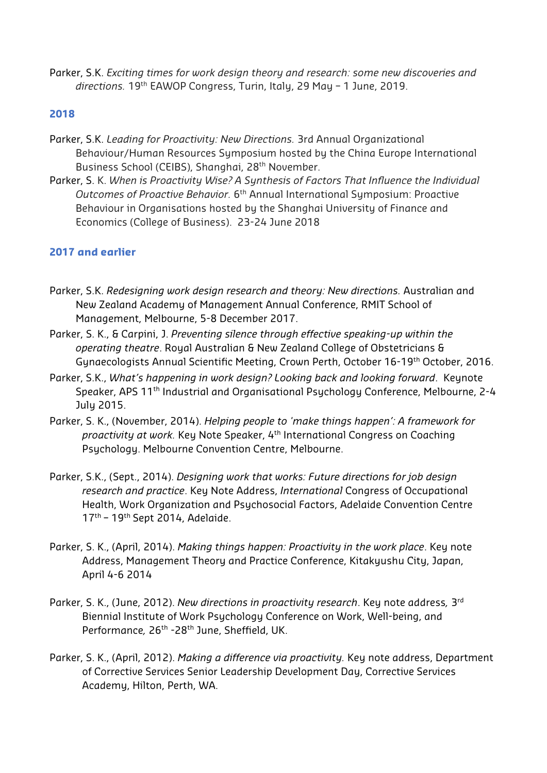Parker, S.K. *Exciting times for work design theory and research: some new discoveries and directions.* 19th EAWOP Congress, Turin, Italy, 29 May – 1 June, 2019.

## **2018**

- Parker, S.K. *Leading for Proactivity: New Directions.* 3rd Annual Organizational Behaviour/Human Resources Symposium hosted by the China Europe International Business School (CEIBS), Shanghai, 28<sup>th</sup> November.
- Parker, S. K. *When is Proactivity Wise? A Synthesis of Factors That Influence the Individual Outcomes of Proactive Behavior.* 6th Annual International Symposium: Proactive Behaviour in Organisations hosted by the Shanghai University of Finance and Economics (College of Business). 23-24 June 2018

## **2017 and earlier**

- Parker, S.K. *Redesigning work design research and theory: New directions.* Australian and New Zealand Academy of Management Annual Conference, RMIT School of Management, Melbourne, 5-8 December 2017.
- Parker, S. K., & Carpini, J. *Preventing silence through effective speaking-up within the operating theatre*. Royal Australian & New Zealand College of Obstetricians & Gynaecologists Annual Scientific Meeting, Crown Perth, October 16-19th October, 2016.
- Parker, S.K., *What's happening in work design? Looking back and looking forward*. Keynote Speaker, APS 11<sup>th</sup> Industrial and Organisational Psychology Conference, Melbourne, 2-4 July 2015.
- Parker, S. K., (November, 2014). *Helping people to 'make things happen': A framework for proactivity at work.* Key Note Speaker, 4th International Congress on Coaching Psychology. Melbourne Convention Centre, Melbourne.
- Parker, S.K., (Sept., 2014). *Designing work that works: Future directions for job design research and practice*. Key Note Address, *International* Congress of Occupational Health, Work Organization and Psychosocial Factors, Adelaide Convention Centre 17<sup>th</sup> - 19<sup>th</sup> Sept 2014, Adelaide.
- Parker, S. K., (April, 2014). *Making things happen: Proactivity in the work place*. Key note Address, Management Theory and Practice Conference, Kitakyushu City, Japan, April 4-6 2014
- Parker, S. K., (June, 2012). *New directions in proactivity research*. Key note address*,* 3rd Biennial Institute of Work Psychology Conference on Work, Well-being, and Performance, 26<sup>th</sup> -28<sup>th</sup> June, Sheffield, UK.
- Parker, S. K., (April, 2012). *Making a difference via proactivity.* Key note address, Department of Corrective Services Senior Leadership Development Day, Corrective Services Academy, Hilton, Perth, WA.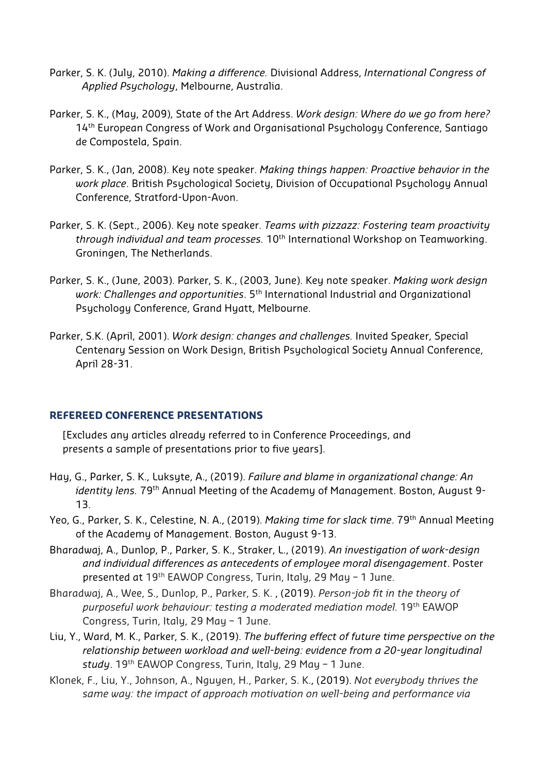- Parker, S. K. (July, 2010). *Making a difference.* Divisional Address, *International Congress of Applied Psychology*, Melbourne, Australia.
- Parker, S. K., (May, 2009), State of the Art Address. *Work design: Where do we go from here?* 14<sup>th</sup> European Congress of Work and Organisational Psychology Conference, Santiago de Compostela, Spain.
- Parker, S. K., (Jan, 2008). Key note speaker. *Making things happen: Proactive behavior in the work place*. British Psychological Society, Division of Occupational Psychology Annual Conference, Stratford-Upon-Avon.
- Parker, S. K. (Sept., 2006). Key note speaker. *Teams with pizzazz: Fostering team proactivity through individual and team processes.* 10th International Workshop on Teamworking. Groningen, The Netherlands.
- Parker, S. K., (June, 2003). Parker, S. K., (2003, June). Key note speaker. *Making work design work: Challenges and opportunities*. 5th International Industrial and Organizational Psychology Conference, Grand Hyatt, Melbourne.
- Parker, S.K. (April, 2001). *Work design: changes and challenges.* Invited Speaker, Special Centenary Session on Work Design, British Psychological Society Annual Conference, April 28-31.

#### **REFEREED CONFERENCE PRESENTATIONS**

[Excludes any articles already referred to in Conference Proceedings, and presents a sample of presentations prior to five years].

- Hay, G., Parker, S. K., Luksyte, A., (2019). *Failure and blame in organizational change: An identity lens.* 79<sup>th</sup> Annual Meeting of the Academy of Management. Boston, August 9-13.
- Yeo, G., Parker, S. K., Celestine, N. A., (2019). *Making time for slack time*. 79th Annual Meeting of the Academy of Management. Boston, August 9-13.
- Bharadwaj, A., Dunlop, P., Parker, S. K., Straker, L., (2019). *An investigation of work-design and individual differences as antecedents of employee moral disengagement*. Poster presented at 19<sup>th</sup> EAWOP Congress, Turin, Italy, 29 May - 1 June.
- Bharadwaj, A., Wee, S., Dunlop, P., Parker, S. K. , (2019). *Person-job fit in the theory of purposeful work behaviour: testing a moderated mediation model.* 19th EAWOP Congress, Turin, Italy, 29 May – 1 June.
- Liu, Y., Ward, M. K., Parker, S. K., (2019). *The buffering effect of future time perspective on the relationship between workload and well-being: evidence from a 20-year longitudinal study*. 19th EAWOP Congress, Turin, Italy, 29 May – 1 June.
- Klonek, F., Liu, Y., Johnson, A., Nguyen, H., Parker, S. K., (2019). *Not everybody thrives the same way: the impact of approach motivation on well-being and performance via*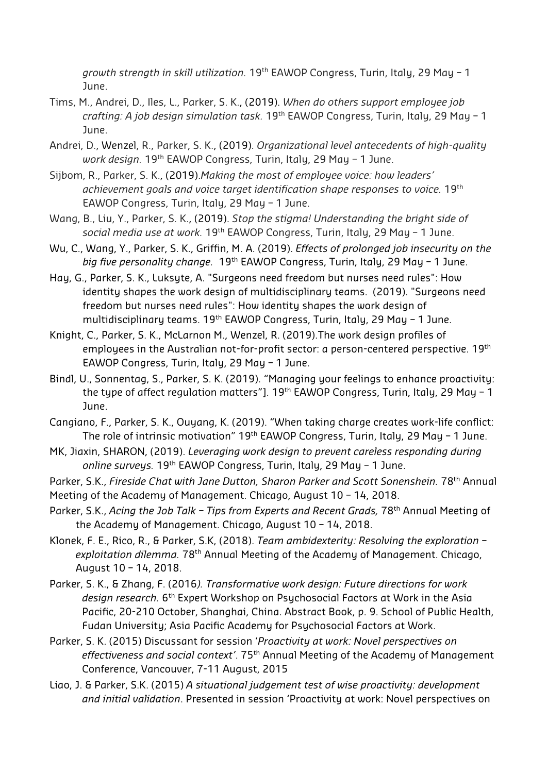*growth strength in skill utilization.* 19th EAWOP Congress, Turin, Italy, 29 May – 1 June.

- Tims, M., Andrei, D., Iles, L., Parker, S. K., (2019). *When do others support employee job crafting: A job design simulation task.* 19th EAWOP Congress, Turin, Italy, 29 May – 1 June.
- Andrei, D., Wenzel, R., Parker, S. K., (2019). *Organizational level antecedents of high-quality*  work design. 19<sup>th</sup> EAWOP Congress, Turin, Italy, 29 May - 1 June.
- Sijbom, R., Parker, S. K., (2019).*Making the most of employee voice: how leaders' achievement goals and voice target identification shape responses to voice.* 19th EAWOP Congress, Turin, Italy, 29 May – 1 June.
- Wang, B., Liu, Y., Parker, S. K., (2019). *Stop the stigma! Understanding the bright side of social media use at work.* 19th EAWOP Congress, Turin, Italy, 29 May – 1 June.
- Wu, C., Wang, Y., Parker, S. K., Griffin, M. A. (2019). *Effects of prolonged job insecurity on the*  big five personality change. 19<sup>th</sup> EAWOP Congress, Turin, Italy, 29 May - 1 June.
- Hay, G., Parker, S. K., Luksyte, A. "Surgeons need freedom but nurses need rules": How identity shapes the work design of multidisciplinary teams. (2019). "Surgeons need freedom but nurses need rules": How identity shapes the work design of multidisciplinary teams. 19<sup>th</sup> EAWOP Congress, Turin, Italy, 29 May - 1 June.
- Knight, C., Parker, S. K., McLarnon M., Wenzel, R. (2019).The work design profiles of employees in the Australian not-for-profit sector: a person-centered perspective. 19<sup>th</sup> EAWOP Congress, Turin, Italy, 29 May – 1 June.
- Bindl, U., Sonnentag, S., Parker, S. K. (2019). "Managing your feelings to enhance proactivity: the type of affect regulation matters"]. 19<sup>th</sup> EAWOP Congress, Turin, Italy, 29 May  $-1$ June.
- Cangiano, F., Parker, S. K., Ouyang, K. (2019). "When taking charge creates work-life conflict: The role of intrinsic motivation"  $19<sup>th</sup>$  EAWOP Congress, Turin, Italy, 29 May – 1 June.
- MK, Jiaxin, SHARON, (2019). *Leveraging work design to prevent careless responding during online surveys.* 19th EAWOP Congress, Turin, Italy, 29 May – 1 June.

Parker, S.K., *Fireside Chat with Jane Dutton, Sharon Parker and Scott Sonenshein.* 78th Annual Meeting of the Academy of Management. Chicago, August 10 – 14, 2018.

- Parker, S.K., *Acing the Job Talk Tips from Experts and Recent Grads,* 78th Annual Meeting of the Academy of Management. Chicago, August 10 – 14, 2018.
- Klonek, F. E., Rico, R., & Parker, S.K, (2018). *Team ambidexterity: Resolving the exploration exploitation dilemma.* 78th Annual Meeting of the Academy of Management. Chicago, August 10 – 14, 2018.
- Parker, S. K., & Zhang, F. (2016*). Transformative work design: Future directions for work design research.* 6th Expert Workshop on Psychosocial Factors at Work in the Asia Pacific, 20-210 October, Shanghai, China. Abstract Book, p. 9. School of Public Health, Fudan University; Asia Pacific Academy for Psychosocial Factors at Work.
- Parker, S. K. (2015) Discussant for session '*Proactivity at work: Novel perspectives on effectiveness and social context'*. 75th Annual Meeting of the Academy of Management Conference, Vancouver, 7-11 August, 2015
- Liao, J. & Parker, S.K. (2015) *A situational judgement test of wise proactivity: development and initial validation*. Presented in session 'Proactivity at work: Novel perspectives on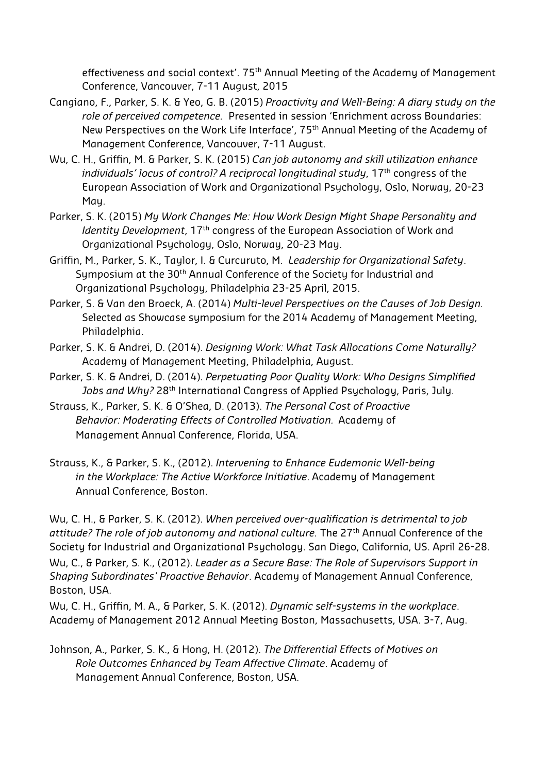effectiveness and social context'. 75<sup>th</sup> Annual Meeting of the Academy of Management Conference, Vancouver, 7-11 August, 2015

- Cangiano, F., Parker, S. K. & Yeo, G. B. (2015) *Proactivity and Well-Being: A diary study on the role of perceived competence.* Presented in session 'Enrichment across Boundaries: New Perspectives on the Work Life Interface', 75<sup>th</sup> Annual Meeting of the Academy of Management Conference, Vancouver, 7-11 August.
- Wu, C. H., Griffin, M. & Parker, S. K. (2015) *Can job autonomy and skill utilization enhance individuals' locus of control? A reciprocal longitudinal study*, 17th congress of the European Association of Work and Organizational Psychology, Oslo, Norway, 20-23 May.
- Parker, S. K. (2015) *My Work Changes Me: How Work Design Might Shape Personality and Identity Development*, 17<sup>th</sup> congress of the European Association of Work and Organizational Psychology, Oslo, Norway, 20-23 May.
- Griffin, M., Parker, S. K., Taylor, I. & Curcuruto, M. *Leadership for Organizational Safety*. Symposium at the 30<sup>th</sup> Annual Conference of the Society for Industrial and Organizational Psychology, Philadelphia 23-25 April, 2015.
- Parker, S. & Van den Broeck, A. (2014) *Multi-level Perspectives on the Causes of Job Design.* Selected as Showcase symposium for the 2014 Academy of Management Meeting, Philadelphia.
- Parker, S. K. & Andrei, D. (2014). *Designing Work: What Task Allocations Come Naturally?* Academy of Management Meeting, Philadelphia, August.
- Parker, S. K. & Andrei, D. (2014). *Perpetuating Poor Quality Work: Who Designs Simplified*  Jobs and Why? 28<sup>th</sup> International Congress of Applied Psychology, Paris, July.
- Strauss, K., Parker, S. K. & O'Shea, D. (2013). *The Personal Cost of Proactive Behavior: Moderating Effects of Controlled Motivation.* Academy of Management Annual Conference, Florida, USA.
- Strauss, K., & Parker, S. K., (2012). *Intervening to Enhance Eudemonic Well-being in the Workplace: The Active Workforce Initiative*. Academy of Management Annual Conference, Boston.

Wu, C. H., & Parker, S. K. (2012). *When perceived over-qualification is detrimental to job attitude? The role of job autonomy and national culture.* The 27th Annual Conference of the Society for Industrial and Organizational Psychology. San Diego, California, US. April 26-28. Wu, C., & Parker, S. K., (2012). *Leader as a Secure Base: The Role of Supervisors Support in Shaping Subordinates' Proactive Behavior*. Academy of Management Annual Conference, Boston, USA.

Wu, C. H., Griffin, M. A., & Parker, S. K. (2012). *Dynamic self-systems in the workplace*. Academy of Management 2012 Annual Meeting Boston, Massachusetts, USA. 3-7, Aug.

Johnson, A., Parker, S. K., & Hong, H. (2012). *The Differential Effects of Motives on Role Outcomes Enhanced by Team Affective Climate*. Academy of Management Annual Conference, Boston, USA.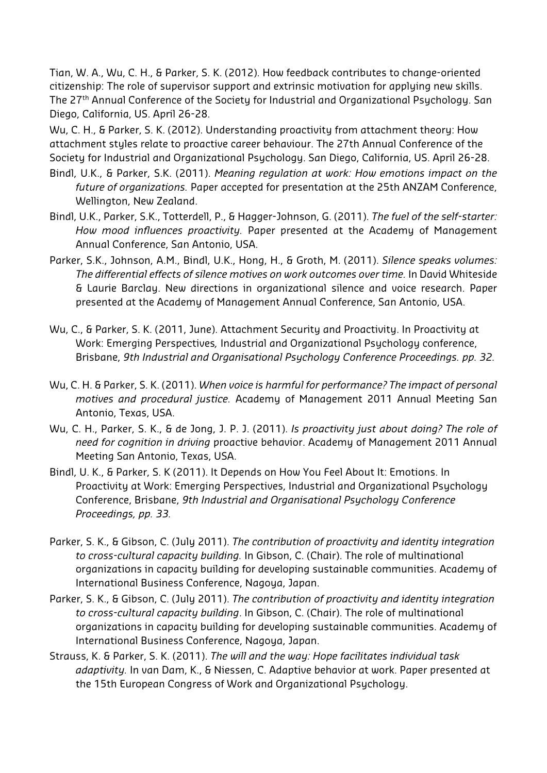Tian, W. A., Wu, C. H., & Parker, S. K. (2012). How feedback contributes to change-oriented citizenship: The role of supervisor support and extrinsic motivation for applying new skills. The 27th Annual Conference of the Society for Industrial and Organizational Psychology. San Diego, California, US. April 26-28.

Wu, C. H., & Parker, S. K. (2012). Understanding proactivity from attachment theory: How attachment styles relate to proactive career behaviour. The 27th Annual Conference of the Society for Industrial and Organizational Psychology. San Diego, California, US. April 26-28.

- Bindl, U.K., & Parker, S.K. (2011). *Meaning regulation at work: How emotions impact on the future of organizations.* Paper accepted for presentation at the 25th ANZAM Conference, Wellington, New Zealand.
- Bindl, U.K., Parker, S.K., Totterdell, P., & Hagger-Johnson, G. (2011). *The fuel of the self-starter: How mood influences proactivity.* Paper presented at the Academy of Management Annual Conference, San Antonio, USA.
- Parker, S.K., Johnson, A.M., Bindl, U.K., Hong, H., & Groth, M. (2011). *Silence speaks volumes: The differential effects of silence motives on work outcomes over time.* In David Whiteside & Laurie Barclay. New directions in organizational silence and voice research. Paper presented at the Academy of Management Annual Conference, San Antonio, USA.
- Wu, C., & Parker, S. K. (2011, June). Attachment Security and Proactivity. In Proactivity at Work: Emerging Perspectives*,* Industrial and Organizational Psychology conference, Brisbane, *9th Industrial and Organisational Psychology Conference Proceedings. pp. 32.*
- Wu, C. H. & Parker, S. K. (2011). *When voice is harmful for performance? The impact of personal motives and procedural justice.* Academy of Management 2011 Annual Meeting San Antonio, Texas, USA.
- Wu, C. H., Parker, S. K., & de Jong, J. P. J. (2011). *Is proactivity just about doing? The role of need for cognition in driving* proactive behavior. Academy of Management 2011 Annual Meeting San Antonio, Texas, USA.
- Bindl, U. K., & Parker, S. K (2011). It Depends on How You Feel About It: Emotions. In Proactivity at Work: Emerging Perspectives, Industrial and Organizational Psychology Conference, Brisbane, *9th Industrial and Organisational Psychology Conference Proceedings, pp. 33.*
- Parker, S. K., & Gibson, C. (July 2011). *The contribution of proactivity and identity integration to cross-cultural capacity building.* In Gibson, C. (Chair). The role of multinational organizations in capacity building for developing sustainable communities. Academy of International Business Conference, Nagoya, Japan.
- Parker, S. K., & Gibson, C. (July 2011). *The contribution of proactivity and identity integration to cross-cultural capacity building*. In Gibson, C. (Chair). The role of multinational organizations in capacity building for developing sustainable communities. Academy of International Business Conference, Nagoya, Japan.
- Strauss, K. & Parker, S. K. (2011). *The will and the way: Hope facilitates individual task adaptivity.* In van Dam, K., & Niessen, C. Adaptive behavior at work. Paper presented at the 15th European Congress of Work and Organizational Psychology.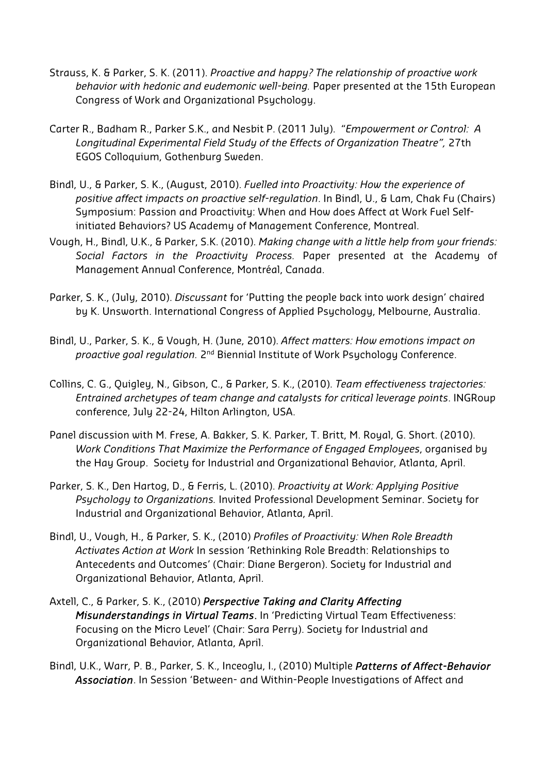- Strauss, K. & Parker, S. K. (2011). *Proactive and happy? The relationship of proactive work behavior with hedonic and eudemonic well-being.* Paper presented at the 15th European Congress of Work and Organizational Psychology.
- Carter R., Badham R., Parker S.K., and Nesbit P. (2011 July). "*Empowerment or Control: A Longitudinal Experimental Field Study of the Effects of Organization Theatre",* 27th EGOS Colloquium, Gothenburg Sweden.
- Bindl, U., & Parker, S. K., (August, 2010). *Fuelled into Proactivity: How the experience of positive affect impacts on proactive self-regulation*. In Bindl, U., & Lam, Chak Fu (Chairs) Symposium: Passion and Proactivity: When and How does Affect at Work Fuel Selfinitiated Behaviors? US Academy of Management Conference, Montreal.
- Vough, H., Bindl, U.K., & Parker, S.K. (2010). *Making change with a little help from your friends: Social Factors in the Proactivity Process.* Paper presented at the Academy of Management Annual Conference, Montréal, Canada.
- Parker, S. K., (July, 2010). *Discussant* for 'Putting the people back into work design' chaired by K. Unsworth. International Congress of Applied Psychology, Melbourne, Australia.
- Bindl, U., Parker, S. K., & Vough, H. (June, 2010). *Affect matters: How emotions impact on proactive goal regulation.* 2nd Biennial Institute of Work Psychology Conference.
- Collins, C. G., Quigley, N., Gibson, C., & Parker, S. K., (2010). *Team effectiveness trajectories: Entrained archetypes of team change and catalysts for critical leverage points*. INGRoup conference, July 22-24, Hilton Arlington, USA.
- Panel discussion with M. Frese, A. Bakker, S. K. Parker, T. Britt, M. Royal, G. Short. (2010). *Work Conditions That Maximize the Performance of Engaged Employees*, organised by the Hay Group. Society for Industrial and Organizational Behavior, Atlanta, April.
- Parker, S. K., Den Hartog, D., & Ferris, L. (2010). *Proactivity at Work: Applying Positive Psychology to Organizations.* Invited Professional Development Seminar. Society for Industrial and Organizational Behavior, Atlanta, April.
- Bindl, U., Vough, H., & Parker, S. K., (2010) *Profiles of Proactivity: When Role Breadth Activates Action at Work* In session 'Rethinking Role Breadth: Relationships to Antecedents and Outcomes' (Chair: Diane Bergeron). Society for Industrial and Organizational Behavior, Atlanta, April.
- Axtell, C., & Parker, S. K., (2010) *Perspective Taking and Clarity Affecting Misunderstandings in Virtual Teams*. In 'Predicting Virtual Team Effectiveness: Focusing on the Micro Level' (Chair: Sara Perry). Society for Industrial and Organizational Behavior, Atlanta, April.
- Bindl, U.K., Warr, P. B., Parker, S. K., Inceoglu, I., (2010) Multiple *Patterns of Affect-Behavior Association*. In Session 'Between- and Within-People Investigations of Affect and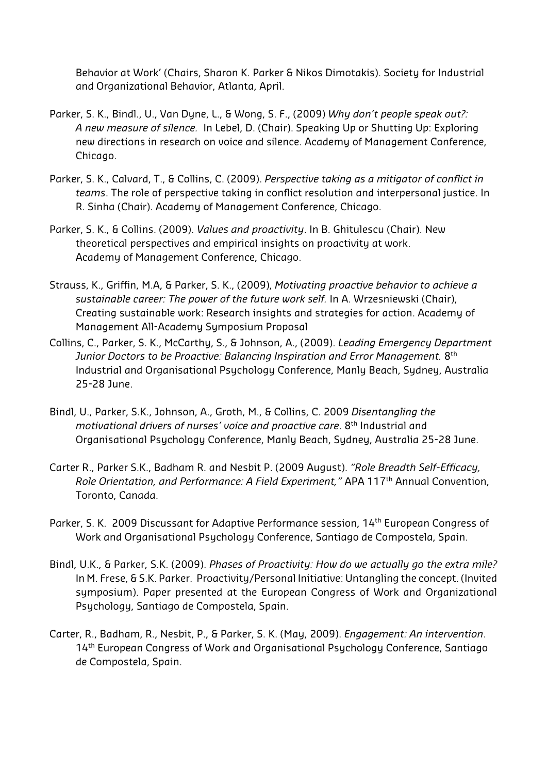Behavior at Work' (Chairs, Sharon K. Parker & Nikos Dimotakis). Society for Industrial and Organizational Behavior, Atlanta, April.

- Parker, S. K., Bindl., U., Van Dyne, L., & Wong, S. F., (2009) *Why don't people speak out?: A new measure of silence.* In Lebel, D. (Chair). Speaking Up or Shutting Up: Exploring new directions in research on voice and silence. Academy of Management Conference, Chicago.
- Parker, S. K., Calvard, T., & Collins, C. (2009). *Perspective taking as a mitigator of conflict in teams*. The role of perspective taking in conflict resolution and interpersonal justice. In R. Sinha (Chair). Academy of Management Conference, Chicago.
- Parker, S. K., & Collins. (2009). *Values and proactivity*. In B. Ghitulescu (Chair). New theoretical perspectives and empirical insights on proactivity at work. Academy of Management Conference, Chicago.
- Strauss, K., Griffin, M.A, & Parker, S. K., (2009), *Motivating proactive behavior to achieve a sustainable career: The power of the future work self.* In A. Wrzesniewski (Chair), Creating sustainable work: Research insights and strategies for action. Academy of Management All-Academy Symposium Proposal
- Collins, C., Parker, S. K., McCarthy, S., & Johnson, A., (2009). *Leading Emergency Department Junior Doctors to be Proactive: Balancing Inspiration and Error Management.* 8th Industrial and Organisational Psychology Conference, Manly Beach, Sydney, Australia 25-28 June.
- Bindl, U., Parker, S.K., Johnson, A., Groth, M., & Collins, C. 2009 *Disentangling the motivational drivers of nurses' voice and proactive care*. 8th Industrial and Organisational Psychology Conference, Manly Beach, Sydney, Australia 25-28 June.
- Carter R., Parker S.K., Badham R. and Nesbit P. (2009 August). *"Role Breadth Self-Efficacy, Role Orientation, and Performance: A Field Experiment,"* APA 117th Annual Convention, Toronto, Canada.
- Parker, S. K. 2009 Discussant for Adaptive Performance session, 14th European Congress of Work and Organisational Psychology Conference, Santiago de Compostela, Spain.
- Bindl, U.K., & Parker, S.K. (2009). *Phases of Proactivity: How do we actually go the extra mile?* In M. Frese, & S.K. Parker. Proactivity/Personal Initiative: Untangling the concept. (Invited symposium). Paper presented at the European Congress of Work and Organizational Psychology, Santiago de Compostela, Spain.
- Carter, R., Badham, R., Nesbit, P., & Parker, S. K. (May, 2009). *Engagement: An intervention*. 14<sup>th</sup> European Congress of Work and Organisational Psychology Conference, Santiago de Compostela, Spain.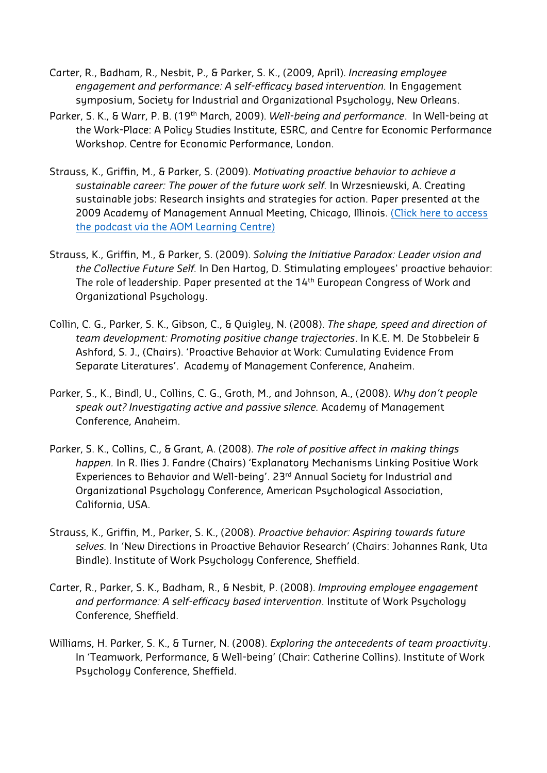- Carter, R., Badham, R., Nesbit, P., & Parker, S. K., (2009, April). *Increasing employee engagement and performance: A self-efficacy based intervention.* In Engagement symposium, Society for Industrial and Organizational Psychology, New Orleans.
- Parker, S. K., & Warr, P. B. (19th March, 2009). *Well-being and performance*. In Well-being at the Work-Place: A Policy Studies Institute, ESRC, and Centre for Economic Performance Workshop. Centre for Economic Performance, London.
- Strauss, K., Griffin, M., & Parker, S. (2009). *Motivating proactive behavior to achieve a sustainable career: The power of the future work self.* In Wrzesniewski, A. Creating sustainable jobs: Research insights and strategies for action. Paper presented at the 2009 Academy of Management Annual Meeting, Chicago, Illinois. (Click here to access the podcast via the AOM Learning Centre)
- Strauss, K., Griffin, M., & Parker, S. (2009). *Solving the Initiative Paradox: Leader vision and the Collective Future Self.* In Den Hartog, D. Stimulating employees' proactive behavior: The role of leadership. Paper presented at the 14<sup>th</sup> European Congress of Work and Organizational Psychology.
- Collin, C. G., Parker, S. K., Gibson, C., & Quigley, N. (2008). *The shape, speed and direction of team development: Promoting positive change trajectories*. In K.E. M. De Stobbeleir & Ashford, S. J., (Chairs). 'Proactive Behavior at Work: Cumulating Evidence From Separate Literatures'. Academy of Management Conference, Anaheim.
- Parker, S., K., Bindl, U., Collins, C. G., Groth, M., and Johnson, A., (2008). *Why don't people speak out? Investigating active and passive silence.* Academy of Management Conference, Anaheim.
- Parker, S. K., Collins, C., & Grant, A. (2008). *The role of positive affect in making things happen.* In R. Ilies J. Fandre (Chairs) 'Explanatory Mechanisms Linking Positive Work Experiences to Behavior and Well-being'. 23rd Annual Society for Industrial and Organizational Psychology Conference, American Psychological Association, California, USA.
- Strauss, K., Griffin, M., Parker, S. K., (2008). *Proactive behavior: Aspiring towards future selves.* In 'New Directions in Proactive Behavior Research' (Chairs: Johannes Rank, Uta Bindle). Institute of Work Psychology Conference, Sheffield.
- Carter, R., Parker, S. K., Badham, R., & Nesbit, P. (2008). *Improving employee engagement and performance: A self-efficacy based intervention*. Institute of Work Psychology Conference, Sheffield.
- Williams, H. Parker, S. K., & Turner, N. (2008). *Exploring the antecedents of team proactivity*. In 'Teamwork, Performance, & Well-being' (Chair: Catherine Collins). Institute of Work Psychology Conference, Sheffield.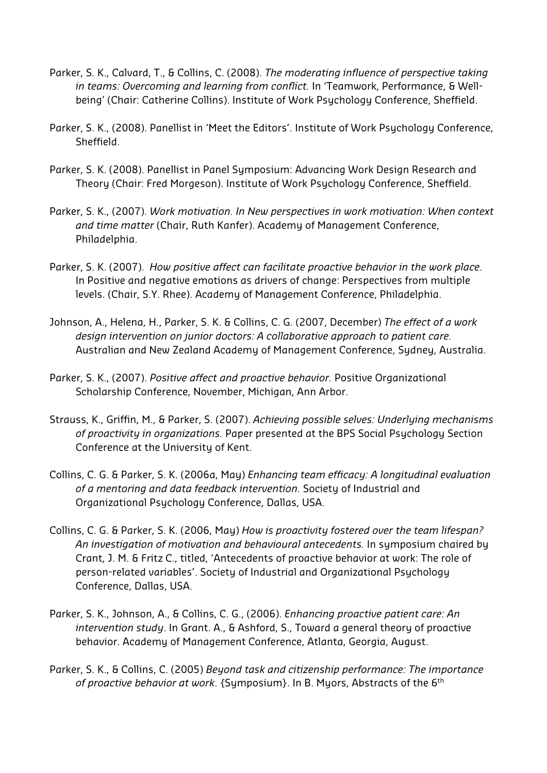- Parker, S. K., Calvard, T., & Collins, C. (2008). *The moderating influence of perspective taking in teams: Overcoming and learning from conflict.* In 'Teamwork, Performance, & Wellbeing' (Chair: Catherine Collins). Institute of Work Psychology Conference, Sheffield.
- Parker, S. K., (2008). Panellist in 'Meet the Editors'. Institute of Work Psychology Conference, Sheffield.
- Parker, S. K. (2008). Panellist in Panel Symposium: Advancing Work Design Research and Theory (Chair: Fred Morgeson). Institute of Work Psychology Conference, Sheffield.
- Parker, S. K., (2007). *Work motivation. In New perspectives in work motivation: When context and time matter* (Chair, Ruth Kanfer). Academy of Management Conference, Philadelphia.
- Parker, S. K. (2007). *How positive affect can facilitate proactive behavior in the work place*. In Positive and negative emotions as drivers of change: Perspectives from multiple levels. (Chair, S.Y. Rhee). Academy of Management Conference, Philadelphia.
- Johnson, A., Helena, H., Parker, S. K. & Collins, C. G. (2007, December) *The effect of a work design intervention on junior doctors: A collaborative approach to patient care.* Australian and New Zealand Academy of Management Conference, Sydney, Australia.
- Parker, S. K., (2007). *Positive affect and proactive behavior.* Positive Organizational Scholarship Conference, November, Michigan, Ann Arbor.
- Strauss, K., Griffin, M., & Parker, S. (2007). *Achieving possible selves: Underlying mechanisms of proactivity in organizations.* Paper presented at the BPS Social Psychology Section Conference at the University of Kent.
- Collins, C. G. & Parker, S. K. (2006a, May) *Enhancing team efficacy: A longitudinal evaluation of a mentoring and data feedback intervention.* Society of Industrial and Organizational Psychology Conference, Dallas, USA.
- Collins, C. G. & Parker, S. K. (2006, May) *How is proactivity fostered over the team lifespan? An investigation of motivation and behavioural antecedents.* In symposium chaired by Crant, J. M. & Fritz C., titled, 'Antecedents of proactive behavior at work: The role of person-related variables'. Society of Industrial and Organizational Psychology Conference, Dallas, USA.
- Parker, S. K., Johnson, A., & Collins, C. G., (2006). *Enhancing proactive patient care: An intervention study*. In Grant. A., & Ashford, S., Toward a general theory of proactive behavior. Academy of Management Conference, Atlanta, Georgia, August.
- Parker, S. K., & Collins, C. (2005) *Beyond task and citizenship performance: The importance of proactive behavior at work*. {Symposium}. In B. Myors, Abstracts of the 6th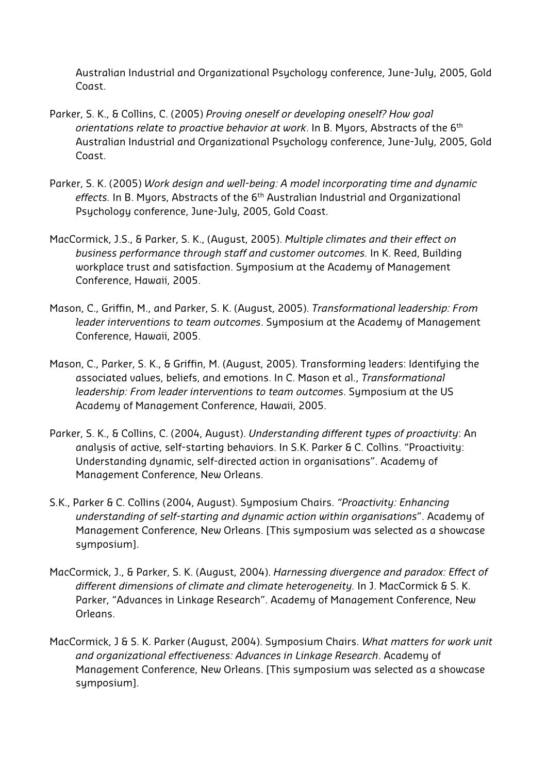Australian Industrial and Organizational Psychology conference, June-July, 2005, Gold Coast.

- Parker, S. K., & Collins, C. (2005) *Proving oneself or developing oneself? How goal orientations relate to proactive behavior at work*. In B. Myors, Abstracts of the 6th Australian Industrial and Organizational Psychology conference, June-July, 2005, Gold Coast.
- Parker, S. K. (2005) *Work design and well-being: A model incorporating time and dynamic effects.* In B. Myors, Abstracts of the 6th Australian Industrial and Organizational Psychology conference, June-July, 2005, Gold Coast.
- MacCormick, J.S., & Parker, S. K., (August, 2005). *Multiple climates and their effect on business performance through staff and customer outcomes.* In K. Reed, Building workplace trust and satisfaction. Symposium at the Academy of Management Conference, Hawaii, 2005.
- Mason, C., Griffin, M., and Parker, S. K. (August, 2005). *Transformational leadership: From leader interventions to team outcomes*. Symposium at the Academy of Management Conference, Hawaii, 2005.
- Mason, C., Parker, S. K., & Griffin, M. (August, 2005). Transforming leaders: Identifying the associated values, beliefs, and emotions. In C. Mason et al., *Transformational leadership: From leader interventions to team outcomes*. Symposium at the US Academy of Management Conference, Hawaii, 2005.
- Parker, S. K., & Collins, C. (2004, August). *Understanding different types of proactivity*: An analysis of active, self-starting behaviors. In S.K. Parker & C. Collins. "Proactivity: Understanding dynamic, self-directed action in organisations". Academy of Management Conference, New Orleans.
- S.K., Parker & C. Collins (2004, August). Symposium Chairs. *"Proactivity: Enhancing understanding of self-starting and dynamic action within organisations*". Academy of Management Conference, New Orleans. [This symposium was selected as a showcase symposium].
- MacCormick, J., & Parker, S. K. (August, 2004). *Harnessing divergence and paradox: Effect of different dimensions of climate and climate heterogeneity.* In J. MacCormick & S. K. Parker, "Advances in Linkage Research". Academy of Management Conference, New Orleans.
- MacCormick, J & S. K. Parker (August, 2004). Symposium Chairs. *What matters for work unit and organizational effectiveness: Advances in Linkage Research*. Academy of Management Conference, New Orleans. [This symposium was selected as a showcase symposium].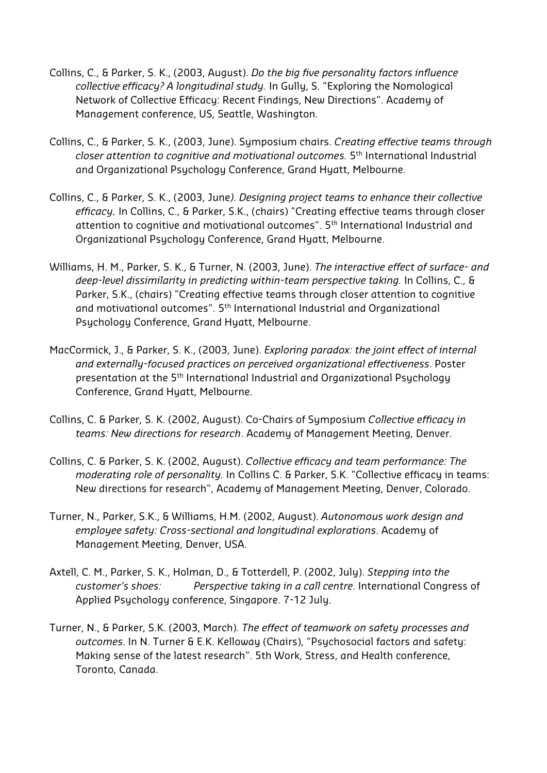- Collins, C., & Parker, S. K., (2003, August). *Do the big five personality factors influence collective efficacy? A longitudinal study.* In Gully, S. "Exploring the Nomological Network of Collective Efficacy: Recent Findings, New Directions". Academy of Management conference, US, Seattle, Washington.
- Collins, C., & Parker, S. K., (2003, June). Symposium chairs. *Creating effective teams through closer attention to cognitive and motivational outcomes.* 5th International Industrial and Organizational Psychology Conference, Grand Hyatt, Melbourne.
- Collins, C., & Parker, S. K., (2003, June*). Designing project teams to enhance their collective efficacy.* In Collins, C., & Parker, S.K., (chairs) "Creating effective teams through closer attention to cognitive and motivational outcomes". 5th International Industrial and Organizational Psychology Conference, Grand Hyatt, Melbourne.
- Williams, H. M., Parker, S. K., & Turner, N. (2003, June). *The interactive effect of surface- and deep-level dissimilarity in predicting within-team perspective taking.* In Collins, C., & Parker, S.K., (chairs) "Creating effective teams through closer attention to cognitive and motivational outcomes". 5th International Industrial and Organizational Psychology Conference, Grand Hyatt, Melbourne.
- MacCormick, J., & Parker, S. K., (2003, June). *Exploring paradox: the joint effect of internal and externally-focused practices on perceived organizational effectiveness*. Poster presentation at the 5th International Industrial and Organizational Psychology Conference, Grand Hyatt, Melbourne.
- Collins, C. & Parker, S. K. (2002, August). Co-Chairs of Symposium *Collective efficacy in teams: New directions for research*. Academy of Management Meeting, Denver.
- Collins, C. & Parker, S. K. (2002, August). *Collective efficacy and team performance: The moderating role of personality.* In Collins C. & Parker, S.K. "Collective efficacy in teams: New directions for research", Academy of Management Meeting, Denver, Colorado.
- Turner, N., Parker, S.K., & Williams, H.M. (2002, August). *Autonomous work design and employee safety: Cross-sectional and longitudinal explorations*. Academy of Management Meeting, Denver, USA.
- Axtell, C. M., Parker, S. K., Holman, D., & Totterdell, P. (2002, July). *Stepping into the customer's shoes: Perspective taking in a call centre*. International Congress of Applied Psychology conference, Singapore. 7-12 July.
- Turner, N., & Parker, S.K. (2003, March). *The effect of teamwork on safety processes and outcomes*. In N. Turner & E.K. Kelloway (Chairs), "Psychosocial factors and safety: Making sense of the latest research". 5th Work, Stress, and Health conference, Toronto, Canada.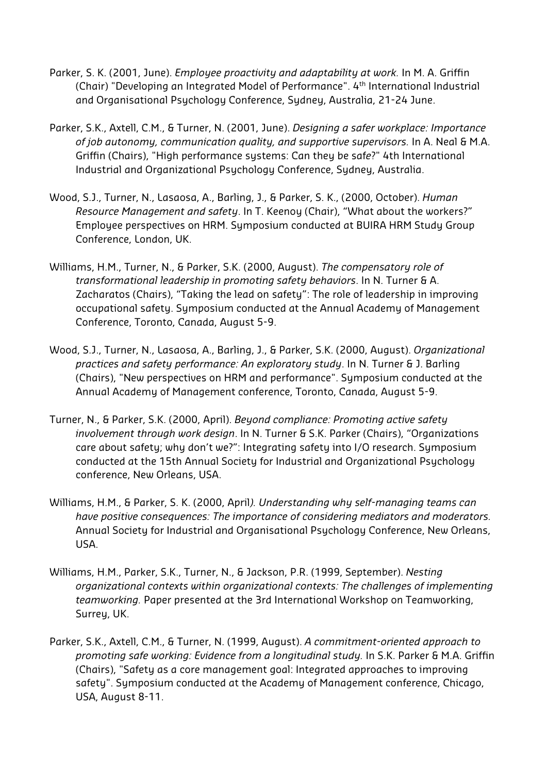- Parker, S. K. (2001, June). *Employee proactivity and adaptability at work.* In M. A. Griffin (Chair) "Developing an Integrated Model of Performance". 4th International Industrial and Organisational Psychology Conference, Sydney, Australia, 21-24 June.
- Parker, S.K., Axtell, C.M., & Turner, N. (2001, June). *Designing a safer workplace: Importance of job autonomy, communication quality, and supportive supervisors.* In A. Neal & M.A. Griffin (Chairs), "High performance systems: Can they be saf*e*?" 4th International Industrial and Organizational Psychology Conference, Sydney, Australia.
- Wood, S.J., Turner, N., Lasaosa, A., Barling, J., & Parker, S. K., (2000, October). *Human Resource Management and safety*. In T. Keenoy (Chair), "What about the workers?" Employee perspectives on HRM. Symposium conducted at BUIRA HRM Study Group Conference, London, UK.
- Williams, H.M., Turner, N., & Parker, S.K. (2000, August). *The compensatory role of transformational leadership in promoting safety behaviors*. In N. Turner & A. Zacharatos (Chairs), "Taking the lead on safety": The role of leadership in improving occupational safety. Symposium conducted at the Annual Academy of Management Conference, Toronto, Canada, August 5-9.
- Wood, S.J., Turner, N., Lasaosa, A., Barling, J., & Parker, S.K. (2000, August). *Organizational practices and safety performance: An exploratory study*. In N. Turner & J. Barling (Chairs), "New perspectives on HRM and performance". Symposium conducted at the Annual Academy of Management conference, Toronto, Canada, August 5-9.
- Turner, N., & Parker, S.K. (2000, April). *Beyond compliance: Promoting active safety involvement through work design*. In N. Turner & S.K. Parker (Chairs), "Organizations care about safety; why don't we?": Integrating safety into I/O research. Symposium conducted at the 15th Annual Society for Industrial and Organizational Psychology conference, New Orleans, USA.
- Williams, H.M., & Parker, S. K. (2000, April*). Understanding why self-managing teams can have positive consequences: The importance of considering mediators and moderators.* Annual Society for Industrial and Organisational Psychology Conference, New Orleans, USA.
- Williams, H.M., Parker, S.K., Turner, N., & Jackson, P.R. (1999, September). *Nesting organizational contexts within organizational contexts: The challenges of implementing teamworking.* Paper presented at the 3rd International Workshop on Teamworking, Surrey, UK.
- Parker, S.K., Axtell, C.M., & Turner, N. (1999, August). *A commitment-oriented approach to promoting safe working: Evidence from a longitudinal study.* In S.K. Parker & M.A. Griffin (Chairs), "Safety as a core management goal: Integrated approaches to improving safety". Symposium conducted at the Academy of Management conference, Chicago, USA, August 8-11.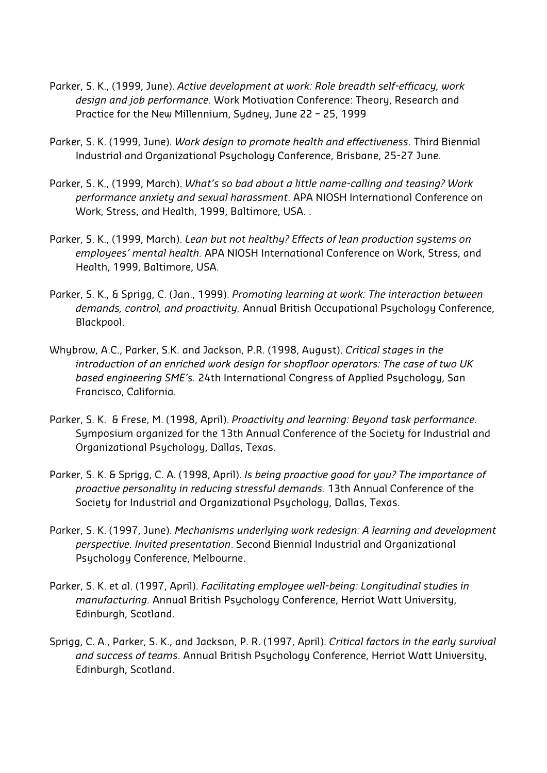- Parker, S. K., (1999, June). *Active development at work: Role breadth self-efficacy, work design and job performance.* Work Motivation Conference: Theory, Research and Practice for the New Millennium, Sydney, June 22 – 25, 1999
- Parker, S. K. (1999, June). *Work design to promote health and effectiveness*. Third Biennial Industrial and Organizational Psychology Conference, Brisbane, 25-27 June.
- Parker, S. K., (1999, March). *What's so bad about a little name-calling and teasing? Work performance anxiety and sexual harassment*. APA NIOSH International Conference on Work, Stress, and Health, 1999, Baltimore, USA. .
- Parker, S. K., (1999, March). *Lean but not healthy? Effects of lean production systems on employees' mental health.* APA NIOSH International Conference on Work, Stress, and Health, 1999, Baltimore, USA.
- Parker, S. K., & Sprigg, C. (Jan., 1999). *Promoting learning at work: The interaction between demands, control, and proactivity.* Annual British Occupational Psychology Conference, Blackpool.
- Whybrow, A.C., Parker, S.K. and Jackson, P.R. (1998, August). *Critical stages in the introduction of an enriched work design for shopfloor operators: The case of two UK based engineering SME's.* 24th International Congress of Applied Psychology, San Francisco, California.
- Parker, S. K. & Frese, M. (1998, April). *Proactivity and learning: Beyond task performance.* Symposium organized for the 13th Annual Conference of the Society for Industrial and Organizational Psychology, Dallas, Texas.
- Parker, S. K. & Sprigg, C. A. (1998, April). *Is being proactive good for you? The importance of proactive personality in reducing stressful demands.* 13th Annual Conference of the Society for Industrial and Organizational Psychology, Dallas, Texas.
- Parker, S. K. (1997, June). *Mechanisms underlying work redesign: A learning and development perspective. Invited presentation*. Second Biennial Industrial and Organizational Psychology Conference, Melbourne.
- Parker, S. K. et al. (1997, April). *Facilitating employee well-being: Longitudinal studies in manufacturing.* Annual British Psychology Conference, Herriot Watt University, Edinburgh, Scotland.
- Sprigg, C. A., Parker, S. K., and Jackson, P. R. (1997, April). *Critical factors in the early survival and success of teams*. Annual British Psychology Conference, Herriot Watt University, Edinburgh, Scotland.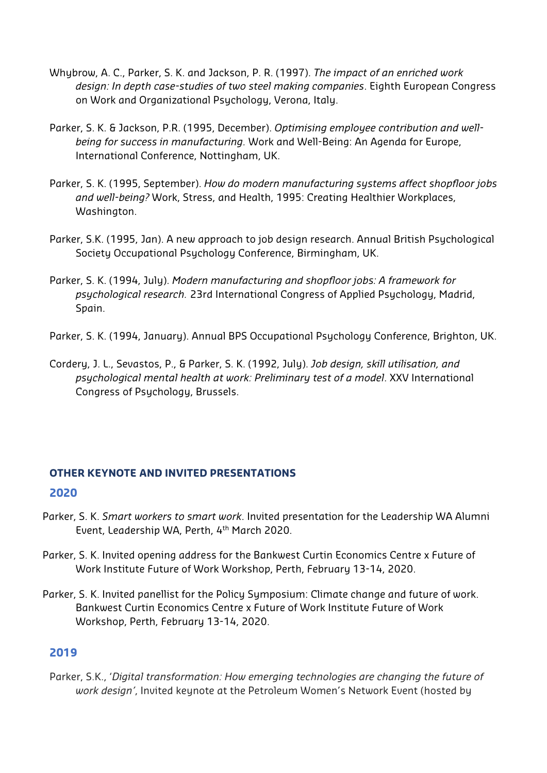- Whybrow, A. C., Parker, S. K. and Jackson, P. R. (1997). *The impact of an enriched work design: In depth case-studies of two steel making companies*. Eighth European Congress on Work and Organizational Psychology, Verona, Italy.
- Parker, S. K. & Jackson, P.R. (1995, December). *Optimising employee contribution and wellbeing for success in manufacturing.* Work and Well-Being: An Agenda for Europe, International Conference, Nottingham, UK.
- Parker, S. K. (1995, September). *How do modern manufacturing systems affect shopfloor jobs and well-being?* Work, Stress, and Health, 1995: Creating Healthier Workplaces, Washington.
- Parker, S.K. (1995, Jan). A new approach to job design research. Annual British Psychological Society Occupational Psychology Conference, Birmingham, UK.
- Parker, S. K. (1994, July). *Modern manufacturing and shopfloor jobs: A framework for psychological research.* 23rd International Congress of Applied Psychology, Madrid, Spain.
- Parker, S. K. (1994, January). Annual BPS Occupational Psychology Conference, Brighton, UK.
- Cordery, J. L., Sevastos, P., & Parker, S. K. (1992, July). *Job design, skill utilisation, and psychological mental health at work: Preliminary test of a model*. XXV International Congress of Psychology, Brussels.

# **OTHER KEYNOTE AND INVITED PRESENTATIONS**

#### **2020**

- Parker, S. K. *Smart workers to smart work*. Invited presentation for the Leadership WA Alumni Event, Leadership WA, Perth, 4th March 2020.
- Parker, S. K. Invited opening address for the Bankwest Curtin Economics Centre x Future of Work Institute Future of Work Workshop, Perth, February 13-14, 2020.
- Parker, S. K. Invited panellist for the Policy Symposium: Climate change and future of work. Bankwest Curtin Economics Centre x Future of Work Institute Future of Work Workshop, Perth, February 13-14, 2020.

## **2019**

Parker, S.K., '*Digital transformation: How emerging technologies are changing the future of work design'*, Invited keynote at the Petroleum Women's Network Event (hosted by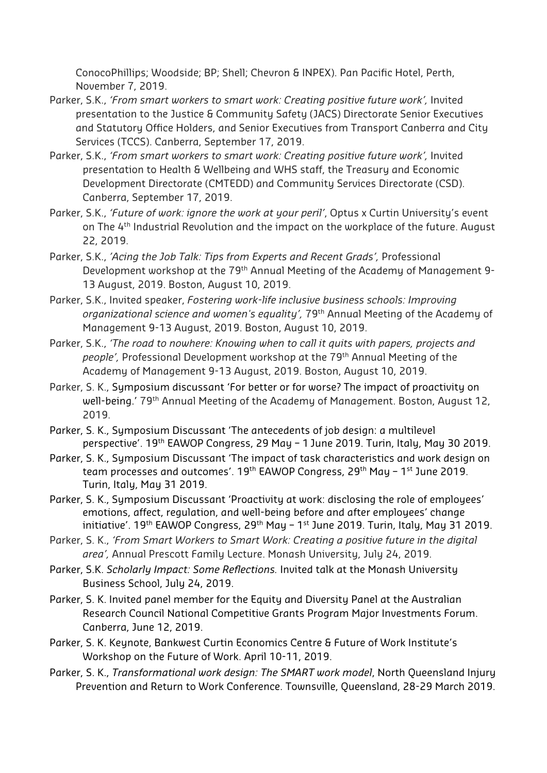ConocoPhillips; Woodside; BP; Shell; Chevron & INPEX). Pan Pacific Hotel, Perth, November 7, 2019.

- Parker, S.K., *'From smart workers to smart work: Creating positive future work'*, Invited presentation to the Justice & Community Safety (JACS) Directorate Senior Executives and Statutory Office Holders, and Senior Executives from Transport Canberra and City Services (TCCS). Canberra, September 17, 2019.
- Parker, S.K., *'From smart workers to smart work: Creating positive future work',* Invited presentation to Health & Wellbeing and WHS staff, the Treasury and Economic Development Directorate (CMTEDD) and Community Services Directorate (CSD). Canberra, September 17, 2019.
- Parker, S.K., *'Future of work: ignore the work at your peril'*, Optus x Curtin University's event on The 4<sup>th</sup> Industrial Revolution and the impact on the workplace of the future. August 22, 2019.
- Parker, S.K., *'Acing the Job Talk: Tips from Experts and Recent Grads',* Professional Development workshop at the 79<sup>th</sup> Annual Meeting of the Academy of Management 9-13 August, 2019. Boston, August 10, 2019.
- Parker, S.K., Invited speaker, *Fostering work-life inclusive business schools: Improving organizational science and women's equality',* 79th Annual Meeting of the Academy of Management 9-13 August, 2019. Boston, August 10, 2019.
- Parker, S.K., *'The road to nowhere: Knowing when to call it quits with papers, projects and people',* Professional Development workshop at the 79th Annual Meeting of the Academy of Management 9-13 August, 2019. Boston, August 10, 2019.
- Parker, S. K., Symposium discussant 'For better or for worse? The impact of proactivity on well-being.' 79<sup>th</sup> Annual Meeting of the Academy of Management. Boston, August 12, 2019.
- Parker, S. K., Symposium Discussant 'The antecedents of job design: a multilevel perspective'. 19th EAWOP Congress, 29 May – 1 June 2019. Turin, Italy, May 30 2019.
- Parker, S. K., Symposium Discussant 'The impact of task characteristics and work design on team processes and outcomes'. 19<sup>th</sup> EAWOP Congress, 29<sup>th</sup> May - 1<sup>st</sup> June 2019. Turin, Italy, May 31 2019.
- Parker, S. K., Symposium Discussant 'Proactivity at work: disclosing the role of employees' emotions, affect, regulation, and well-being before and after employees' change initiative'. 19<sup>th</sup> EAWOP Congress, 29<sup>th</sup> May - 1<sup>st</sup> June 2019. Turin, Italy, May 31 2019.
- Parker, S. K., *'From Smart Workers to Smart Work: Creating a positive future in the digital area',* Annual Prescott Family Lecture. Monash University, July 24, 2019.
- Parker, S.K. *Scholarly Impact: Some Reflections.* Invited talk at the Monash University Business School, July 24, 2019.
- Parker, S. K. Invited panel member for the Equity and Diversity Panel at the Australian Research Council National Competitive Grants Program Major Investments Forum. Canberra, June 12, 2019.
- Parker, S. K. Keynote, Bankwest Curtin Economics Centre & Future of Work Institute's Workshop on the Future of Work. April 10-11, 2019.
- Parker, S. K., *Transformational work design: The SMART work model*, North Queensland Injury Prevention and Return to Work Conference. Townsville, Queensland, 28-29 March 2019.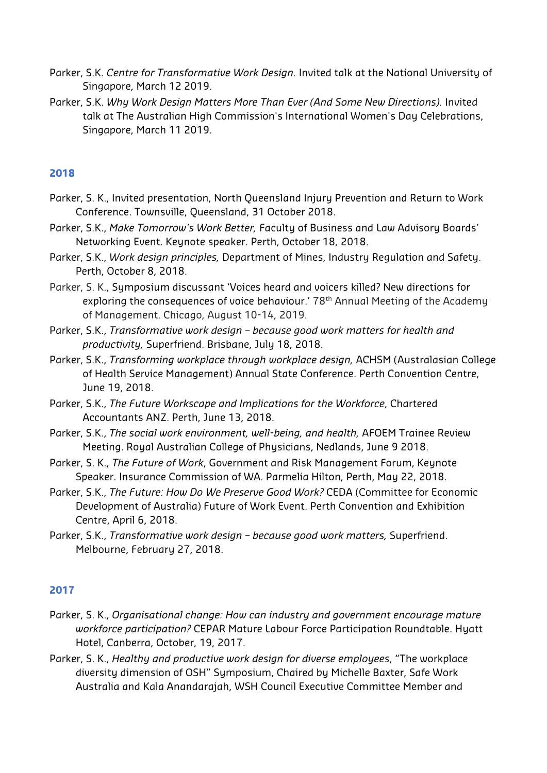- Parker, S.K. *Centre for Transformative Work Design.* Invited talk at the National University of Singapore, March 12 2019.
- Parker, S.K. *Why Work Design Matters More Than Ever (And Some New Directions).* Invited talk at The Australian High Commission's International Women's Day Celebrations, Singapore, March 11 2019.

#### **2018**

- Parker, S. K., Invited presentation, North Queensland Injury Prevention and Return to Work Conference. Townsville, Queensland, 31 October 2018.
- Parker, S.K., *Make Tomorrow's Work Better,* Faculty of Business and Law Advisory Boards' Networking Event. Keynote speaker. Perth, October 18, 2018.
- Parker, S.K., *Work design principles,* Department of Mines, Industry Regulation and Safety. Perth, October 8, 2018.
- Parker, S. K., Symposium discussant 'Voices heard and voicers killed? New directions for exploring the consequences of voice behaviour.' 78<sup>th</sup> Annual Meeting of the Academy of Management. Chicago, August 10-14, 2019.
- Parker, S.K., *Transformative work design because good work matters for health and productivity,* Superfriend. Brisbane, July 18, 2018.
- Parker, S.K., *Transforming workplace through workplace design,* ACHSM (Australasian College of Health Service Management) Annual State Conference. Perth Convention Centre, June 19, 2018.
- Parker, S.K., *The Future Workscape and Implications for the Workforce*, Chartered Accountants ANZ. Perth, June 13, 2018.
- Parker, S.K., *The social work environment, well-being, and health,* AFOEM Trainee Review Meeting. Royal Australian College of Physicians, Nedlands, June 9 2018.
- Parker, S. K., *The Future of Work*, Government and Risk Management Forum, Keynote Speaker. Insurance Commission of WA. Parmelia Hilton, Perth, May 22, 2018.
- Parker, S.K., *The Future: How Do We Preserve Good Work?* CEDA (Committee for Economic Development of Australia) Future of Work Event. Perth Convention and Exhibition Centre, April 6, 2018.
- Parker, S.K., *Transformative work design because good work matters,* Superfriend. Melbourne, February 27, 2018.

#### **2017**

- Parker, S. K., *Organisational change: How can industry and government encourage mature workforce participation?* CEPAR Mature Labour Force Participation Roundtable. Hyatt Hotel, Canberra, October, 19, 2017.
- Parker, S. K., *Healthy and productive work design for diverse employees*, "The workplace diversity dimension of OSH" Symposium, Chaired by Michelle Baxter, Safe Work Australia and Kala Anandarajah, WSH Council Executive Committee Member and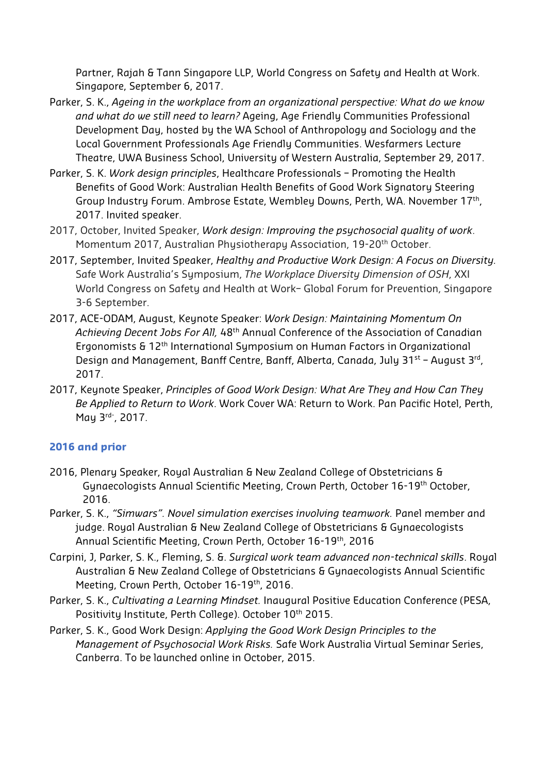Partner, Rajah & Tann Singapore LLP, World Congress on Safety and Health at Work. Singapore, September 6, 2017.

- Parker, S. K., *Ageing in the workplace from an organizational perspective: What do we know and what do we still need to learn?* Ageing, Age Friendly Communities Professional Development Day, hosted by the WA School of Anthropology and Sociology and the Local Government Professionals Age Friendly Communities. Wesfarmers Lecture Theatre, UWA Business School, University of Western Australia, September 29, 2017.
- Parker, S. K. *Work design principles*, Healthcare Professionals Promoting the Health Benefits of Good Work: Australian Health Benefits of Good Work Signatory Steering Group Industry Forum. Ambrose Estate, Wembley Downs, Perth, WA. November 17th, 2017. Invited speaker.
- 2017, October, Invited Speaker, *Work design: Improving the psychosocial quality of work*. Momentum 2017, Australian Physiotherapy Association, 19-20<sup>th</sup> October.
- 2017, September, Invited Speaker, *Healthy and Productive Work Design: A Focus on Diversity.* Safe Work Australia's Symposium, *The Workplace Diversity Dimension of OSH*, XXI World Congress on Safety and Health at Work– Global Forum for Prevention, Singapore 3-6 September.
- 2017, ACE-ODAM, August, Keynote Speaker: *Work Design: Maintaining Momentum On Achieving Decent Jobs For All,* 48th Annual Conference of the Association of Canadian Ergonomists & 12th International Symposium on Human Factors in Organizational Design and Management, Banff Centre, Banff, Alberta, Canada, July 31<sup>st</sup> - August 3<sup>rd</sup>, 2017.
- 2017, Keynote Speaker, *Principles of Good Work Design: What Are They and How Can They Be Applied to Return to Work*. Work Cover WA: Return to Work. Pan Pacific Hotel, Perth, May 3<sup>rd-</sup>, 2017.

## **2016 and prior**

- 2016, Plenary Speaker, Royal Australian & New Zealand College of Obstetricians & Gynaecologists Annual Scientific Meeting, Crown Perth, October 16-19th October, 2016.
- Parker, S. K., *"Simwars". Novel simulation exercises involving teamwork.* Panel member and judge. Royal Australian & New Zealand College of Obstetricians & Gynaecologists Annual Scientific Meeting, Crown Perth, October 16-19th, 2016
- Carpini, J, Parker, S. K., Fleming, S. &. *Surgical work team advanced non-technical skills*. Royal Australian & New Zealand College of Obstetricians & Gynaecologists Annual Scientific Meeting, Crown Perth, October 16-19th, 2016.
- Parker, S. K., *Cultivating a Learning Mindset.* Inaugural Positive Education Conference (PESA, Positivity Institute, Perth College). October 10<sup>th</sup> 2015.
- Parker, S. K., Good Work Design: *Applying the Good Work Design Principles to the Management of Psychosocial Work Risks.* Safe Work Australia Virtual Seminar Series, Canberra. To be launched online in October, 2015.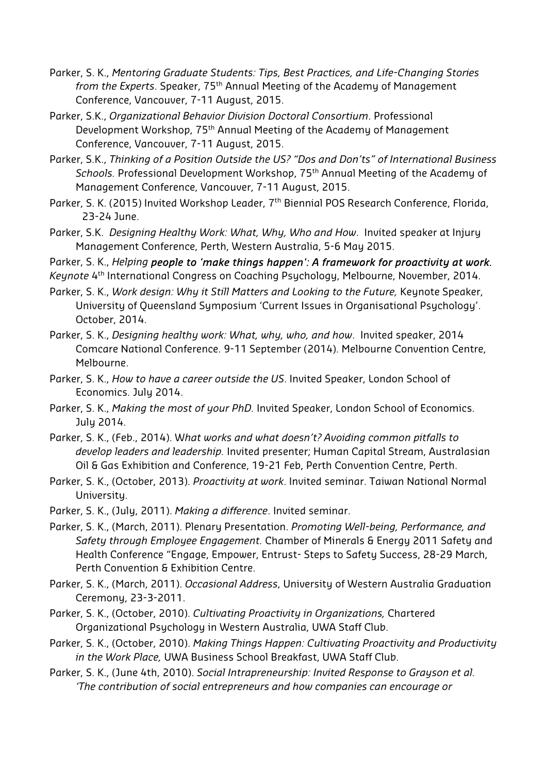- Parker, S. K., *Mentoring Graduate Students: Tips, Best Practices, and Life-Changing Stories from the Experts*. Speaker, 75th Annual Meeting of the Academy of Management Conference, Vancouver, 7-11 August, 2015.
- Parker, S.K., *Organizational Behavior Division Doctoral Consortium*. Professional Development Workshop, 75th Annual Meeting of the Academy of Management Conference, Vancouver, 7-11 August, 2015.
- Parker, S.K., *Thinking of a Position Outside the US? "Dos and Don'ts" of International Business Schools.* Professional Development Workshop, 75th Annual Meeting of the Academy of Management Conference, Vancouver, 7-11 August, 2015.
- Parker, S. K. (2015) Invited Workshop Leader, 7<sup>th</sup> Biennial POS Research Conference, Florida, 23-24 June.
- Parker, S.K. *Designing Healthy Work: What, Why, Who and How*. Invited speaker at Injury Management Conference, Perth, Western Australia, 5-6 May 2015.

Parker, S. K., *Helping people to 'make things happen': A framework for proactivity at work.* 

*Keynote* 4<sup>th</sup> International Congress on Coaching Psychology, Melbourne, November, 2014.

- Parker, S. K., *Work design: Why it Still Matters and Looking to the Future,* Keynote Speaker, University of Queensland Symposium 'Current Issues in Organisational Psychology'. October, 2014.
- Parker, S. K., *Designing healthy work: What, why, who, and how*. Invited speaker, 2014 Comcare National Conference. 9-11 September (2014). Melbourne Convention Centre, Melbourne.
- Parker, S. K., *How to have a career outside the US*. Invited Speaker, London School of Economics. July 2014.
- Parker, S. K., *Making the most of your PhD.* Invited Speaker, London School of Economics. July 2014.
- Parker, S. K., (Feb., 2014). W*hat works and what doesn't? Avoiding common pitfalls to develop leaders and leadership.* Invited presenter; Human Capital Stream, Australasian Oil & Gas Exhibition and Conference, 19-21 Feb, Perth Convention Centre, Perth.
- Parker, S. K., (October, 2013). *Proactivity at work*. Invited seminar. Taiwan National Normal University.
- Parker, S. K., (July, 2011). *Making a difference*. Invited seminar.
- Parker, S. K., (March, 2011). Plenary Presentation. *Promoting Well-being, Performance, and Safety through Employee Engagement.* Chamber of Minerals & Energy 2011 Safety and Health Conference "Engage, Empower, Entrust- Steps to Safety Success, 28-29 March, Perth Convention & Exhibition Centre.
- Parker, S. K., (March, 2011). *Occasional Address*, University of Western Australia Graduation Ceremony, 23-3-2011.
- Parker, S. K., (October, 2010). *Cultivating Proactivity in Organizations,* Chartered Organizational Psychology in Western Australia, UWA Staff Club.
- Parker, S. K., (October, 2010). *Making Things Happen: Cultivating Proactivity and Productivity in the Work Place,* UWA Business School Breakfast, UWA Staff Club.
- Parker, S. K., (June 4th, 2010). *Social Intrapreneurship: Invited Response to Grayson et al. 'The contribution of social entrepreneurs and how companies can encourage or*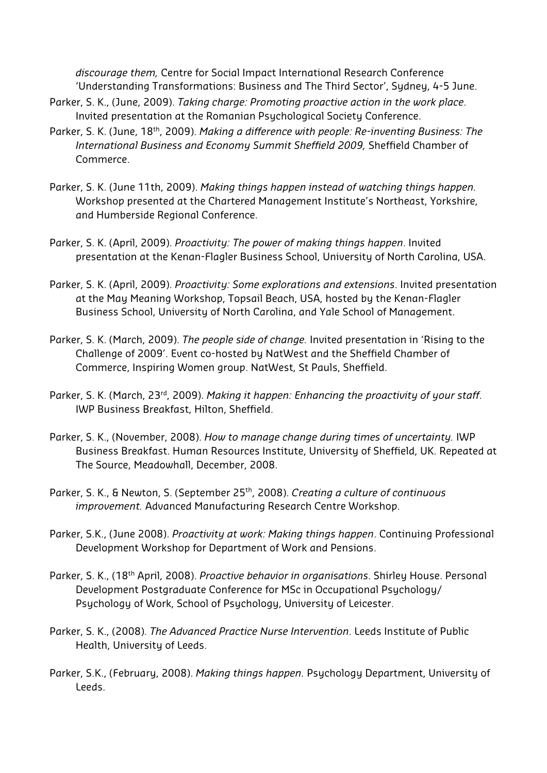*discourage them,* Centre for Social Impact International Research Conference 'Understanding Transformations: Business and The Third Sector', Sydney, 4-5 June.

- Parker, S. K., (June, 2009). *Taking charge: Promoting proactive action in the work place*. Invited presentation at the Romanian Psychological Society Conference.
- Parker, S. K. (June, 18th, 2009). *Making a difference with people: Re-inventing Business: The International Business and Economy Summit Sheffield 2009,* Sheffield Chamber of Commerce.
- Parker, S. K. (June 11th, 2009). *Making things happen instead of watching things happen.* Workshop presented at the Chartered Management Institute's Northeast, Yorkshire, and Humberside Regional Conference.
- Parker, S. K. (April, 2009). *Proactivity: The power of making things happen*. Invited presentation at the Kenan-Flagler Business School, University of North Carolina, USA.
- Parker, S. K. (April, 2009). *Proactivity: Some explorations and extensions*. Invited presentation at the May Meaning Workshop, Topsail Beach, USA, hosted by the Kenan-Flagler Business School, University of North Carolina, and Yale School of Management.
- Parker, S. K. (March, 2009). *The people side of change.* Invited presentation in 'Rising to the Challenge of 2009'. Event co-hosted by NatWest and the Sheffield Chamber of Commerce, Inspiring Women group. NatWest, St Pauls, Sheffield.
- Parker, S. K. (March, 23<sup>rd</sup>, 2009). *Making it happen: Enhancing the proactivity of your staff.* IWP Business Breakfast, Hilton, Sheffield.
- Parker, S. K., (November, 2008). *How to manage change during times of uncertainty.* IWP Business Breakfast. Human Resources Institute, University of Sheffield, UK. Repeated at The Source, Meadowhall, December, 2008.
- Parker, S. K., & Newton, S. (September 25th, 2008). *Creating a culture of continuous improvement.* Advanced Manufacturing Research Centre Workshop.
- Parker, S.K., (June 2008). *Proactivity at work: Making things happen*. Continuing Professional Development Workshop for Department of Work and Pensions.
- Parker, S. K., (18th April, 2008). *Proactive behavior in organisations*. Shirley House. Personal Development Postgraduate Conference for MSc in Occupational Psychology/ Psychology of Work, School of Psychology, University of Leicester.
- Parker, S. K., (2008). *The Advanced Practice Nurse Intervention*. Leeds Institute of Public Health, University of Leeds.
- Parker, S.K., (February, 2008). *Making things happen.* Psychology Department, University of Leeds.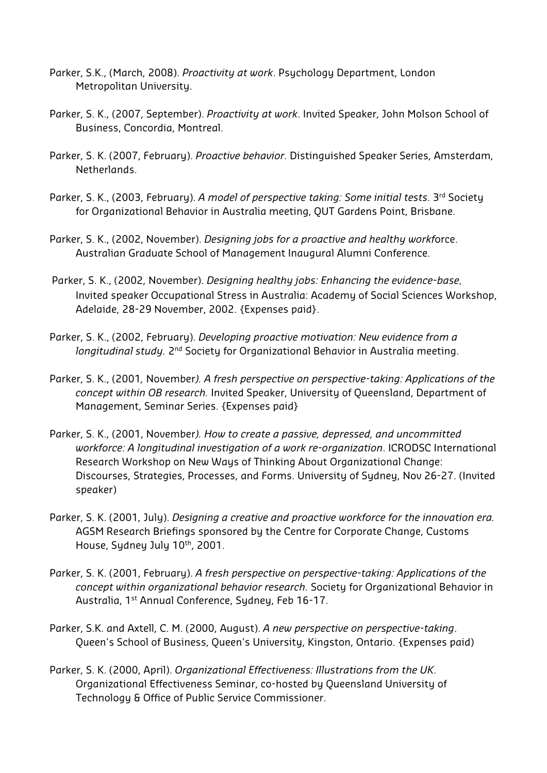- Parker, S.K., (March, 2008). *Proactivity at work*. Psychology Department, London Metropolitan University.
- Parker, S. K., (2007, September). *Proactivity at work*. Invited Speaker, John Molson School of Business, Concordia, Montreal.
- Parker, S. K. (2007, February). *Proactive behavior.* Distinguished Speaker Series, Amsterdam, Netherlands.
- Parker, S. K., (2003, February). *A model of perspective taking: Some initial tests*. 3rd Society for Organizational Behavior in Australia meeting, QUT Gardens Point, Brisbane.
- Parker, S. K., (2002, November). *Designing jobs for a proactive and healthy workf*orce. Australian Graduate School of Management Inaugural Alumni Conference.
- Parker, S. K., (2002, November). *Designing healthy jobs: Enhancing the evidence-base.* Invited speaker Occupational Stress in Australia: Academy of Social Sciences Workshop, Adelaide, 28-29 November, 2002. {Expenses paid}.
- Parker, S. K., (2002, February). *Developing proactive motivation: New evidence from a longitudinal study.* 2<sup>nd</sup> Society for Organizational Behavior in Australia meeting.
- Parker, S. K., (2001*,* November*). A fresh perspective on perspective-taking: Applications of the concept within OB research.* Invited Speaker, University of Queensland, Department of Management, Seminar Series. {Expenses paid}
- Parker, S. K., (2001, November*). How to create a passive, depressed, and uncommitted workforce: A longitudinal investigation of a work re-organization*. ICRODSC International Research Workshop on New Ways of Thinking About Organizational Change: Discourses, Strategies, Processes, and Forms. University of Sydney, Nov 26-27. (Invited speaker)
- Parker, S. K. (2001, July). *Designing a creative and proactive workforce for the innovation era.* AGSM Research Briefings sponsored by the Centre for Corporate Change, Customs House, Sydney July 10<sup>th</sup>, 2001.
- Parker, S. K. (2001, February). *A fresh perspective on perspective-taking: Applications of the concept within organizational behavior research.* Society for Organizational Behavior in Australia, 1<sup>st</sup> Annual Conference, Sydney, Feb 16-17.
- Parker, S.K. and Axtell, C. M. (2000, August). *A new perspective on perspective-taking*. Queen's School of Business, Queen's University, Kingston, Ontario. {Expenses paid)
- Parker, S. K. (2000, April). *Organizational Effectiveness: Illustrations from the UK*. Organizational Effectiveness Seminar, co-hosted by Queensland University of Technology & Office of Public Service Commissioner.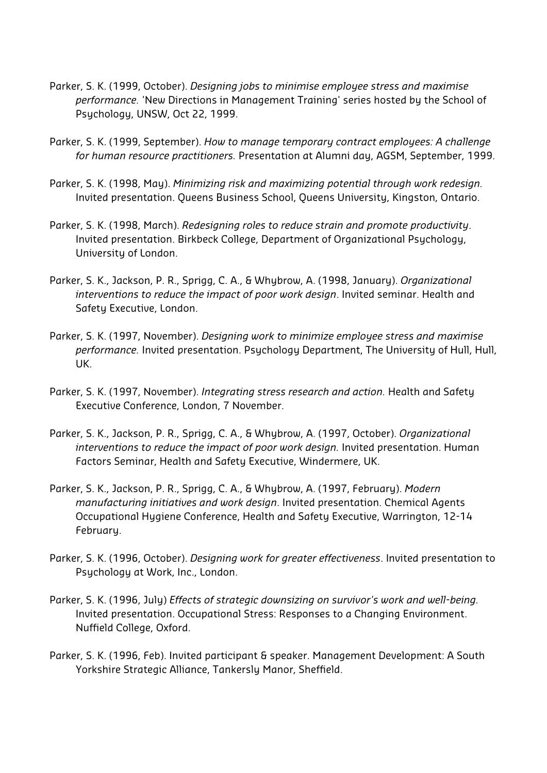- Parker, S. K. (1999, October). *Designing jobs to minimise employee stress and maximise performance.* 'New Directions in Management Training' series hosted by the School of Psychology, UNSW, Oct 22, 1999.
- Parker, S. K. (1999, September). *How to manage temporary contract employees: A challenge for human resource practitioners.* Presentation at Alumni day, AGSM, September, 1999.
- Parker, S. K. (1998, May). *Minimizing risk and maximizing potential through work redesign.* Invited presentation. Queens Business School, Queens University, Kingston, Ontario.
- Parker, S. K. (1998, March). *Redesigning roles to reduce strain and promote productivity*. Invited presentation. Birkbeck College, Department of Organizational Psychology, University of London.
- Parker, S. K., Jackson, P. R., Sprigg, C. A., & Whybrow, A. (1998, January). *Organizational interventions to reduce the impact of poor work design*. Invited seminar. Health and Safety Executive, London.
- Parker, S. K. (1997, November). *Designing work to minimize employee stress and maximise performance.* Invited presentation. Psychology Department, The University of Hull, Hull, UK.
- Parker, S. K. (1997, November). *Integrating stress research and action.* Health and Safety Executive Conference, London, 7 November.
- Parker, S. K., Jackson, P. R., Sprigg, C. A., & Whybrow, A. (1997, October). *Organizational interventions to reduce the impact of poor work design.* Invited presentation. Human Factors Seminar, Health and Safety Executive, Windermere, UK.
- Parker, S. K., Jackson, P. R., Sprigg, C. A., & Whybrow, A. (1997, February). *Modern manufacturing initiatives and work design*. Invited presentation. Chemical Agents Occupational Hygiene Conference, Health and Safety Executive, Warrington, 12-14 February.
- Parker, S. K. (1996, October). *Designing work for greater effectiveness*. Invited presentation to Psychology at Work, Inc., London.
- Parker, S. K. (1996, July) *Effects of strategic downsizing on survivor's work and well-being.* Invited presentation. Occupational Stress: Responses to a Changing Environment. Nuffield College, Oxford.
- Parker, S. K. (1996, Feb). Invited participant & speaker. Management Development: A South Yorkshire Strategic Alliance, Tankersly Manor, Sheffield.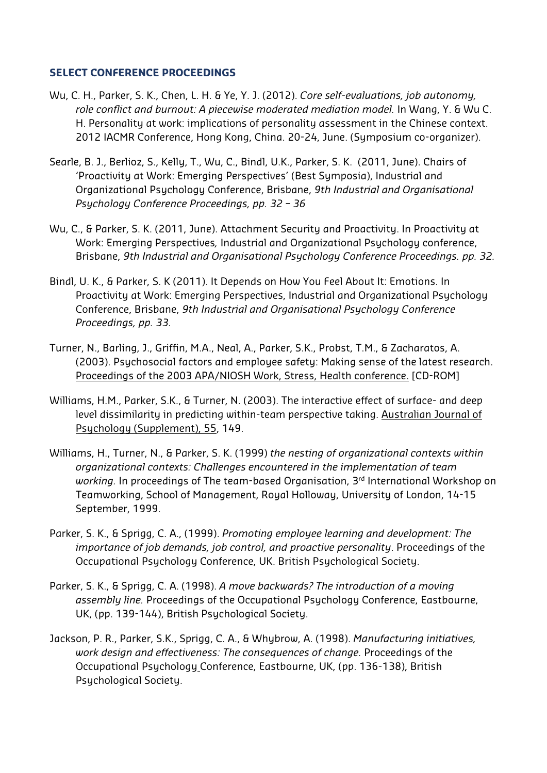#### **SELECT CONFERENCE PROCEEDINGS**

- Wu, C. H., Parker, S. K., Chen, L. H. & Ye, Y. J. (2012). *Core self-evaluations, job autonomy, role conflict and burnout: A piecewise moderated mediation model.* In Wang, Y. & Wu C. H. Personality at work: implications of personality assessment in the Chinese context. 2012 IACMR Conference, Hong Kong, China. 20-24, June. (Symposium co-organizer).
- Searle, B. J., Berlioz, S., Kelly, T., Wu, C., Bindl, U.K., Parker, S. K. (2011, June). Chairs of 'Proactivity at Work: Emerging Perspectives' (Best Symposia), Industrial and Organizational Psychology Conference, Brisbane, *9th Industrial and Organisational Psychology Conference Proceedings, pp. 32 – 36*
- Wu, C., & Parker, S. K. (2011, June). Attachment Security and Proactivity. In Proactivity at Work: Emerging Perspectives*,* Industrial and Organizational Psychology conference, Brisbane, *9th Industrial and Organisational Psychology Conference Proceedings. pp. 32.*
- Bindl, U. K., & Parker, S. K (2011). It Depends on How You Feel About It: Emotions. In Proactivity at Work: Emerging Perspectives, Industrial and Organizational Psychology Conference, Brisbane, *9th Industrial and Organisational Psychology Conference Proceedings, pp. 33.*
- Turner, N., Barling, J., Griffin, M.A., Neal, A., Parker, S.K., Probst, T.M., & Zacharatos, A. (2003). Psychosocial factors and employee safety: Making sense of the latest research. Proceedings of the 2003 APA/NIOSH Work, Stress, Health conference. [CD-ROM]
- Williams, H.M., Parker, S.K., & Turner, N. (2003). The interactive effect of surface- and deep level dissimilarity in predicting within-team perspective taking. Australian Journal of Psychology (Supplement), 55, 149.
- Williams, H., Turner, N., & Parker, S. K. (1999) *the nesting of organizational contexts within organizational contexts: Challenges encountered in the implementation of team working.* In proceedings of The team-based Organisation, 3<sup>rd</sup> International Workshop on Teamworking, School of Management, Royal Holloway, University of London, 14-15 September, 1999.
- Parker, S. K., & Sprigg, C. A., (1999). *Promoting employee learning and development: The importance of job demands, job control, and proactive personality*. Proceedings of the Occupational Psychology Conference, UK. British Psychological Society.
- Parker, S. K., & Sprigg, C. A. (1998). *A move backwards? The introduction of a moving assembly line.* Proceedings of the Occupational Psychology Conference, Eastbourne, UK, (pp. 139-144), British Psychological Society.
- Jackson, P. R., Parker, S.K., Sprigg, C. A., & Whybrow, A. (1998). *Manufacturing initiatives, work design and effectiveness: The consequences of change.* Proceedings of the Occupational Psychology Conference, Eastbourne, UK, (pp. 136-138), British Psychological Society.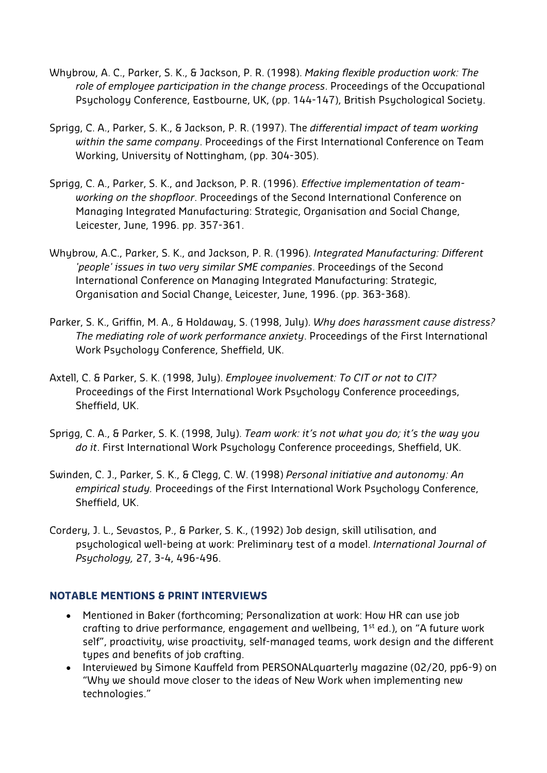- Whybrow, A. C., Parker, S. K., & Jackson, P. R. (1998). *Making flexible production work: The role of employee participation in the change process*. Proceedings of the Occupational Psychology Conference, Eastbourne, UK, (pp. 144-147), British Psychological Society.
- Sprigg, C. A., Parker, S. K., & Jackson, P. R. (1997). The *differential impact of team working within the same company*. Proceedings of the First International Conference on Team Working, University of Nottingham, (pp. 304-305).
- Sprigg, C. A., Parker, S. K., and Jackson, P. R. (1996). *Effective implementation of teamworking on the shopfloor*. Proceedings of the Second International Conference on Managing Integrated Manufacturing: Strategic, Organisation and Social Change, Leicester, June, 1996. pp. 357-361.
- Whybrow, A.C., Parker, S. K., and Jackson, P. R. (1996). *Integrated Manufacturing: Different 'people' issues in two very similar SME companies*. Proceedings of the Second International Conference on Managing Integrated Manufacturing: Strategic, Organisation and Social Change, Leicester, June, 1996. (pp. 363-368).
- Parker, S. K., Griffin, M. A., & Holdaway, S. (1998, July). *Why does harassment cause distress? The mediating role of work performance anxiety*. Proceedings of the First International Work Psychology Conference, Sheffield, UK.
- Axtell, C. & Parker, S. K. (1998, July). *Employee involvement: To CIT or not to CIT?* Proceedings of the First International Work Psychology Conference proceedings, Sheffield, UK.
- Sprigg, C. A., & Parker, S. K. (1998, July). *Team work: it's not what you do; it's the way you do it*. First International Work Psychology Conference proceedings, Sheffield, UK.
- Swinden, C. J., Parker, S. K., & Clegg, C. W. (1998) *Personal initiative and autonomy: An empirical study.* Proceedings of the First International Work Psychology Conference, Sheffield, UK.
- Cordery, J. L., Sevastos, P., & Parker, S. K., (1992) Job design, skill utilisation, and psychological well-being at work: Preliminary test of a model. *International Journal of Psychology,* 27, 3-4, 496-496.

## **NOTABLE MENTIONS & PRINT INTERVIEWS**

- Mentioned in Baker (forthcoming; Personalization at work: How HR can use job crafting to drive performance, engagement and wellbeing,  $1^{st}$  ed.), on "A future work self", proactivity, wise proactivity, self-managed teams, work design and the different types and benefits of job crafting.
- Interviewed by Simone Kauffeld from PERSONALquarterly magazine (02/20, pp6-9) on "Why we should move closer to the ideas of New Work when implementing new technologies."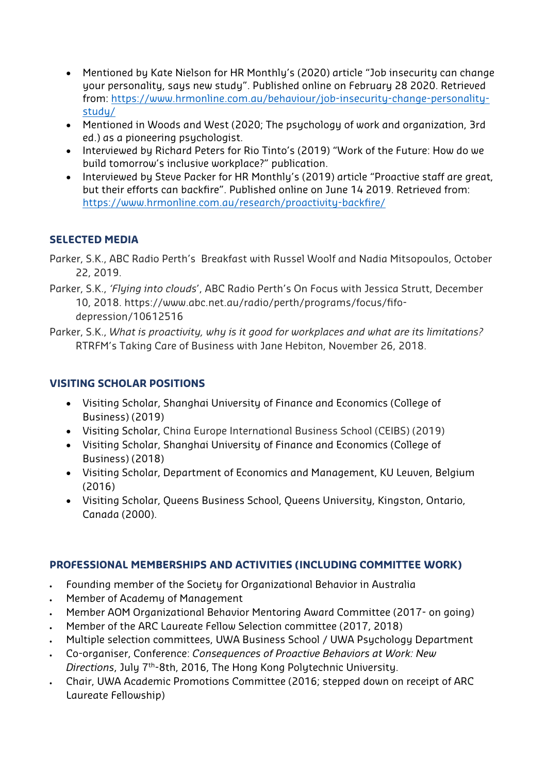- Mentioned by Kate Nielson for HR Monthly's (2020) article "Job insecurity can change your personality, says new study". Published online on February 28 2020. Retrieved from: https://www.hrmonline.com.au/behaviour/job-insecurity-change-personalitystudy/
- Mentioned in Woods and West (2020; The psychology of work and organization, 3rd ed.) as a pioneering psychologist.
- Interviewed by Richard Peters for Rio Tinto's (2019) "Work of the Future: How do we build tomorrow's inclusive workplace?" publication.
- Interviewed by Steve Packer for HR Monthly's (2019) article "Proactive staff are great, but their efforts can backfire". Published online on June 14 2019. Retrieved from: https://www.hrmonline.com.au/research/proactivity-backfire/

# **SELECTED MEDIA**

- Parker, S.K., ABC Radio Perth's Breakfast with Russel Woolf and Nadia Mitsopoulos, October 22, 2019.
- Parker, S.K., *'Flying into clouds*', ABC Radio Perth's On Focus with Jessica Strutt, December 10, 2018. https://www.abc.net.au/radio/perth/programs/focus/fifodepression/10612516
- Parker, S.K., *What is proactivity, why is it good for workplaces and what are its limitations?*  RTRFM's Taking Care of Business with Jane Hebiton, November 26, 2018.

# **VISITING SCHOLAR POSITIONS**

- Visiting Scholar, Shanghai University of Finance and Economics (College of Business) (2019)
- Visiting Scholar, China Europe International Business School (CEIBS) (2019)
- Visiting Scholar, Shanghai University of Finance and Economics (College of Business) (2018)
- Visiting Scholar, Department of Economics and Management, KU Leuven, Belgium (2016)
- Visiting Scholar, Queens Business School, Queens University, Kingston, Ontario, Canada (2000).

## **PROFESSIONAL MEMBERSHIPS AND ACTIVITIES (INCLUDING COMMITTEE WORK)**

- Founding member of the Society for Organizational Behavior in Australia
- Member of Academy of Management
- Member AOM Organizational Behavior Mentoring Award Committee (2017- on going)
- Member of the ARC Laureate Fellow Selection committee (2017, 2018)
- Multiple selection committees, UWA Business School / UWA Psychology Department
- Co-organiser, Conference: *Consequences of Proactive Behaviors at Work: New Directions*, July 7th-8th, 2016, The Hong Kong Polytechnic University.
- Chair, UWA Academic Promotions Committee (2016; stepped down on receipt of ARC Laureate Fellowship)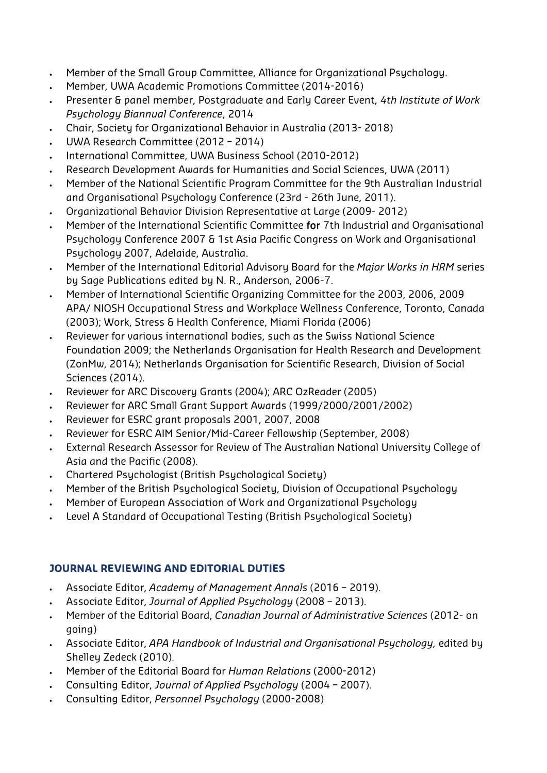- Member of the Small Group Committee, Alliance for Organizational Psychology.
- Member, UWA Academic Promotions Committee (2014-2016)
- Presenter & panel member, Postgraduate and Early Career Event, *4th Institute of Work Psychology Biannual Conference*, 2014
- Chair, Society for Organizational Behavior in Australia (2013- 2018)
- UWA Research Committee (2012 2014)
- International Committee, UWA Business School (2010-2012)
- Research Development Awards for Humanities and Social Sciences, UWA (2011)
- Member of the National Scientific Program Committee for the 9th Australian Industrial and Organisational Psychology Conference (23rd - 26th June, 2011).
- Organizational Behavior Division Representative at Large (2009- 2012)
- Member of the International Scientific Committee for 7th Industrial and Organisational Psychology Conference 2007 & 1st Asia Pacific Congress on Work and Organisational Psychology 2007, Adelaide, Australia.
- Member of the International Editorial Advisory Board for the *Major Works in HRM* series by Sage Publications edited by N. R., Anderson, 2006-7.
- Member of International Scientific Organizing Committee for the 2003, 2006, 2009 APA/ NIOSH Occupational Stress and Workplace Wellness Conference, Toronto, Canada (2003); Work, Stress & Health Conference, Miami Florida (2006)
- Reviewer for various international bodies, such as the Swiss National Science Foundation 2009; the Netherlands Organisation for Health Research and Development (ZonMw, 2014); Netherlands Organisation for Scientific Research, Division of Social Sciences (2014).
- Reviewer for ARC Discovery Grants (2004); ARC OzReader (2005)
- Reviewer for ARC Small Grant Support Awards (1999/2000/2001/2002)
- Reviewer for ESRC grant proposals 2001, 2007, 2008
- Reviewer for ESRC AIM Senior/Mid-Career Fellowship (September, 2008)
- External Research Assessor for Review of The Australian National University College of Asia and the Pacific (2008).
- Chartered Psychologist (British Psychological Society)
- Member of the British Psychological Society, Division of Occupational Psychology
- Member of European Association of Work and Organizational Psychology
- Level A Standard of Occupational Testing (British Psychological Society)

## **JOURNAL REVIEWING AND EDITORIAL DUTIES**

- Associate Editor, *Academy of Management Annals* (2016 2019).
- Associate Editor, *Journal of Applied Psychology* (2008 2013).
- Member of the Editorial Board, *Canadian Journal of Administrative Sciences* (2012- on going)
- Associate Editor, *APA Handbook of Industrial and Organisational Psychology,* edited by Shelley Zedeck (2010).
- Member of the Editorial Board for *Human Relations* (2000-2012)
- Consulting Editor, *Journal of Applied Psychology* (2004 2007).
- Consulting Editor, *Personnel Psychology* (2000-2008)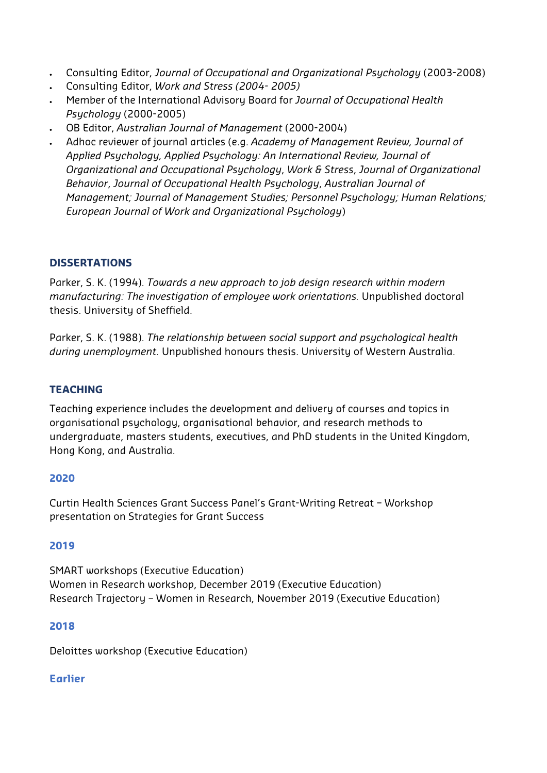- Consulting Editor, *Journal of Occupational and Organizational Psychology* (2003-2008)
- Consulting Editor, *Work and Stress (2004- 2005)*
- Member of the International Advisory Board for *Journal of Occupational Health Psychology* (2000-2005)
- OB Editor, *Australian Journal of Management* (2000-2004)
- Adhoc reviewer of journal articles (e.g. *Academy of Management Review, Journal of Applied Psychology, Applied Psychology: An International Review, Journal of Organizational and Occupational Psychology*, *Work & Stress*, *Journal of Organizational Behavior*, *Journal of Occupational Health Psychology*, *Australian Journal of Management; Journal of Management Studies; Personnel Psychology; Human Relations; European Journal of Work and Organizational Psychology*)

## **DISSERTATIONS**

Parker, S. K. (1994). *Towards a new approach to job design research within modern manufacturing: The investigation of employee work orientations.* Unpublished doctoral thesis. University of Sheffield.

Parker, S. K. (1988). *The relationship between social support and psychological health during unemployment.* Unpublished honours thesis. University of Western Australia.

## **TEACHING**

Teaching experience includes the development and delivery of courses and topics in organisational psychology, organisational behavior, and research methods to undergraduate, masters students, executives, and PhD students in the United Kingdom, Hong Kong, and Australia.

#### **2020**

Curtin Health Sciences Grant Success Panel's Grant-Writing Retreat – Workshop presentation on Strategies for Grant Success

#### **2019**

SMART workshops (Executive Education) Women in Research workshop, December 2019 (Executive Education) Research Trajectory – Women in Research, November 2019 (Executive Education)

#### **2018**

Deloittes workshop (Executive Education)

#### **Earlier**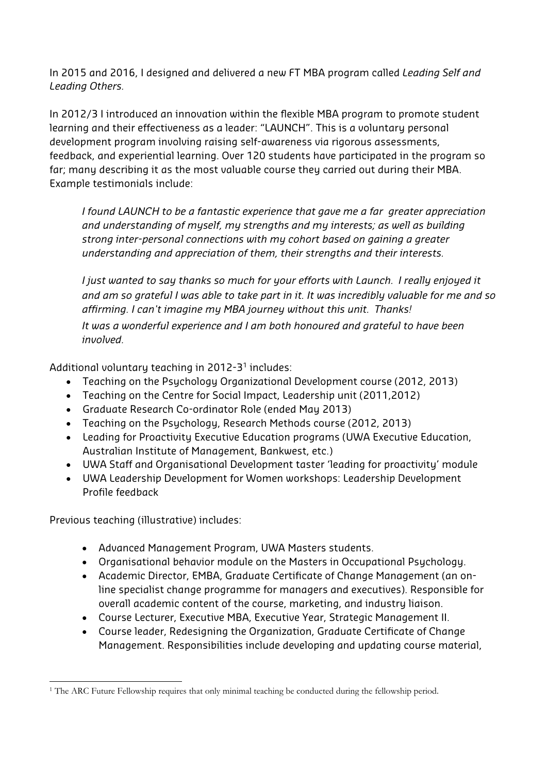In 2015 and 2016, I designed and delivered a new FT MBA program called *Leading Self and Leading Others.*

In 2012/3 I introduced an innovation within the flexible MBA program to promote student learning and their effectiveness as a leader: "LAUNCH". This is a voluntary personal development program involving raising self-awareness via rigorous assessments, feedback, and experiential learning. Over 120 students have participated in the program so far; many describing it as the most valuable course they carried out during their MBA. Example testimonials include:

*I found LAUNCH to be a fantastic experience that gave me a far greater appreciation and understanding of myself, my strengths and my interests; as well as building strong inter-personal connections with my cohort based on gaining a greater understanding and appreciation of them, their strengths and their interests.* 

*I just wanted to say thanks so much for your efforts with Launch. I really enjoyed it and am so grateful I was able to take part in it. It was incredibly valuable for me and so affirming. I can't imagine my MBA journey without this unit. Thanks! It was a wonderful experience and I am both honoured and grateful to have been involved.* 

Additional voluntary teaching in  $2012-3^1$  includes:

- Teaching on the Psychology Organizational Development course (2012, 2013)
- Teaching on the Centre for Social Impact, Leadership unit (2011,2012)
- Graduate Research Co-ordinator Role (ended May 2013)
- Teaching on the Psychology, Research Methods course (2012, 2013)
- Leading for Proactivity Executive Education programs (UWA Executive Education, Australian Institute of Management, Bankwest, etc.)
- UWA Staff and Organisational Development taster 'leading for proactivity' module
- UWA Leadership Development for Women workshops: Leadership Development Profile feedback

Previous teaching (illustrative) includes:

- Advanced Management Program, UWA Masters students.
- Organisational behavior module on the Masters in Occupational Psychology.
- Academic Director, EMBA, Graduate Certificate of Change Management (an online specialist change programme for managers and executives). Responsible for overall academic content of the course, marketing, and industry liaison.
- Course Lecturer, Executive MBA, Executive Year, Strategic Management II.
- Course leader, Redesigning the Organization, Graduate Certificate of Change Management. Responsibilities include developing and updating course material,

<sup>1</sup> The ARC Future Fellowship requires that only minimal teaching be conducted during the fellowship period.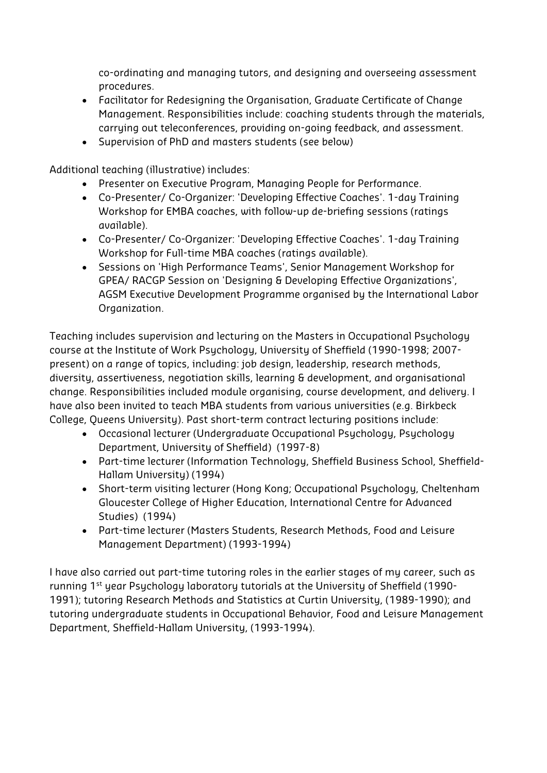co-ordinating and managing tutors, and designing and overseeing assessment procedures.

- Facilitator for Redesigning the Organisation, Graduate Certificate of Change Management. Responsibilities include: coaching students through the materials, carrying out teleconferences, providing on-going feedback, and assessment.
- Supervision of PhD and masters students (see below)

Additional teaching (illustrative) includes:

- Presenter on Executive Program, Managing People for Performance.
- Co-Presenter/ Co-Organizer: 'Developing Effective Coaches'. 1-day Training Workshop for EMBA coaches, with follow-up de-briefing sessions (ratings available).
- Co-Presenter/ Co-Organizer: 'Developing Effective Coaches'. 1-day Training Workshop for Full-time MBA coaches (ratings available).
- Sessions on 'High Performance Teams', Senior Management Workshop for GPEA/ RACGP Session on 'Designing & Developing Effective Organizations', AGSM Executive Development Programme organised by the International Labor Organization.

Teaching includes supervision and lecturing on the Masters in Occupational Psychology course at the Institute of Work Psychology, University of Sheffield (1990-1998; 2007 present) on a range of topics, including: job design, leadership, research methods, diversity, assertiveness, negotiation skills, learning & development, and organisational change. Responsibilities included module organising, course development, and delivery. I have also been invited to teach MBA students from various universities (e.g. Birkbeck College, Queens University). Past short-term contract lecturing positions include:

- Occasional lecturer (Undergraduate Occupational Psychology, Psychology Department, University of Sheffield) (1997-8)
- Part-time lecturer (Information Technology, Sheffield Business School, Sheffield-Hallam University) (1994)
- Short-term visiting lecturer (Hong Kong; Occupational Psychology, Cheltenham Gloucester College of Higher Education, International Centre for Advanced Studies) (1994)
- Part-time lecturer (Masters Students, Research Methods, Food and Leisure Management Department) (1993-1994)

I have also carried out part-time tutoring roles in the earlier stages of my career, such as running 1st year Psychology laboratory tutorials at the University of Sheffield (1990- 1991); tutoring Research Methods and Statistics at Curtin University, (1989-1990); and tutoring undergraduate students in Occupational Behavior, Food and Leisure Management Department, Sheffield-Hallam University, (1993-1994).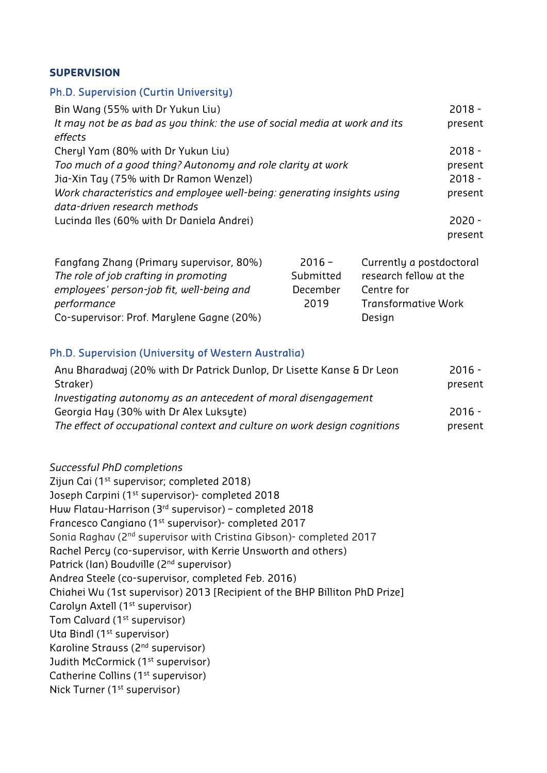#### **SUPERVISION**

#### Ph.D. Supervision (Curtin University)

| Bin Wang (55% with Dr Yukun Liu)                                           | $2018 -$ |
|----------------------------------------------------------------------------|----------|
| It may not be as bad as you think: the use of social media at work and its | present  |
| effects                                                                    |          |
| Cheryl Yam (80% with Dr Yukun Liu)                                         | $2018 -$ |
| Too much of a good thing? Autonomy and role clarity at work                | present  |
| Jia-Xin Tay (75% with Dr Ramon Wenzel)                                     | $2018 -$ |
| Work characteristics and employee well-being: generating insights using    | present  |
| data-driven research methods                                               |          |
| Lucinda Iles (60% with Dr Daniela Andrei)                                  | $2020 -$ |
|                                                                            | present  |

| Fangfang Zhang (Primary supervisor, 80%)  | $2016 -$  | Currently a postdoctoral   |
|-------------------------------------------|-----------|----------------------------|
| The role of job crafting in promoting     | Submitted | research fellow at the     |
| employees' person-job fit, well-being and | December  | Centre for                 |
| performance                               | 2019      | <b>Transformative Work</b> |
| Co-supervisor: Prof. Marylene Gagne (20%) |           | Design                     |

#### Ph.D. Supervision (University of Western Australia)

| Anu Bharadwaj (20% with Dr Patrick Dunlop, Dr Lisette Kanse & Dr Leon    | $2016 -$ |
|--------------------------------------------------------------------------|----------|
| Straker)                                                                 | present  |
| Investigating autonomy as an antecedent of moral disengagement           |          |
| Georgia Hay (30% with Dr Alex Luksyte)                                   | $2016 -$ |
| The effect of occupational context and culture on work design cognitions | present  |
|                                                                          |          |

*Successful PhD completions*  Zijun Cai (1<sup>st</sup> supervisor; completed 2018) Joseph Carpini (1<sup>st</sup> supervisor)- completed 2018 Huw Flatau-Harrison (3rd supervisor) – completed 2018 Francesco Cangiano (1st supervisor)- completed 2017 Sonia Raghav (2<sup>nd</sup> supervisor with Cristina Gibson)- completed 2017 Rachel Percy (co-supervisor, with Kerrie Unsworth and others) Patrick (Ian) Boudville (2nd supervisor) Andrea Steele (co-supervisor, completed Feb. 2016) Chiahei Wu (1st supervisor) 2013 [Recipient of the BHP Billiton PhD Prize] Carolyn Axtell (1<sup>st</sup> supervisor) Tom Calvard (1<sup>st</sup> supervisor) Uta Bindl (1<sup>st</sup> supervisor) Karoline Strauss (2nd supervisor) Judith McCormick (1<sup>st</sup> supervisor) Catherine Collins (1<sup>st</sup> supervisor) Nick Turner (1<sup>st</sup> supervisor)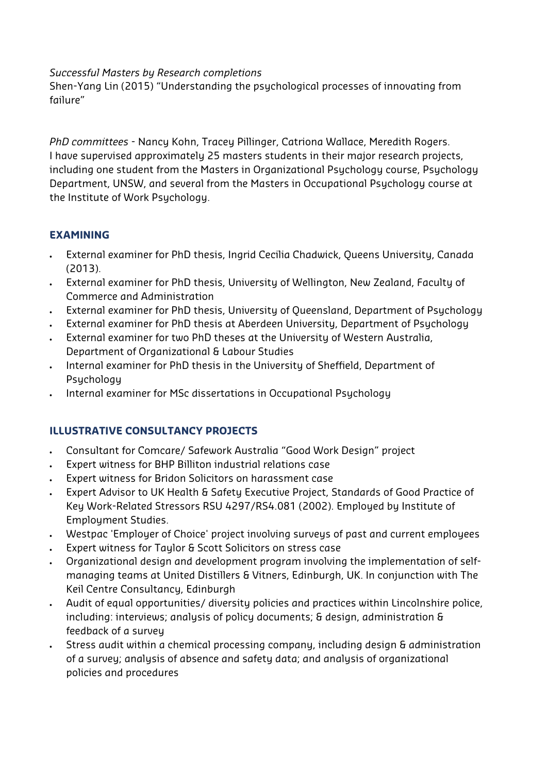#### *Successful Masters by Research completions*

Shen-Yang Lin (2015) "Understanding the psychological processes of innovating from failure"

*PhD committees* - Nancy Kohn, Tracey Pillinger, Catriona Wallace, Meredith Rogers. I have supervised approximately 25 masters students in their major research projects, including one student from the Masters in Organizational Psychology course, Psychology Department, UNSW, and several from the Masters in Occupational Psychology course at the Institute of Work Psychology.

# **EXAMINING**

- External examiner for PhD thesis, Ingrid Cecilia Chadwick, Queens University, Canada (2013).
- External examiner for PhD thesis, University of Wellington, New Zealand, Faculty of Commerce and Administration
- External examiner for PhD thesis, University of Queensland, Department of Psychology
- External examiner for PhD thesis at Aberdeen University, Department of Psychology
- External examiner for two PhD theses at the University of Western Australia, Department of Organizational & Labour Studies
- . Internal examiner for PhD thesis in the University of Sheffield, Department of Psychology
- . Internal examiner for MSc dissertations in Occupational Psychology

# **ILLUSTRATIVE CONSULTANCY PROJECTS**

- Consultant for Comcare/ Safework Australia "Good Work Design" project
- Expert witness for BHP Billiton industrial relations case
- Expert witness for Bridon Solicitors on harassment case
- Expert Advisor to UK Health & Safety Executive Project, Standards of Good Practice of Key Work-Related Stressors RSU 4297/RS4.081 (2002). Employed by Institute of Employment Studies.
- Westpac 'Employer of Choice' project involving surveys of past and current employees
- Expert witness for Taylor & Scott Solicitors on stress case
- Organizational design and development program involving the implementation of selfmanaging teams at United Distillers & Vitners, Edinburgh, UK. In conjunction with The Keil Centre Consultancy, Edinburgh
- Audit of equal opportunities/ diversity policies and practices within Lincolnshire police, including: interviews; analysis of policy documents; & design, administration & feedback of a survey
- Stress audit within a chemical processing company, including design & administration of a survey; analysis of absence and safety data; and analysis of organizational policies and procedures